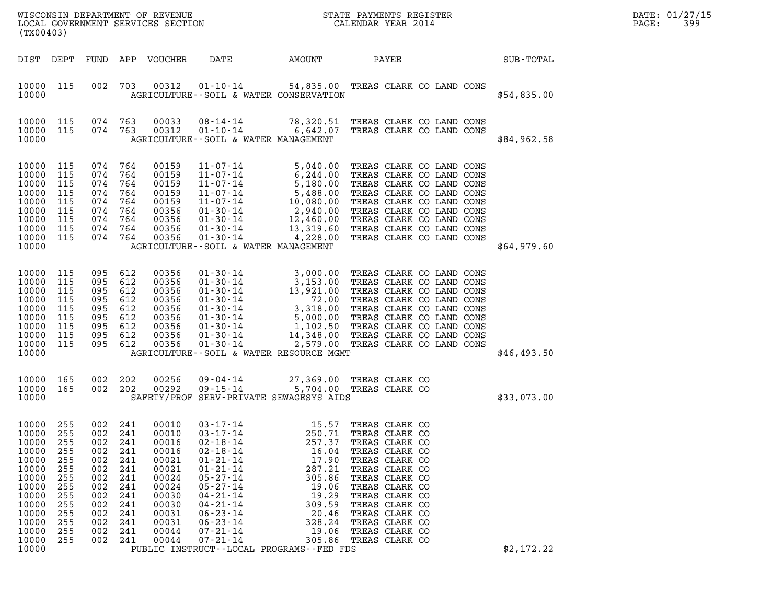| DATE: | 01/27/15 |
|-------|----------|
| PAGE: | 399      |

| (TX00403)                                                                                                                               |                                                                                         |                                                                                                    |                                                                                         | WISCONSIN DEPARTMENT OF REVENUE<br>LOCAL GOVERNMENT SERVICES SECTION                                                       |                                                                                                                                                                                                                                                                                                                                                                        |                                                                                                                          | STATE PAYMENTS REGISTER<br>CALENDAR YEAR 2014                                                                                                                                                                                                                  |  | DATE: 01/27/15<br>PAGE:<br>399 |  |
|-----------------------------------------------------------------------------------------------------------------------------------------|-----------------------------------------------------------------------------------------|----------------------------------------------------------------------------------------------------|-----------------------------------------------------------------------------------------|----------------------------------------------------------------------------------------------------------------------------|------------------------------------------------------------------------------------------------------------------------------------------------------------------------------------------------------------------------------------------------------------------------------------------------------------------------------------------------------------------------|--------------------------------------------------------------------------------------------------------------------------|----------------------------------------------------------------------------------------------------------------------------------------------------------------------------------------------------------------------------------------------------------------|--|--------------------------------|--|
| DIST DEPT                                                                                                                               |                                                                                         |                                                                                                    |                                                                                         | FUND APP VOUCHER                                                                                                           | DATE                                                                                                                                                                                                                                                                                                                                                                   | AMOUNT                                                                                                                   | PAYEE                                                                                                                                                                                                                                                          |  | SUB-TOTAL                      |  |
| 10000 115<br>10000                                                                                                                      |                                                                                         | 002                                                                                                | 703                                                                                     | 00312                                                                                                                      | AGRICULTURE--SOIL & WATER CONSERVATION                                                                                                                                                                                                                                                                                                                                 |                                                                                                                          | 01-10-14 54,835.00 TREAS CLARK CO LAND CONS                                                                                                                                                                                                                    |  | \$54,835.00                    |  |
| 10000 115<br>10000 115<br>10000                                                                                                         |                                                                                         | 074 763<br>074 763                                                                                 |                                                                                         | 00033<br>00312                                                                                                             | 08-14-14<br>$01 - 10 - 14$<br>AGRICULTURE--SOIL & WATER MANAGEMENT                                                                                                                                                                                                                                                                                                     |                                                                                                                          | 78,320.51 TREAS CLARK CO LAND CONS<br>6,642.07 TREAS CLARK CO LAND CONS                                                                                                                                                                                        |  | \$84,962.58                    |  |
| 10000<br>10000<br>10000<br>10000<br>10000<br>10000<br>10000<br>10000<br>10000<br>10000                                                  | 115<br>115<br>115<br>115<br>115<br>115<br>115<br>115<br>115                             | 074<br>074<br>074<br>074<br>074<br>074 764<br>074 764<br>074 764<br>074 764                        | 764<br>764<br>764<br>764<br>764                                                         | 00159<br>00159<br>00159<br>00159<br>00159<br>00356<br>00356<br>00356<br>00356                                              | $\begin{array}{cccc} 11\cdot 07\cdot 14 & 5\,, 040\, .00 \\ 11\cdot 07\cdot 14 & 6\,, 244\, .00 \\ 11\cdot 07\cdot 14 & 5\,, 180\, .00 \\ 11\cdot 07\cdot 14 & 5\,, 488\, .00 \\ 11\cdot 07\cdot 14 & 10\,, 080\, .00 \\ 01\cdot 30\cdot 14 & 2\,, 940\, .00 \\ 01\cdot 30\cdot 14 & 12\,, 460\, .00 \\ 01\cdot 30\cdot 14 & $<br>AGRICULTURE--SOIL & WATER MANAGEMENT |                                                                                                                          | TREAS CLARK CO LAND CONS<br>TREAS CLARK CO LAND CONS<br>TREAS CLARK CO LAND CONS<br>TREAS CLARK CO LAND CONS<br>TREAS CLARK CO LAND CONS<br>TREAS CLARK CO LAND CONS<br>TREAS CLARK CO LAND CONS<br>TREAS CLARK CO LAND CONS<br>TREAS CLARK CO LAND CONS       |  | \$64,979.60                    |  |
| 10000<br>10000<br>10000<br>10000<br>10000<br>10000<br>10000<br>10000<br>10000<br>10000                                                  | 115<br>115<br>115<br>115<br>115<br>115<br>115<br>115<br>115                             | 095<br>095 612<br>095<br>095 612<br>095<br>095 612<br>095 612<br>095 612<br>095 612                | 612<br>612<br>612                                                                       | 00356<br>00356<br>00356<br>00356<br>00356<br>00356<br>00356<br>00356<br>00356                                              | AGRICULTURE--SOIL & WATER RESOURCE MGMT                                                                                                                                                                                                                                                                                                                                |                                                                                                                          | 01-30-14<br>01-30-14<br>3, 000.00 TREAS CLARK CO LAND CONS<br>01-30-14<br>13, 921.00 TREAS CLARK CO LAND CONS<br>01-30-14<br>72.00 TREAS CLARK CO LAND CONS<br>01-30-14<br>5, 000.00 TREAS CLARK CO LAND CONS<br>01-30-14<br>1, 102.50 TREAS CLARK             |  | \$46,493.50                    |  |
| 10000<br>10000 165<br>10000                                                                                                             | 165                                                                                     | 002<br>002 202                                                                                     | 202                                                                                     | 00256<br>00292                                                                                                             | 09-04-14<br>09-15-14<br>SAFETY/PROF SERV-PRIVATE SEWAGESYS AIDS                                                                                                                                                                                                                                                                                                        |                                                                                                                          | 27,369.00 TREAS CLARK CO<br>5,704.00 TREAS CLARK CO                                                                                                                                                                                                            |  | \$33,073.00                    |  |
| 10000 255<br>10000<br>10000<br>10000<br>10000<br>10000<br>10000<br>10000<br>10000<br>10000<br>10000<br>10000<br>10000<br>10000<br>10000 | 255<br>255<br>255<br>255<br>255<br>255<br>255<br>255<br>255<br>255<br>255<br>255<br>255 | 002 241<br>002<br>002<br>002<br>002<br>002<br>002<br>002<br>002<br>002<br>002<br>002<br>002<br>002 | 241<br>241<br>241<br>241<br>241<br>241<br>241<br>241<br>241<br>241<br>241<br>241<br>241 | 00010<br>00010<br>00016<br>00016<br>00021<br>00021<br>00024<br>00024<br>00030<br>00030<br>00031<br>00031<br>00044<br>00044 | 03-17-14<br>$03 - 17 - 14$<br>$02 - 18 - 14$<br>$02 - 18 - 14$<br>$01 - 21 - 14$<br>$01 - 21 - 14$<br>$05 - 27 - 14$<br>$05 - 27 - 14$<br>$04 - 21 - 14$<br>$04 - 21 - 14$<br>$06 - 23 - 14$<br>$06 - 23 - 14$<br>$07 - 21 - 14$<br>$07 - 21 - 14$<br>PUBLIC INSTRUCT--LOCAL PROGRAMS--FED FDS                                                                         | 250.71<br>257.37<br>16.04<br>17.90<br>287.21<br>305.86<br>19.06<br>19.29<br>309.59<br>20.46<br>328.24<br>19.06<br>305.86 | 15.57 TREAS CLARK CO<br>TREAS CLARK CO<br>TREAS CLARK CO<br>TREAS CLARK CO<br>TREAS CLARK CO<br>TREAS CLARK CO<br>TREAS CLARK CO<br>TREAS CLARK CO<br>TREAS CLARK CO<br>TREAS CLARK CO<br>TREAS CLARK CO<br>TREAS CLARK CO<br>TREAS CLARK CO<br>TREAS CLARK CO |  | \$2,172.22                     |  |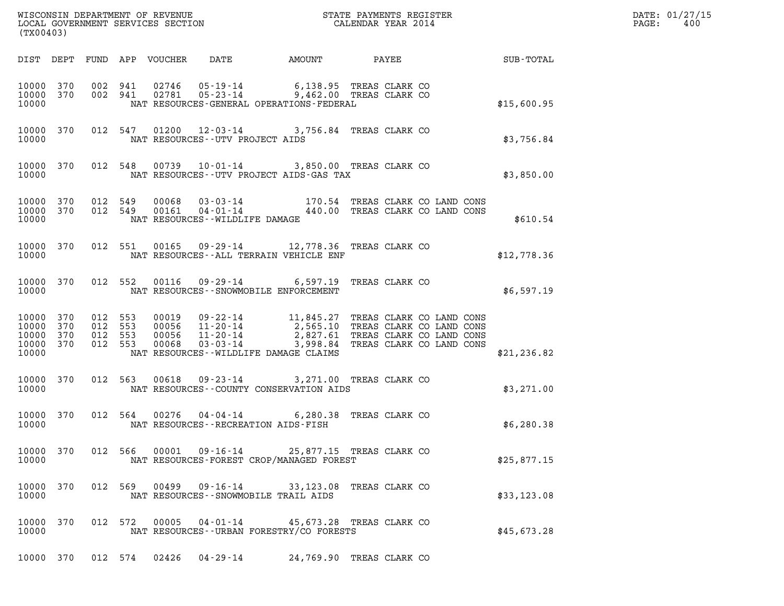| WISCONSIN DEPARTMENT OF REVENUE<br>LOCAL GOVERNMENT SERVICES SECTION<br>(TY) | STATE PAYMENTS REGISTER<br>CALENDAR YEAR 2014 | DATE: 01/27/15<br>400<br>PAGE: |
|------------------------------------------------------------------------------|-----------------------------------------------|--------------------------------|

| WISCONSIN DEPARTMENT OF REVENUE<br>LOCAL GOVERNMENT SERVICES SECTION THE STATE PAYMENTS REGISTER<br>(TYAQAAQ)<br>(TX00403) |     |  |  |               |                                                                                                                                                                                                                                                                                        |  |                          |  |              | DATE: 01/27/15<br>PAGE: 400 |
|----------------------------------------------------------------------------------------------------------------------------|-----|--|--|---------------|----------------------------------------------------------------------------------------------------------------------------------------------------------------------------------------------------------------------------------------------------------------------------------------|--|--------------------------|--|--------------|-----------------------------|
|                                                                                                                            |     |  |  |               | DIST DEPT FUND APP VOUCHER DATE AMOUNT PAYEE PAYEE                                                                                                                                                                                                                                     |  |                          |  |              |                             |
| 10000                                                                                                                      |     |  |  |               | $\begin{array}{cccccccc} 10000 & 370 & 002 & 941 & 02746 & 05-19-14 & 6,138.95 & \text{TREAS CLARK CO} \\ 10000 & 370 & 002 & 941 & 02781 & 05-23-14 & 9,462.00 & \text{TREAS CLARK CO} \end{array}$<br>NAT RESOURCES-GENERAL OPERATIONS-FEDERAL                                       |  |                          |  | \$15,600.95  |                             |
|                                                                                                                            |     |  |  |               | 10000 370 012 547 01200 12-03-14 3,756.84 TREAS CLARK CO<br>\$3,756.84 TREAS CLARK CO                                                                                                                                                                                                  |  |                          |  |              |                             |
|                                                                                                                            |     |  |  |               | $\begin{tabular}{lllllllll} 10000& 370 & 012 & 548 & 00739 & 10-01-14 & 3,850.00 & \text{TREAS CLARK CO} \\ & \text{NAT RESOURCES--UTV PROJECT AIDS-GAS TAX & \end{tabular}$                                                                                                           |  |                          |  | \$3,850.00   |                             |
|                                                                                                                            |     |  |  |               | $\begin{array}{cccccc} 10000 & 370 & 012 & 549 & 00068 & 03 \cdot 03 \cdot 14 & & 170.54 & \text{TREAS CLARK CO LAND CONS} \\ 10000 & 370 & 012 & 549 & 00161 & 04 \cdot 01 \cdot 14 & & 440.00 & \text{TREAS CLARK CO LAND CONS} \end{array}$<br>10000 NAT RESOURCES--WILDLIFE DAMAGE |  |                          |  | \$610.54     |                             |
|                                                                                                                            |     |  |  |               | 10000 370 012 551 00165 09-29-14 12,778.36 TREAS CLARK CO \$12,778.36<br>10000 NAT RESOURCES--ALL TERRAIN VEHICLE ENF                                                                                                                                                                  |  |                          |  |              |                             |
|                                                                                                                            |     |  |  |               | 10000 370 012 552 00116 09-29-14 6,597.19 TREAS CLARK CO<br>10000 NAT RESOURCES - SNOWMOBILE ENFORCEMENT                                                                                                                                                                               |  |                          |  | \$6,597.19   |                             |
| 10000 370<br>10000 370<br>10000 370<br>10000 370<br>10000                                                                  |     |  |  |               | 012 553 00019 09-22-14 11,845.27 TREAS CLARK CO LAND CONS<br>012 553 00056 11-20-14 2,565.10 TREAS CLARK CO LAND CONS<br>012 553 00056 11-20-14 2,827.61 TREAS CLARK CO LAND CONS<br>012 553 00068 03-03-14 3,998.84 TREAS CLARK CO LAN<br>NAT RESOURCES--WILDLIFE DAMAGE CLAIMS       |  |                          |  | \$21, 236.82 |                             |
|                                                                                                                            |     |  |  |               | 10000 370 012 563 00618 09-23-14 3,271.00 TREAS CLARK CO<br>10000 NAT RESOURCES--COUNTY CONSERVATION AIDS                                                                                                                                                                              |  |                          |  | \$3,271.00   |                             |
|                                                                                                                            |     |  |  |               | 10000 370 012 564 00276 04-04-14 6,280.38 TREAS CLARK CO<br>10000 NAT RESOURCES - RECREATION AIDS - FISH                                                                                                                                                                               |  |                          |  | \$6,280.38   |                             |
| 10000<br>10000                                                                                                             | 370 |  |  | 012 566 00001 | 09-16-14<br>NAT RESOURCES-FOREST CROP/MANAGED FOREST                                                                                                                                                                                                                                   |  | 25,877.15 TREAS CLARK CO |  | \$25,877.15  |                             |
| 10000<br>10000                                                                                                             | 370 |  |  | 012 569 00499 | 09-16-14<br>NAT RESOURCES -- SNOWMOBILE TRAIL AIDS                                                                                                                                                                                                                                     |  | 33,123.08 TREAS CLARK CO |  | \$33,123.08  |                             |
| 10000<br>10000                                                                                                             | 370 |  |  | 012 572 00005 | $04 - 01 - 14$<br>NAT RESOURCES - - URBAN FORESTRY/CO FORESTS                                                                                                                                                                                                                          |  | 45,673.28 TREAS CLARK CO |  | \$45,673.28  |                             |

10000 370 012 574 02426 04-29-14 24,769.90 TREAS CLARK CO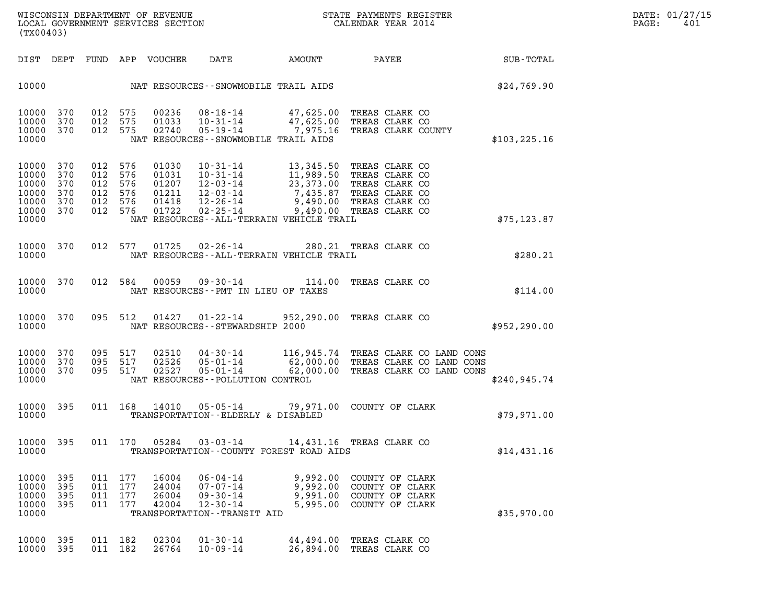| WISCONSIN DEPARTMENT OF REVENUE<br>LOCAL GOVERNMENT SERVICES SECTION<br>(TX00403) | STATE PAYMENTS REGISTER<br>CALENDAR YEAR 2014 | DATE: 01/27/15<br>PAGE:<br>401 |
|-----------------------------------------------------------------------------------|-----------------------------------------------|--------------------------------|

DIST DEPT FUND APP VOUCHER DATE AMOUNT PAYEE SUB-TOTAL 10000 NAT RESOURCES--SNOWMOBILE TRAIL AIDS \$24,769.90 10000 370 012 575 00236 08-18-14 47,625.00 TREAS CLARK CO 10000 370 012 575 00236 08-18-14 47,625.00 TREAS CLARK CO<br>10000 370 012 575 01033 10-31-14 47,625.00 TREAS CLARK CO<br>10000 370 012 575 02740 05-19-14 7,975.16 TREAS CLARK COUNT? 10000 370 012 575 00236 08-18-14 47,625.00 TREAS CLARK CO<br>10000 370 012 575 01033 10-31-14 47,625.00 TREAS CLARK CO<br>10000 370 012 575 02740 05-19-14 7,975.16 TREAS CLARK COUNTY<br>10000 NAT RESOURCES--SNOWMOBILE TRAIL AIDS 10000 NAT RESOURCES--SNOWMOBILE TRAIL AIDS \$103,225.16 10000 370 012 576 01030 10-31-14 13,345.50 TREAS CLARK CO 10000 370 012 576 01030 10-31-14 13,345.50 TREAS CLARK CO<br>10000 370 012 576 01031 10-31-14 11,989.50 TREAS CLARK CO<br>10000 370 012 576 01207 12-03-14 23,373.00 TREAS CLARK CO 10000 370 012 576 01030 10-31-14 13,345.50 TREAS CLARK CO<br>10000 370 012 576 01031 10-31-14 11,989.50 TREAS CLARK CO<br>10000 370 012 576 01207 12-03-14 23,373.00 TREAS CLARK CO<br>10000 370 012 576 01211 12-03-14 7.435.87 TREAS 10000 370 012 576 01030 10-31-14 13,345.50 TREAS CLARK CO<br>10000 370 012 576 01031 10-31-14 11,989.50 TREAS CLARK CO<br>10000 370 012 576 01207 12-03-14 7,435.87 TREAS CLARK CO<br>10000 370 012 576 01418 12-26-14 9,490.00 TREAS C 10000 370 012 576 01031 10-31-14 11,989.50 TREAS CLARK CO<br>10000 370 012 576 01207 12-03-14 23,373.00 TREAS CLARK CO<br>10000 370 012 576 01211 12-03-14 7,435.87 TREAS CLARK CO<br>10000 370 012 576 01722 02-25-14 9,490.00 TREAS C 10000 370 012 576 01207 12-03-14 23,373.00 TREAS CLARK CO<br>10000 370 012 576 01211 12-03-14 7,435.87 TREAS CLARK CO<br>10000 370 012 576 01418 12-26-14 9,490.00 TREAS CLARK CO<br>10000 370 012 576 01722 02-25-14 9,490.00 TREAS CL 10000 NAT RESOURCES--ALL-TERRAIN VEHICLE TRAIL \$75,123.87 10000 370 012 577 01725 02-26-14 280.21 TREAS CLARK CO 10000 NAT RESOURCES--ALL-TERRAIN VEHICLE TRAIL \$280.21 10000 370 012 584 00059 09-30-14 114.00 TREAS CLARK CO 10000 NAT RESOURCES--PMT IN LIEU OF TAXES AND CONTROLLER TO \$114.00 10000 370 095 512 01427 01-22-14 952,290.00 TREAS CLARK CO 10000 370 095 512 01427 01-22-14 952,290.00 TREAS CLARK CO<br>10000 NAT RESOURCES--STEWARDSHIP 2000 10000 370 095 517 02510 04-30-14 116,945.74 TREAS CLARK CO LAND CONS 10000 370 095 517 02510 04-30-14 116,945.74 TREAS CLARK CO-LAND CONS<br>10000 370 095 517 02526 05-01-14 62,000.00 TREAS CLARK CO-LAND CONS<br>10000 370 095 517 02527 05-01-14 62.000.00 TREAS CLARK CO-LAND CONS 10000 370 095 517 02510 04-30-14 116,945.74 TREAS CLARK CO-LAND CONS<br>10000 370 095 517 02526 05-01-14 62,000.00 TREAS CLARK CO-LAND CONS<br>10000 370 095 517 02527 05-01-14 62,000.00 TREAS CLARK CO-LAND CONS<br>10000 NAT RESOURC 10000 370 095 517 02510 04-30-14 116,945.74 TREAS-CLARK-CO-LAND-CONS<br>10000 370 095 517 02526 05-01-14 62,000.00 TREAS-CLARK-CO-LAND-CONS<br>10000 370 095 517 02527 05-01-14 62,000.00 TREAS-CLARK-CO-LAND-CONS<br>10000 10000 395 011 168 14010 05-05-14 79,971.00 COUNTY OF CLARK 10000 395 011 168 14010 05-05-14 79,971.00 COUNTY OF CLARK<br>10000 10000 TRANSPORTATION--ELDERLY & DISABLED 10000 TRANSPORTATION--ELDERLY & DISABLED<br>10000 395 011 170 05284 03-03-14 14,431.16 TREAS CLARK CO 10000 TRANSPORTATION--COUNTY FOREST ROAD AIDS \$14,431.16 10000 395 011 177 16004 06-04-14 9,992.00 COUNTY OF CLARK 10000 395 011 177 24004 07-07-14 9,992.00 COUNTY OF CLARK 10000 395 011 177 16004 06-04-14 9,992.00 COUNTY. OF CLARK<br>10000 395 011 177 24004 07-07-14 9,992.00 COUNTY. OF CLARK<br>10000 395 011 177 42004 12-30-14 9,991.00 COUNTY. OF CLARK 10000 395 011 177 16004 06-04-14 9,992.00 COUNTY OF CLARK<br>10000 395 011 177 24004 07-07-14 9,992.00 COUNTY OF CLARK<br>10000 395 011 177 26004 09-30-14 9,991.00 COUNTY OF CLARK<br>10000 395 011 177 42004 12-30-14 5,995.00 COUNTY 10000 TRANSPORTATION--TRANSIT AID \$35,970.00 10000 395 011 182 02304 01-30-14 44,494.00 TREAS CLARK CO 10000 395 011 182 26764 10-09-14 26,894.00 TREAS CLARK CO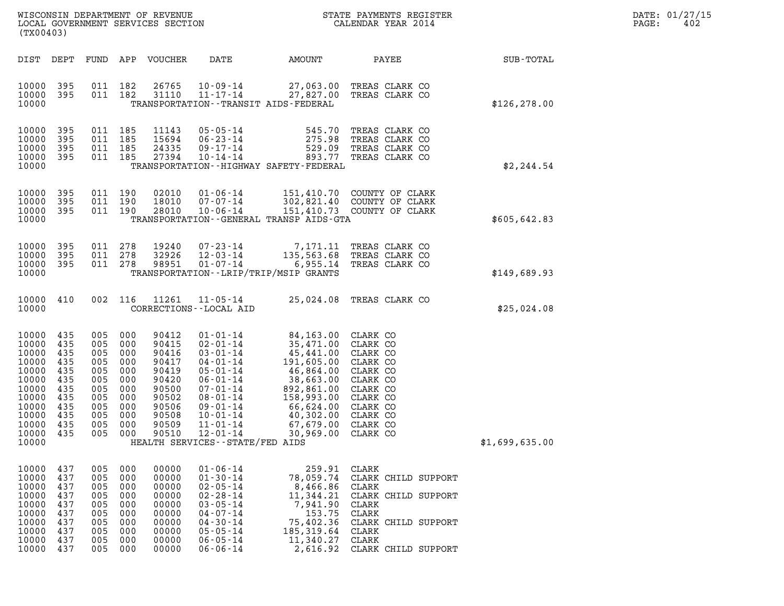| WISCONSIN DEPARTMENT OF REVENUE   | STATE PAYMENTS REGISTER | DATE: 01/27/15 |
|-----------------------------------|-------------------------|----------------|
| LOCAL GOVERNMENT SERVICES SECTION | CALENDAR YEAR 2014      | 402<br>PAGE:   |

| WISCONSIN DEPARTMENT OF REVENUE<br>LOCAL GOVERNMENT SERVICES SECTION CALENDAR YEAR 2014<br>(TX00403)     |                                                                                        |                                                                    |                                                                                              |                                                                                                          |                                                                                                                                                                                  |                                                                                                                                                                                                                                                                           | STATE PAYMENTS REGISTER                                                                                                                  |                | $\mathtt{PAGE}$ : | DATE: 01/27/15<br>402 |
|----------------------------------------------------------------------------------------------------------|----------------------------------------------------------------------------------------|--------------------------------------------------------------------|----------------------------------------------------------------------------------------------|----------------------------------------------------------------------------------------------------------|----------------------------------------------------------------------------------------------------------------------------------------------------------------------------------|---------------------------------------------------------------------------------------------------------------------------------------------------------------------------------------------------------------------------------------------------------------------------|------------------------------------------------------------------------------------------------------------------------------------------|----------------|-------------------|-----------------------|
|                                                                                                          | DIST DEPT                                                                              |                                                                    |                                                                                              | FUND APP VOUCHER                                                                                         |                                                                                                                                                                                  |                                                                                                                                                                                                                                                                           | DATE AMOUNT PAYEE SUB-TOTAL                                                                                                              |                |                   |                       |
| 10000                                                                                                    | 10000 395<br>10000 395                                                                 |                                                                    | 011 182<br>011 182                                                                           | 26765<br>31110                                                                                           | $11 - 17 - 14$                                                                                                                                                                   | TRANSPORTATION - - TRANSIT AIDS - FEDERAL                                                                                                                                                                                                                                 | 10-09-14 27,063.00 TREAS CLARK CO<br>11-17-14 27,827.00 TREAS CLARK CO                                                                   | \$126, 278.00  |                   |                       |
| 10000<br>10000<br>10000<br>10000                                                                         | 10000 395<br>395<br>395<br>395                                                         |                                                                    | 011 185<br>011 185<br>011 185<br>011 185                                                     | 11143<br>15694<br>24335<br>27394                                                                         | 05 - 05 - 14<br>06 - 23 - 14<br>09 - 17 - 14<br>10 - 14 - 14                                                                                                                     | 275.98<br>TRANSPORTATION - - HIGHWAY SAFETY - FEDERAL                                                                                                                                                                                                                     | 545.70 TREAS CLARK CO<br>TREAS CLARK CO<br>529.09 TREAS CLARK CO<br>893.77 TREAS CLARK CO                                                | \$2, 244.54    |                   |                       |
| 10000<br>10000                                                                                           | 10000 395<br>10000 395<br>395                                                          |                                                                    | 011 190<br>011 190<br>011 190                                                                | 02010<br>18010<br>28010                                                                                  |                                                                                                                                                                                  | TRANSPORTATION--GENERAL TRANSP AIDS-GTA                                                                                                                                                                                                                                   | 01-06-14 151,410.70 COUNTY OF CLARK<br>07-07-14 302,821.40 COUNTY OF CLARK<br>10-06-14 151,410.73 COUNTY OF CLARK                        | \$605, 642.83  |                   |                       |
| 10000<br>10000                                                                                           | 10000 395<br>10000 395<br>395                                                          |                                                                    | 011 278<br>011 278<br>011 278                                                                | 19240<br>32926<br>98951                                                                                  |                                                                                                                                                                                  | TRANSPORTATION - - LRIP/TRIP/MSIP GRANTS                                                                                                                                                                                                                                  | 07-23-14 7,171.11 TREAS CLARK CO<br>12-03-14 135,563.68 TREAS CLARK CO<br>01-07-14 6,955.14 TREAS CLARK CO                               | \$149,689.93   |                   |                       |
| 10000                                                                                                    | 10000 410                                                                              |                                                                    | 002 116                                                                                      | 11261                                                                                                    | CORRECTIONS - - LOCAL AID                                                                                                                                                        | 11-05-14 25,024.08 TREAS CLARK CO                                                                                                                                                                                                                                         |                                                                                                                                          | \$25,024.08    |                   |                       |
| 10000<br>10000<br>10000<br>10000<br>10000<br>10000<br>10000<br>10000<br>10000<br>10000<br>10000<br>10000 | 10000 435<br>435<br>435<br>435<br>435<br>435<br>435<br>435<br>435<br>435<br>435<br>435 | 005<br>005<br>005<br>005<br>005<br>005<br>005<br>005<br>005        | 005 000<br>005 000<br>000<br>000<br>000<br>000<br>000<br>000<br>000<br>000<br>000<br>005 000 | 90412<br>90415<br>90416<br>90417<br>90419<br>90420<br>90500<br>90502<br>90506<br>90508<br>90509<br>90510 | $12 - 01 - 14$<br>HEALTH SERVICES - - STATE/FED AIDS                                                                                                                             | 01-01-14<br>03-01-14<br>03-01-14<br>15,471.00 CLARK CO<br>04-01-14<br>191,605.00 CLARK CO<br>05-01-14<br>191,605.00 CLARK CO<br>06-01-14<br>38,663.00 CLARK CO<br>07-01-14<br>892,861.00 CLARK CO<br>08-01-14<br>158,993.00 CLARK CO<br>09-01-14<br>46,824.0<br>30,969.00 | CLARK CO                                                                                                                                 | \$1,699,635.00 |                   |                       |
| 10000<br>10000<br>10000<br>10000<br>10000<br>10000<br>10000<br>10000<br>10000<br>10000                   | 437<br>437<br>437<br>437<br>437<br>437<br>437<br>437<br>437<br>437                     | 005<br>005<br>005<br>005<br>005<br>005<br>005<br>005<br>005<br>005 | 000<br>000<br>000<br>000<br>000<br>000<br>000<br>000<br>000<br>000                           | 00000<br>00000<br>00000<br>00000<br>00000<br>00000<br>00000<br>00000<br>00000<br>00000                   | $01 - 06 - 14$<br>$01 - 30 - 14$<br>$02 - 05 - 14$<br>$02 - 28 - 14$<br>$03 - 05 - 14$<br>$04 - 07 - 14$<br>$04 - 30 - 14$<br>$05 - 05 - 14$<br>$06 - 05 - 14$<br>$06 - 06 - 14$ | 259.91 CLARK<br>8,466.86 CLARK<br>7,941.90 CLARK<br>153.75 CLARK<br>185, 319.64<br>11,340.27 CLARK                                                                                                                                                                        | 78,059.74 CLARK CHILD SUPPORT<br>11,344.21 CLARK CHILD SUPPORT<br>75,402.36 CLARK CHILD SUPPORT<br>CLARK<br>2,616.92 CLARK CHILD SUPPORT |                |                   |                       |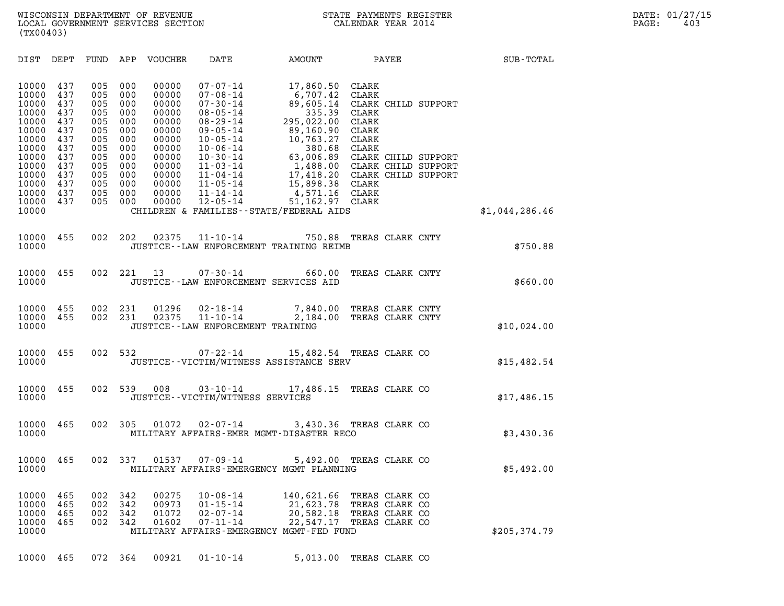| (TX00403)                                                                                                         |                                                                                         |                                                                                         |                                                                                         |                                                                                                                   |                                                                                                          |                                                                                                                                                                                                                                                                                                                                                 |                                                                |                  |                |  |
|-------------------------------------------------------------------------------------------------------------------|-----------------------------------------------------------------------------------------|-----------------------------------------------------------------------------------------|-----------------------------------------------------------------------------------------|-------------------------------------------------------------------------------------------------------------------|----------------------------------------------------------------------------------------------------------|-------------------------------------------------------------------------------------------------------------------------------------------------------------------------------------------------------------------------------------------------------------------------------------------------------------------------------------------------|----------------------------------------------------------------|------------------|----------------|--|
| DIST DEPT                                                                                                         |                                                                                         |                                                                                         |                                                                                         | FUND APP VOUCHER                                                                                                  | <b>DATE</b>                                                                                              |                                                                                                                                                                                                                                                                                                                                                 |                                                                | AMOUNT PAYEE     | SUB-TOTAL      |  |
| 10000<br>10000<br>10000<br>10000<br>10000<br>10000<br>10000<br>10000<br>10000<br>10000<br>10000<br>10000<br>10000 | 437<br>437<br>437<br>437<br>437<br>437<br>437<br>437<br>437<br>437<br>437<br>437<br>437 | 005<br>005<br>005<br>005<br>005<br>005<br>005<br>005<br>005<br>005<br>005<br>005<br>005 | 000<br>000<br>000<br>000<br>000<br>000<br>000<br>000<br>000<br>000<br>000<br>000<br>000 | 00000<br>00000<br>00000<br>00000<br>00000<br>00000<br>00000<br>00000<br>00000<br>00000<br>00000<br>00000<br>00000 | $07 - 07 - 14$<br>$07 - 08 - 14$<br>$07 - 30 - 14$<br>$08 - 05 - 14$<br>$08 - 29 - 14$<br>$09 - 05 - 14$ | 17,860.50 CLARK<br>6,707.42<br>89,605.14<br>335.39<br>295,022.00<br>89,160.90<br>09-05-14<br>10-05-14<br>10-06-14<br>10-30-14<br>63,006.89<br>CLARK CHILD SUPPORT<br>11-03-14<br>1,488.00<br>CLARK CHILD SUPPORT<br>17,418.20<br>CLARK CHILD SUPPORT<br>17,418.20<br>CLARK CHILD SUPPORT<br>17,418.20<br>CLARK CHILD SUPPORT<br>15.898.38<br>CL | <b>CLARK</b><br>CLARK CHILD SUPPORT<br>CLARK<br>CLARK<br>CLARK |                  |                |  |
| 10000<br>10000                                                                                                    | 437                                                                                     | 005                                                                                     | 000                                                                                     | 00000                                                                                                             | $12 - 05 - 14$                                                                                           | 51,162.97 CLARK<br>CHILDREN & FAMILIES--STATE/FEDERAL AIDS                                                                                                                                                                                                                                                                                      |                                                                |                  | \$1,044,286.46 |  |
| 10000<br>10000                                                                                                    | 455                                                                                     |                                                                                         | 002 202                                                                                 | 02375                                                                                                             |                                                                                                          | 11-10-14 750.88 TREAS CLARK CNTY<br>JUSTICE -- LAW ENFORCEMENT TRAINING REIMB                                                                                                                                                                                                                                                                   |                                                                |                  | \$750.88       |  |
| 10000<br>10000                                                                                                    | 455                                                                                     | 002                                                                                     |                                                                                         |                                                                                                                   | 221 13 07-30-14<br>JUSTICE -- LAW ENFORCEMENT SERVICES AID                                               | 660.00                                                                                                                                                                                                                                                                                                                                          |                                                                | TREAS CLARK CNTY | \$660.00       |  |
| 10000<br>10000<br>10000                                                                                           | 455<br>455                                                                              | 002<br>002                                                                              | 231<br>231                                                                              | 01296<br>02375                                                                                                    | JUSTICE - - LAW ENFORCEMENT TRAINING                                                                     | 02-18-14 7,840.00 TREAS CLARK CNTY<br>11-10-14 2,184.00 TREAS CLARK CNTY                                                                                                                                                                                                                                                                        |                                                                |                  | \$10,024.00    |  |
| 10000<br>10000                                                                                                    | 455                                                                                     |                                                                                         | 002 532                                                                                 |                                                                                                                   |                                                                                                          | 07-22-14 15,482.54 TREAS CLARK CO<br>JUSTICE - - VICTIM/WITNESS ASSISTANCE SERV                                                                                                                                                                                                                                                                 |                                                                |                  | \$15,482.54    |  |
| 10000<br>10000                                                                                                    | 455                                                                                     |                                                                                         | 002 539                                                                                 | 008                                                                                                               | JUSTICE - - VICTIM/WITNESS SERVICES                                                                      | 03-10-14 17,486.15 TREAS CLARK CO                                                                                                                                                                                                                                                                                                               |                                                                |                  | \$17,486.15    |  |
| 10000<br>10000                                                                                                    | 465                                                                                     | 002                                                                                     | 305                                                                                     | 01072                                                                                                             |                                                                                                          | 02-07-14 3,430.36 TREAS CLARK CO<br>MILITARY AFFAIRS-EMER MGMT-DISASTER RECO                                                                                                                                                                                                                                                                    |                                                                |                  | \$3,430.36     |  |
| 10000<br>10000                                                                                                    | 465                                                                                     | 002                                                                                     | 337                                                                                     | 01537                                                                                                             | $07 - 09 - 14$                                                                                           | MILITARY AFFAIRS-EMERGENCY MGMT PLANNING                                                                                                                                                                                                                                                                                                        | 5,492.00 TREAS CLARK CO                                        |                  | \$5,492.00     |  |
| 10000<br>10000<br>10000<br>10000<br>10000                                                                         | 465<br>465<br>465<br>465                                                                | 002<br>002<br>002<br>002                                                                | 342<br>342<br>342<br>342                                                                | 00275<br>00973<br>01072<br>01602                                                                                  | $10 - 08 - 14$<br>$01 - 15 - 14$<br>$02 - 07 - 14$<br>$07 - 11 - 14$                                     | 140,621.66 TREAS CLARK CO<br>21,623.78 TREAS CLARK CO<br>20,582.18 TREAS CLARK CO<br>22,547.17<br>MILITARY AFFAIRS-EMERGENCY MGMT-FED FUND                                                                                                                                                                                                      | TREAS CLARK CO                                                 |                  | \$205,374.79   |  |
|                                                                                                                   |                                                                                         |                                                                                         |                                                                                         |                                                                                                                   |                                                                                                          |                                                                                                                                                                                                                                                                                                                                                 |                                                                |                  |                |  |

10000 465 072 364 00921 01-10-14 5,013.00 TREAS CLARK CO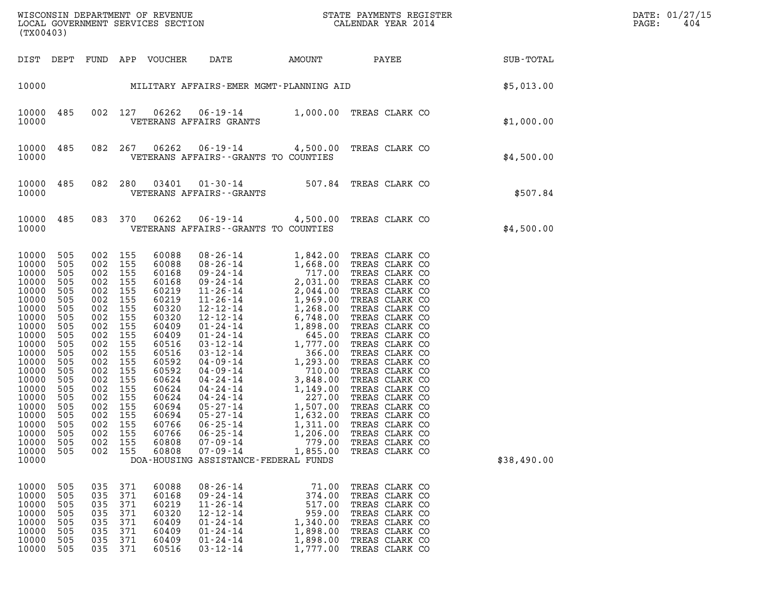| (TX00403)                                                                                                                                                                                                            |                                                                                                                                                               |                                                                                                                                                                                                       |                                                                                         |                                                                                                                                                                                                             |                                                                                                                                                                                                                                                                                                                                                                                                                                                                 |                                                                                     |                                                                                                                                                                                                                                                                                                                                                                                                                            |             | DATE: 01/27/15<br>PAGE:<br>404 |
|----------------------------------------------------------------------------------------------------------------------------------------------------------------------------------------------------------------------|---------------------------------------------------------------------------------------------------------------------------------------------------------------|-------------------------------------------------------------------------------------------------------------------------------------------------------------------------------------------------------|-----------------------------------------------------------------------------------------|-------------------------------------------------------------------------------------------------------------------------------------------------------------------------------------------------------------|-----------------------------------------------------------------------------------------------------------------------------------------------------------------------------------------------------------------------------------------------------------------------------------------------------------------------------------------------------------------------------------------------------------------------------------------------------------------|-------------------------------------------------------------------------------------|----------------------------------------------------------------------------------------------------------------------------------------------------------------------------------------------------------------------------------------------------------------------------------------------------------------------------------------------------------------------------------------------------------------------------|-------------|--------------------------------|
|                                                                                                                                                                                                                      |                                                                                                                                                               |                                                                                                                                                                                                       |                                                                                         | DIST DEPT FUND APP VOUCHER                                                                                                                                                                                  | DATE                                                                                                                                                                                                                                                                                                                                                                                                                                                            |                                                                                     | AMOUNT PAYEE                                                                                                                                                                                                                                                                                                                                                                                                               | SUB-TOTAL   |                                |
|                                                                                                                                                                                                                      |                                                                                                                                                               |                                                                                                                                                                                                       |                                                                                         |                                                                                                                                                                                                             |                                                                                                                                                                                                                                                                                                                                                                                                                                                                 |                                                                                     | 10000 MILITARY AFFAIRS-EMER MGMT-PLANNING AID                                                                                                                                                                                                                                                                                                                                                                              | \$5,013.00  |                                |
| 10000<br>10000                                                                                                                                                                                                       | 485                                                                                                                                                           |                                                                                                                                                                                                       | 002 127                                                                                 | 06262                                                                                                                                                                                                       | VETERANS AFFAIRS GRANTS                                                                                                                                                                                                                                                                                                                                                                                                                                         |                                                                                     | 06-19-14 1,000.00 TREAS CLARK CO                                                                                                                                                                                                                                                                                                                                                                                           | \$1,000.00  |                                |
| 10000<br>10000                                                                                                                                                                                                       | 485                                                                                                                                                           |                                                                                                                                                                                                       | 082 267                                                                                 | 06262                                                                                                                                                                                                       | VETERANS AFFAIRS -- GRANTS TO COUNTIES                                                                                                                                                                                                                                                                                                                                                                                                                          |                                                                                     | 06-19-14 4,500.00 TREAS CLARK CO                                                                                                                                                                                                                                                                                                                                                                                           | \$4,500.00  |                                |
| 10000<br>10000                                                                                                                                                                                                       | 485                                                                                                                                                           | 082 280                                                                                                                                                                                               |                                                                                         | 03401                                                                                                                                                                                                       | VETERANS AFFAIRS - - GRANTS                                                                                                                                                                                                                                                                                                                                                                                                                                     |                                                                                     | 01-30-14 507.84 TREAS CLARK CO                                                                                                                                                                                                                                                                                                                                                                                             | \$507.84    |                                |
| 10000<br>10000                                                                                                                                                                                                       | 485                                                                                                                                                           |                                                                                                                                                                                                       | 083 370                                                                                 | 06262                                                                                                                                                                                                       | VETERANS AFFAIRS -- GRANTS TO COUNTIES                                                                                                                                                                                                                                                                                                                                                                                                                          |                                                                                     | 06-19-14 4,500.00 TREAS CLARK CO                                                                                                                                                                                                                                                                                                                                                                                           | \$4,500.00  |                                |
| 10000<br>10000<br>10000<br>10000<br>10000<br>10000<br>10000<br>10000<br>10000<br>10000<br>10000<br>10000<br>10000<br>10000<br>10000<br>10000<br>10000<br>10000<br>10000<br>10000<br>10000<br>10000<br>10000<br>10000 | 505<br>505<br>505<br>505<br>505<br>505<br>505<br>505<br>505<br>505<br>505<br>505<br>505<br>505<br>505<br>505<br>505<br>505<br>505<br>505<br>505<br>505<br>505 | 002 155<br>002 155<br>002 155<br>002 155<br>002 155<br>002 155<br>002<br>002<br>002<br>002<br>002<br>002<br>002<br>002<br>002<br>002<br>002 155<br>002 155<br>002<br>002 155<br>002<br>002<br>002 155 | 155<br>155<br>155<br>155<br>155<br>155<br>155<br>155<br>155<br>155<br>155<br>155<br>155 | 60088<br>60088<br>60168<br>60168<br>60219<br>60219<br>60320<br>60320<br>60409<br>60409<br>60516<br>60516<br>60592<br>60592<br>60624<br>60624<br>60624<br>60694<br>60694<br>60766<br>60766<br>60808<br>60808 | $\begin{array}{cccc} 08\texttt{-}26\texttt{-}14 & 1,842.00 \\ 08\texttt{-}26\texttt{-}14 & 1,668.00 \\ 09\texttt{-}24\texttt{-}14 & 2,031.00 \\ 11\texttt{-}26\texttt{-}14 & 2,031.00 \\ 11\texttt{-}26\texttt{-}14 & 1,969.00 \\ 12\texttt{-}12\texttt{-}14 & 1,268.00 \\ 12\texttt{-}12\texttt{-}14 & 1,268.00 \\ 01\texttt{-}24\texttt{-}14$<br>$06 - 25 - 14$<br>$06 - 25 - 14$<br>$07 - 09 - 14$<br>$07 - 09 - 14$<br>DOA-HOUSING ASSISTANCE-FEDERAL FUNDS | 1,311.00<br>1,206.00<br>779.00<br>1,855.00                                          | TREAS CLARK CO<br>TREAS CLARK CO<br>TREAS CLARK CO<br>TREAS CLARK CO<br>TREAS CLARK CO<br>TREAS CLARK CO<br>TREAS CLARK CO<br>TREAS CLARK CO<br>TREAS CLARK CO<br>TREAS CLARK CO<br>TREAS CLARK CO<br>TREAS CLARK CO<br>TREAS CLARK CO<br>TREAS CLARK CO<br>TREAS CLARK CO<br>TREAS CLARK CO<br>TREAS CLARK CO<br>TREAS CLARK CO<br>TREAS CLARK CO<br>TREAS CLARK CO<br>TREAS CLARK CO<br>TREAS CLARK CO<br>TREAS CLARK CO | \$38,490.00 |                                |
| 10000<br>10000<br>10000<br>10000<br>10000<br>10000<br>10000<br>10000                                                                                                                                                 | 505<br>505<br>505<br>505<br>505<br>505<br>505<br>505                                                                                                          | 035<br>035<br>035<br>035<br>035<br>035<br>035<br>035                                                                                                                                                  | 371<br>371<br>371<br>371<br>371<br>371<br>371<br>371                                    | 60088<br>60168<br>60219<br>60320<br>60409<br>60409<br>60409<br>60516                                                                                                                                        | $08 - 26 - 14$<br>$09 - 24 - 14$<br>$11 - 26 - 14$<br>$12 - 12 - 14$<br>$01 - 24 - 14$<br>$01 - 24 - 14$<br>$01 - 24 - 14$<br>$03 - 12 - 14$                                                                                                                                                                                                                                                                                                                    | 71.00<br>374.00<br>517.00<br>959.00<br>1,340.00<br>1,898.00<br>1,898.00<br>1,777.00 | TREAS CLARK CO<br>TREAS CLARK CO<br>TREAS CLARK CO<br>TREAS CLARK CO<br>TREAS CLARK CO<br>TREAS CLARK CO<br>TREAS CLARK CO<br>TREAS CLARK CO                                                                                                                                                                                                                                                                               |             |                                |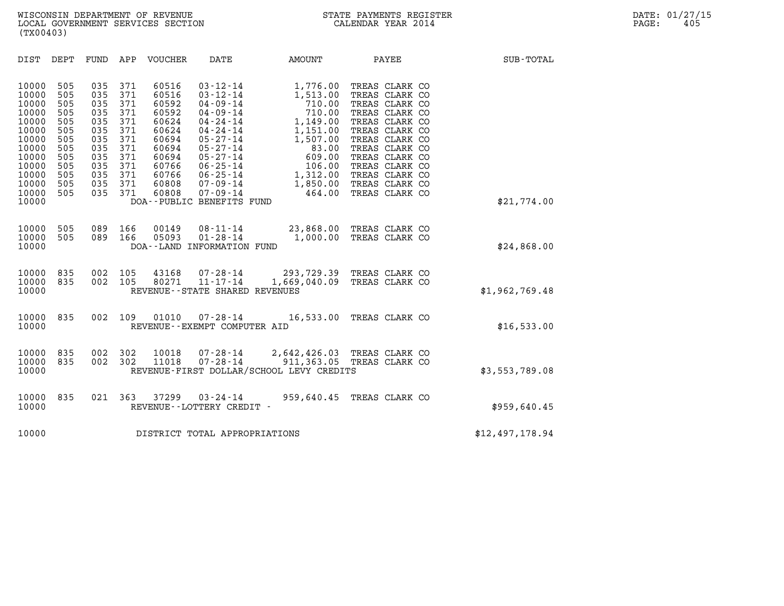| (TX00403)                                                                                                                                                                                                             |                                                                                                                                                                                                                                                                                                         |                                                                                                                                                                                                                                                               |                                                                                                                                             |                                                                                                                                                                                                                                        |                 |
|-----------------------------------------------------------------------------------------------------------------------------------------------------------------------------------------------------------------------|---------------------------------------------------------------------------------------------------------------------------------------------------------------------------------------------------------------------------------------------------------------------------------------------------------|---------------------------------------------------------------------------------------------------------------------------------------------------------------------------------------------------------------------------------------------------------------|---------------------------------------------------------------------------------------------------------------------------------------------|----------------------------------------------------------------------------------------------------------------------------------------------------------------------------------------------------------------------------------------|-----------------|
| <b>DIST</b><br>DEPT                                                                                                                                                                                                   | FUND<br>APP<br>VOUCHER                                                                                                                                                                                                                                                                                  | DATE                                                                                                                                                                                                                                                          | AMOUNT                                                                                                                                      | PAYEE                                                                                                                                                                                                                                  | SUB-TOTAL       |
| 10000<br>505<br>10000<br>505<br>10000<br>505<br>10000<br>505<br>10000<br>505<br>10000<br>505<br>10000<br>505<br>505<br>10000<br>10000<br>505<br>10000<br>505<br>505<br>10000<br>10000<br>505<br>10000<br>505<br>10000 | 035<br>371<br>60516<br>371<br>035<br>60516<br>371<br>035<br>60592<br>371<br>035<br>60592<br>035<br>371<br>60624<br>371<br>035<br>60624<br>035<br>371<br>60694<br>371<br>035<br>60694<br>035<br>371<br>60694<br>371<br>60766<br>035<br>371<br>035<br>60766<br>035<br>371<br>60808<br>371<br>60808<br>035 | $03 - 12 - 14$<br>$03 - 12 - 14$<br>$04 - 09 - 14$<br>$04 - 09 - 14$<br>$04 - 24 - 14$<br>$04 - 24 - 14$<br>$05 - 27 - 14$<br>$05 - 27 - 14$<br>$05 - 27 - 14$<br>$06 - 25 - 14$<br>06-25-14<br>$07 - 09 - 14$<br>$07 - 09 - 14$<br>DOA--PUBLIC BENEFITS FUND | 1,776.00<br>1,513.00<br>710.00<br>710.00<br>1,149.00<br>1,151.00<br>1,507.00<br>83.00<br>609.00<br>106.00<br>1,312.00<br>1,850.00<br>464.00 | TREAS CLARK CO<br>TREAS CLARK CO<br>TREAS CLARK CO<br>TREAS CLARK CO<br>TREAS CLARK CO<br>TREAS CLARK CO<br>TREAS CLARK CO<br>TREAS CLARK CO<br>TREAS CLARK CO<br>TREAS CLARK CO<br>TREAS CLARK CO<br>TREAS CLARK CO<br>TREAS CLARK CO | \$21,774.00     |
|                                                                                                                                                                                                                       |                                                                                                                                                                                                                                                                                                         |                                                                                                                                                                                                                                                               |                                                                                                                                             |                                                                                                                                                                                                                                        |                 |
| 505<br>10000<br>505<br>10000<br>10000                                                                                                                                                                                 | 089<br>166<br>00149<br>05093<br>089<br>166                                                                                                                                                                                                                                                              | $08 - 11 - 14$<br>$01 - 28 - 14$<br>DOA--LAND INFORMATION FUND                                                                                                                                                                                                | 1,000.00                                                                                                                                    | 23,868.00 TREAS CLARK CO<br>TREAS CLARK CO                                                                                                                                                                                             | \$24,868.00     |
| 10000<br>835<br>835<br>10000<br>10000                                                                                                                                                                                 | 002<br>105<br>43168<br>80271<br>002<br>105                                                                                                                                                                                                                                                              | $11 - 17 - 14$<br>REVENUE - - STATE SHARED REVENUES                                                                                                                                                                                                           |                                                                                                                                             | 07-28-14 293, 729.39 TREAS CLARK CO<br>1,669,040.09 TREAS CLARK CO                                                                                                                                                                     | \$1,962,769.48  |
| 835<br>10000<br>10000                                                                                                                                                                                                 | 002<br>109<br>01010                                                                                                                                                                                                                                                                                     | 07-28-14<br>REVENUE--EXEMPT COMPUTER AID                                                                                                                                                                                                                      |                                                                                                                                             | 16,533.00 TREAS CLARK CO                                                                                                                                                                                                               | \$16,533.00     |
| 835<br>10000<br>10000<br>835<br>10000                                                                                                                                                                                 | 302<br>002<br>10018<br>002<br>302<br>11018                                                                                                                                                                                                                                                              | 07-28-14<br>$07 - 28 - 14$<br>REVENUE-FIRST DOLLAR/SCHOOL LEVY CREDITS                                                                                                                                                                                        |                                                                                                                                             | 2,642,426.03 TREAS CLARK CO<br>911,363.05 TREAS CLARK CO                                                                                                                                                                               | \$3,553,789.08  |
| 835<br>10000<br>10000                                                                                                                                                                                                 | 021<br>363<br>37299                                                                                                                                                                                                                                                                                     | $03 - 24 - 14$<br>REVENUE--LOTTERY CREDIT -                                                                                                                                                                                                                   | 959,640.45                                                                                                                                  | TREAS CLARK CO                                                                                                                                                                                                                         | \$959,640.45    |
| 10000                                                                                                                                                                                                                 |                                                                                                                                                                                                                                                                                                         | DISTRICT TOTAL APPROPRIATIONS                                                                                                                                                                                                                                 |                                                                                                                                             |                                                                                                                                                                                                                                        | \$12,497,178.94 |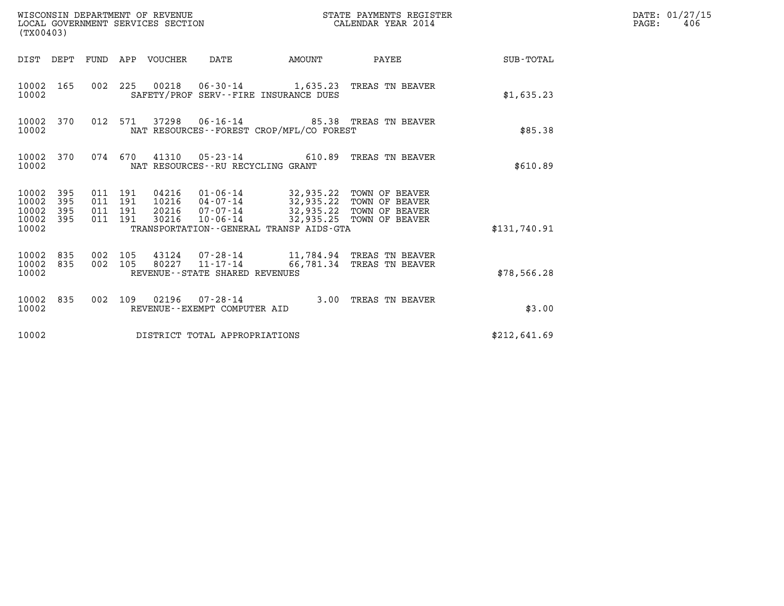| WISCONSIN DEPARTMENT OF REVENUE<br>LOCAL GOVERNMENT SERVICES SECTION<br>(TX00403) |                                          |  |       |                                      |                                              | STATE PAYMENTS REGISTER<br>CALENDAR YEAR 2014                                                                                                                            |                 | DATE: 01/27/15<br>$\mathtt{PAGE}$ :<br>406 |
|-----------------------------------------------------------------------------------|------------------------------------------|--|-------|--------------------------------------|----------------------------------------------|--------------------------------------------------------------------------------------------------------------------------------------------------------------------------|-----------------|--------------------------------------------|
| DIST DEPT FUND APP VOUCHER DATE                                                   |                                          |  |       |                                      | AMOUNT                                       |                                                                                                                                                                          | PAYEE SUB-TOTAL |                                            |
| 10002 165<br>10002                                                                |                                          |  |       |                                      | SAFETY/PROF SERV--FIRE INSURANCE DUES        | 002 225 00218 06-30-14 1,635.23 TREAS TN BEAVER                                                                                                                          | \$1,635.23      |                                            |
| 10002 370<br>10002                                                                | 012 571                                  |  |       |                                      | NAT RESOURCES--FOREST CROP/MFL/CO FOREST     |                                                                                                                                                                          | \$85.38         |                                            |
| 10002 370<br>10002                                                                |                                          |  |       | NAT RESOURCES - - RU RECYCLING GRANT |                                              | 074 670 41310 05-23-14 610.89 TREAS TN BEAVER                                                                                                                            | \$610.89        |                                            |
| 395<br>10002<br>10002<br>395<br>10002<br>395<br>10002 395<br>10002                | 011 191<br>011 191<br>011 191<br>011 191 |  | 30216 |                                      | TRANSPORTATION - - GENERAL TRANSP AIDS - GTA | 04216  01-06-14  32,935.22  TOWN OF BEAVER<br>10216  04-07-14  32,935.22  TOWN OF BEAVER<br>20216 07-07-14 32,935.22 TOWN OF BEAVER<br>10-06-14 32,935.25 TOWN OF BEAVER | \$131,740.91    |                                            |
| 10002 835<br>10002 835<br>10002                                                   | 002 105<br>002 105                       |  |       | REVENUE--STATE SHARED REVENUES       |                                              | 43124 07-28-14 11,784.94 TREAS TN BEAVER<br>80227 11-17-14 66,781.34 TREAS TN BEAVER                                                                                     | \$78,566.28     |                                            |
| 10002 835<br>10002                                                                |                                          |  |       | REVENUE--EXEMPT COMPUTER AID         |                                              | 002 109 02196 07-28-14 3.00 TREAS TN BEAVER                                                                                                                              | \$3.00          |                                            |
| 10002                                                                             |                                          |  |       | DISTRICT TOTAL APPROPRIATIONS        |                                              |                                                                                                                                                                          | \$212,641.69    |                                            |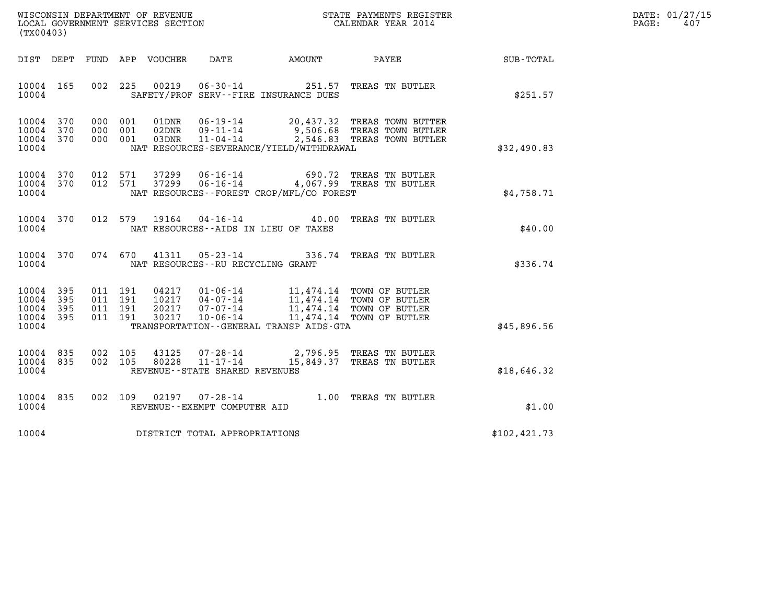| WISCONSIN DEPARTMENT OF REVENUE   | STATE PAYMENTS REGISTER | DATE: 01/27/15 |
|-----------------------------------|-------------------------|----------------|
| LOCAL GOVERNMENT SERVICES SECTION | CALENDAR YEAR 2014      | 407<br>PAGE:   |

| (TX00403)                                                 |  |         |                        |                                     |                                              | WISCONSIN DEPARTMENT OF REVENUE<br>LOCAL GOVERNMENT SERVICES SECTION TERM CALENDAR YEAR 2014                                                                                                                                                                                              |                                                    | DATE: 01/27/15<br>$\mathtt{PAGE:}$<br>407 |
|-----------------------------------------------------------|--|---------|------------------------|-------------------------------------|----------------------------------------------|-------------------------------------------------------------------------------------------------------------------------------------------------------------------------------------------------------------------------------------------------------------------------------------------|----------------------------------------------------|-------------------------------------------|
|                                                           |  |         |                        |                                     |                                              |                                                                                                                                                                                                                                                                                           | DIST DEPT FUND APP VOUCHER DATE AMOUNT PAYEE TOTAL |                                           |
| 10004 165<br>10004                                        |  |         |                        |                                     | SAFETY/PROF SERV--FIRE INSURANCE DUES        | 002 225 00219 06-30-14 251.57 TREAS TN BUTLER                                                                                                                                                                                                                                             | \$251.57                                           |                                           |
| 10004 370<br>10004 370<br>10004 370<br>10004              |  |         |                        |                                     | NAT RESOURCES-SEVERANCE/YIELD/WITHDRAWAL     | 000 001 01DNR 06-19-14 20,437.32 TREAS TOWN BUTTER<br>000 001 02DNR 09-11-14 9,506.68 TREAS TOWN BUTLER<br>000 001 03DNR 11-04-14 2,546.83 TREAS TOWN BUTLER                                                                                                                              | \$32,490.83                                        |                                           |
| 10004                                                     |  |         |                        |                                     | NAT RESOURCES - - FOREST CROP/MFL/CO FOREST  | $\begin{array}{cccccc} 10004 & 370 & 012 & 571 & 37299 & 06\cdot 16\cdot 14 & & & & 690.72 & \text{TREAS TN BUTLER} \\ 10004 & 370 & 012 & 571 & 37299 & 06\cdot 16\cdot 14 & & & 4\,, 067.99 & \text{TREAS TN BUTLER} \end{array}$                                                       | \$4,758.71                                         |                                           |
| 10004 370<br>10004                                        |  |         |                        |                                     | NAT RESOURCES--AIDS IN LIEU OF TAXES         | 012 579 19164 04-16-14 40.00 TREAS TN BUTLER                                                                                                                                                                                                                                              | \$40.00                                            |                                           |
| 10004 370<br>10004                                        |  |         |                        | NAT RESOURCES--RU RECYCLING GRANT   |                                              | 074 670 41311 05-23-14 336.74 TREAS TN BUTLER                                                                                                                                                                                                                                             | \$336.74                                           |                                           |
| 10004 395<br>10004 395<br>10004 395<br>10004 395<br>10004 |  |         |                        |                                     | TRANSPORTATION - - GENERAL TRANSP AIDS - GTA | $\begin{tabular}{cccc} 011 & 191 & 04217 & 01-06-14 & 11,474.14 & TOWN OF BUTLER \\ 011 & 191 & 10217 & 04-07-14 & 11,474.14 & TOWN OF BUTLER \\ 011 & 191 & 20217 & 07-07-14 & 11,474.14 & TOWN OF BUTLER \\ 011 & 191 & 30217 & 10-06-14 & 11,474.14 & TOWN OF BUTLER \\ \end{tabular}$ | \$45,896.56                                        |                                           |
| 10004 835<br>10004 835<br>10004                           |  | 002 105 | 43125<br>002 105 80228 | REVENUE - - STATE SHARED REVENUES   |                                              | 07-28-14 2,796.95 TREAS TN BUTLER<br>11-17-14 15,849.37 TREAS TN BUTLER                                                                                                                                                                                                                   | \$18,646.32                                        |                                           |
| 10004 835<br>10004                                        |  |         |                        | REVENUE--EXEMPT COMPUTER AID        |                                              | 002 109 02197 07-28-14 1.00 TREAS TN BUTLER                                                                                                                                                                                                                                               | \$1.00                                             |                                           |
|                                                           |  |         |                        | 10004 DISTRICT TOTAL APPROPRIATIONS |                                              |                                                                                                                                                                                                                                                                                           | \$102, 421.73                                      |                                           |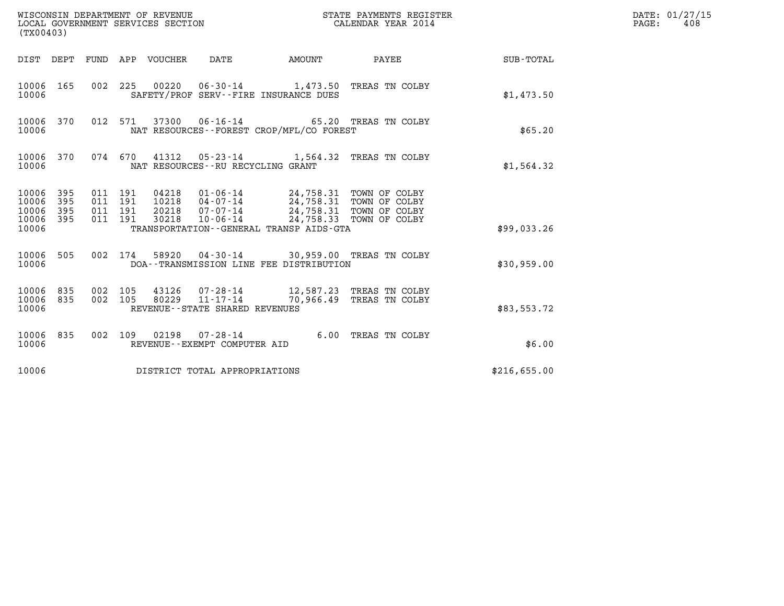| (TX00403)                                 |                          |                                          |         | WISCONSIN DEPARTMENT OF REVENUE<br>LOCAL GOVERNMENT SERVICES SECTION |                                                           |                                                                                                                                                                       | STATE PAYMENTS REGISTER<br>CALENDAR YEAR 2014  |              | DATE: 01/27/15<br>PAGE:<br>408 |
|-------------------------------------------|--------------------------|------------------------------------------|---------|----------------------------------------------------------------------|-----------------------------------------------------------|-----------------------------------------------------------------------------------------------------------------------------------------------------------------------|------------------------------------------------|--------------|--------------------------------|
| DIST DEPT                                 |                          |                                          |         | FUND APP VOUCHER                                                     | DATE                                                      | <b>AMOUNT</b>                                                                                                                                                         | PAYEE                                          | SUB-TOTAL    |                                |
| 10006 165<br>10006                        |                          |                                          |         |                                                                      |                                                           | SAFETY/PROF SERV--FIRE INSURANCE DUES                                                                                                                                 | 002 225 00220 06-30-14 1,473.50 TREAS TN COLBY | \$1,473.50   |                                |
| 10006 370<br>10006                        |                          |                                          | 012 571 |                                                                      | 37300 06-16-14                                            | NAT RESOURCES--FOREST CROP/MFL/CO FOREST                                                                                                                              | 65.20 TREAS TN COLBY                           | \$65.20      |                                |
| 10006 370<br>10006                        |                          | 074 670                                  |         | 41312                                                                | NAT RESOURCES - - RU RECYCLING GRANT                      |                                                                                                                                                                       | 05-23-14 1,564.32 TREAS TN COLBY               | \$1,564.32   |                                |
| 10006<br>10006<br>10006<br>10006<br>10006 | 395<br>395<br>395<br>395 | 011 191<br>011 191<br>011 191<br>011 191 |         | 04218<br>10218<br>20218<br>30218                                     | 07-07-14<br>10-06-14                                      | 01-06-14 24,758.31 TOWN OF COLBY<br>04-07-14 24,758.31 TOWN OF COLBY<br>24,758.31 TOWN OF COLBY<br>24,758.33 TOWN OF COLBY<br>TRANSPORTATION--GENERAL TRANSP AIDS-GTA |                                                | \$99,033.26  |                                |
| 10006 505<br>10006                        |                          |                                          | 002 174 |                                                                      |                                                           | DOA--TRANSMISSION LINE FEE DISTRIBUTION                                                                                                                               | 58920  04-30-14  30,959.00 TREAS TN COLBY      | \$30,959.00  |                                |
| 10006 835<br>10006<br>10006               | 835                      | 002 105<br>002 105                       |         | 43126<br>80229                                                       | 07-28-14<br>11-17-14<br>REVENUE - - STATE SHARED REVENUES | 70,966.49                                                                                                                                                             | 12,587.23 TREAS TN COLBY<br>TREAS TN COLBY     | \$83,553.72  |                                |
| 10006 835<br>10006                        |                          |                                          | 002 109 |                                                                      | REVENUE - - EXEMPT COMPUTER AID                           |                                                                                                                                                                       | 6.00 TREAS TN COLBY                            | \$6.00       |                                |
| 10006                                     |                          |                                          |         |                                                                      | DISTRICT TOTAL APPROPRIATIONS                             |                                                                                                                                                                       |                                                | \$216,655.00 |                                |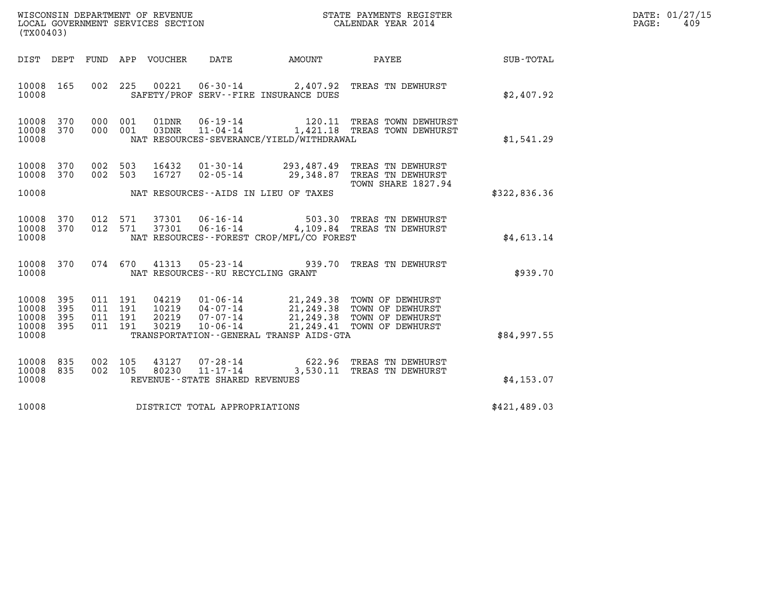| WISCONSIN DEPARTMENT OF REVENUE   | STATE PAYMENTS REGISTER | DATE: 01/27/15 |
|-----------------------------------|-------------------------|----------------|
| LOCAL GOVERNMENT SERVICES SECTION | CALENDAR YEAR 2014      | 409<br>PAGE:   |

| WISCONSIN DEPARTMENT OF REVENUE<br>LOCAL GOVERNMENT SERVICES SECTION<br>STATE PAYMENTS REGISTER<br>LOCAL GOVERNMENT SERVICES SECTION<br>CALENDAR YEAR 2014<br>(TX00403) |                          |                                          |     | DATE: 01/27/15<br>PAGE:<br>409 |                                                                       |                                                    |                                                                                                                                         |              |  |
|-------------------------------------------------------------------------------------------------------------------------------------------------------------------------|--------------------------|------------------------------------------|-----|--------------------------------|-----------------------------------------------------------------------|----------------------------------------------------|-----------------------------------------------------------------------------------------------------------------------------------------|--------------|--|
| DIST DEPT                                                                                                                                                               |                          |                                          |     | FUND APP VOUCHER               | DATE                                                                  | <b>AMOUNT</b>                                      | PAYEE                                                                                                                                   | SUB-TOTAL    |  |
| 10008 165<br>10008                                                                                                                                                      |                          | 002 225                                  |     |                                |                                                                       | SAFETY/PROF SERV--FIRE INSURANCE DUES              | 00221  06-30-14  2,407.92  TREAS TN DEWHURST                                                                                            | \$2,407.92   |  |
| 10008<br>10008 370<br>10008                                                                                                                                             | 370                      | 000<br>000 001                           | 001 | 01DNR<br>03DNR                 | $11 - 04 - 14$                                                        | NAT RESOURCES-SEVERANCE/YIELD/WITHDRAWAL           | 06-19-14 120.11 TREAS TOWN DEWHURST<br>1,421.18 TREAS TOWN DEWHURST                                                                     | \$1,541.29   |  |
| 10008<br>10008 370<br>10008                                                                                                                                             | 370                      | 002 503<br>002 503                       |     | 16432<br>16727                 | 01-30-14<br>$02 - 05 - 14$                                            | 293,487.49<br>NAT RESOURCES--AIDS IN LIEU OF TAXES | TREAS TN DEWHURST<br>29,348.87 TREAS TN DEWHURST<br>TOWN SHARE 1827.94                                                                  | \$322,836.36 |  |
| 10008 370<br>10008<br>10008                                                                                                                                             | 370                      | 012 571<br>012 571                       |     | 37301<br>37301                 |                                                                       | NAT RESOURCES--FOREST CROP/MFL/CO FOREST           | 06-16-14 503.30 TREAS TN DEWHURST<br>06-16-14 4,109.84 TREAS TN DEWHURST<br>4,109.84 TREAS TN DEWHURST                                  | \$4.613.14   |  |
| 10008<br>10008                                                                                                                                                          | 370                      | 074 670                                  |     | 41313                          | NAT RESOURCES -- RU RECYCLING GRANT                                   |                                                    | 05-23-14 939.70 TREAS TN DEWHURST                                                                                                       | \$939.70     |  |
| 10008<br>10008<br>10008<br>10008<br>10008                                                                                                                               | 395<br>395<br>395<br>395 | 011 191<br>011 191<br>011 191<br>011 191 |     | 10219<br>20219<br>30219        | 04219  01-06-14<br>04-07-14                                           | TRANSPORTATION--GENERAL TRANSP AIDS-GTA            | 21,249.38 TOWN OF DEWHURST<br>21, 249.38 TOWN OF DEWHURST<br>07-07-14 21,249.38 TOWN OF DEWHURST<br>10-06-14 21,249.41 TOWN OF DEWHURST | \$84,997.55  |  |
| 10008<br>10008<br>10008                                                                                                                                                 | 835<br>835               | 002 105<br>002 105                       |     |                                | 43127 07-28-14<br>80230 11-17-14<br>REVENUE - - STATE SHARED REVENUES |                                                    | 622.96 TREAS TN DEWHURST<br>3,530.11 TREAS TN DEWHURST                                                                                  | \$4,153.07   |  |
| 10008                                                                                                                                                                   |                          |                                          |     |                                | DISTRICT TOTAL APPROPRIATIONS                                         |                                                    |                                                                                                                                         | \$421,489.03 |  |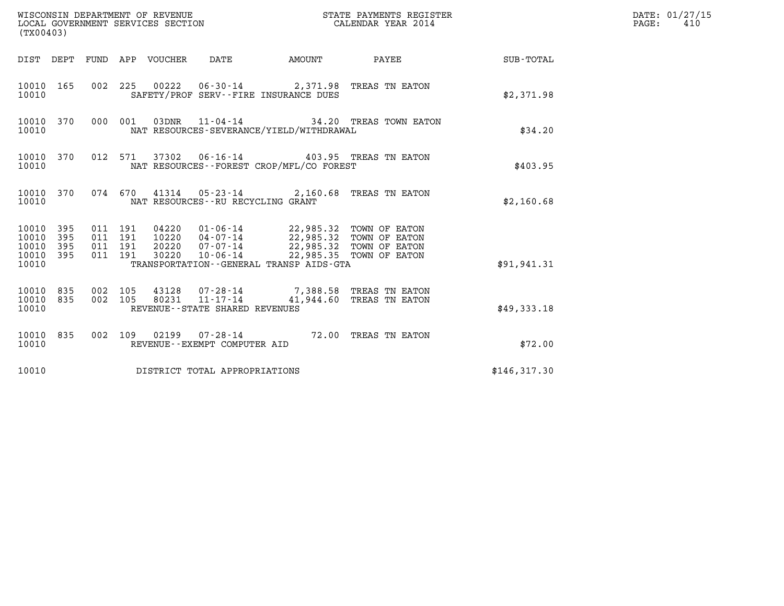| (TX00403)                                                       |                                          | WISCONSIN DEPARTMENT OF REVENUE<br>LOCAL GOVERNMENT SERVICES SECTION |                                                                                                                                                                             | STATE PAYMENTS REGISTER<br>CALENDAR YEAR 2014 |              | DATE: 01/27/15<br>PAGE:<br>410 |
|-----------------------------------------------------------------|------------------------------------------|----------------------------------------------------------------------|-----------------------------------------------------------------------------------------------------------------------------------------------------------------------------|-----------------------------------------------|--------------|--------------------------------|
|                                                                 |                                          | DIST DEPT FUND APP VOUCHER DATE                                      | AMOUNT                                                                                                                                                                      | PAYEE                                         | SUB-TOTAL    |                                |
| 10010 165<br>10010                                              |                                          |                                                                      | 002 225 00222 06-30-14 2,371.98 TREAS TN EATON<br>SAFETY/PROF SERV--FIRE INSURANCE DUES                                                                                     |                                               | \$2,371.98   |                                |
| 10010 370<br>10010                                              | 000 001                                  |                                                                      | 03DNR  11-04-14  34.20 TREAS TOWN EATON<br>NAT RESOURCES-SEVERANCE/YIELD/WITHDRAWAL                                                                                         |                                               | \$34.20      |                                |
| 10010 370<br>10010                                              | 012 571                                  |                                                                      | 37302  06-16-14  403.95  TREAS TN EATON<br>NAT RESOURCES--FOREST CROP/MFL/CO FOREST                                                                                         |                                               | \$403.95     |                                |
| 10010 370<br>10010                                              |                                          |                                                                      | 074 670 41314 05-23-14 2,160.68 TREAS TN EATON<br>NAT RESOURCES - - RU RECYCLING GRANT                                                                                      |                                               | \$2,160.68   |                                |
| 10010 395<br>10010<br>395<br>10010<br>395<br>10010 395<br>10010 | 011 191<br>011 191<br>011 191<br>011 191 | 04220<br>10220<br>20220<br>30220                                     | 01-06-14 22,985.32 TOWN OF EATON<br>04-07-14 22,985.32 TOWN OF EATON<br>$07 - 07 - 14$ 22,985.32 TOWN OF EATON<br>$10 - 06 - 14$<br>TRANSPORTATION--GENERAL TRANSP AIDS-GTA | 22,985.35 TOWN OF EATON                       | \$91,941.31  |                                |
| 10010 835<br>835<br>10010<br>10010                              | 002 105<br>002 105                       | 80231<br>11-17-14<br>REVENUE--STATE SHARED REVENUES                  | 43128 07-28-14 7,388.58 TREAS TN EATON                                                                                                                                      | 41,944.60 TREAS TN EATON                      | \$49,333.18  |                                |
| 10010 835<br>10010                                              |                                          | REVENUE--EXEMPT COMPUTER AID                                         | 002 109 02199 07-28-14 72.00 TREAS TN EATON                                                                                                                                 |                                               | \$72.00      |                                |
| 10010                                                           |                                          | DISTRICT TOTAL APPROPRIATIONS                                        |                                                                                                                                                                             |                                               | \$146,317.30 |                                |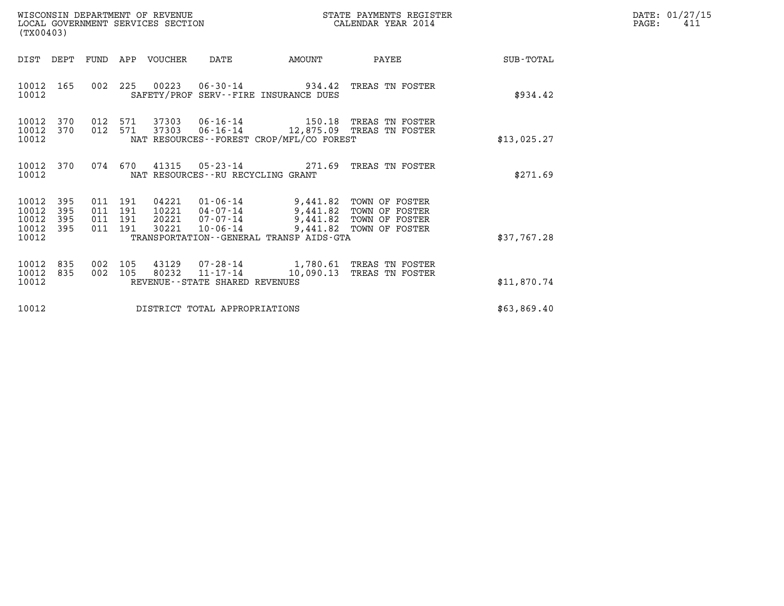| WISCONSIN DEPARTMENT OF REVENUE   | STATE PAYMENTS REGISTER | DATE: 01/27/15 |
|-----------------------------------|-------------------------|----------------|
| LOCAL GOVERNMENT SERVICES SECTION | CALENDAR YEAR 2014      | PAGE:<br>⊥41   |

| WISCONSIN DEPARTMENT OF REVENUE<br>LOCAL GOVERNMENT SERVICES SECTION<br>(TX00403) |                          |                          |                          |                |                                                                       |                                                                             | STATE PAYMENTS REGISTER<br>CALENDAR YEAR 2014                                  |             | DATE: 01/27/15<br>PAGE:<br>411 |
|-----------------------------------------------------------------------------------|--------------------------|--------------------------|--------------------------|----------------|-----------------------------------------------------------------------|-----------------------------------------------------------------------------|--------------------------------------------------------------------------------|-------------|--------------------------------|
| DIST                                                                              | DEPT                     | FUND                     |                          | APP VOUCHER    | DATE                                                                  | AMOUNT                                                                      | PAYEE                                                                          | SUB-TOTAL   |                                |
| 10012<br>10012                                                                    | 165                      | 002                      | 225                      |                |                                                                       | SAFETY/PROF SERV--FIRE INSURANCE DUES                                       | 00223  06-30-14  934.42  TREAS TN FOSTER                                       | \$934.42    |                                |
| 10012<br>10012<br>10012                                                           | 370<br>370               | 012<br>012 571           | 571                      | 37303          |                                                                       | NAT RESOURCES - - FOREST CROP/MFL/CO FOREST                                 | 37303  06-16-14  150.18  TREAS TN FOSTER<br>06-16-14 12,875.09 TREAS TN FOSTER | \$13,025.27 |                                |
| 10012 370<br>10012                                                                |                          |                          | 074 670                  | 41315          | NAT RESOURCES - - RU RECYCLING GRANT                                  | $05 - 23 - 14$ 271.69                                                       | TREAS TN FOSTER                                                                | \$271.69    |                                |
| 10012<br>10012<br>10012<br>10012<br>10012                                         | 395<br>395<br>395<br>395 | 011<br>011<br>011<br>011 | 191<br>191<br>191<br>191 | 04221<br>30221 | $01 - 06 - 14$<br>10221  04-07-14<br>20221 07-07-14<br>$10 - 06 - 14$ | 9,441.82<br>9,441.82<br>9,441.82<br>TRANSPORTATION--GENERAL TRANSP AIDS-GTA | TOWN OF FOSTER<br>TOWN OF FOSTER<br>TOWN OF FOSTER<br>9,441.82 TOWN OF FOSTER  | \$37,767.28 |                                |
| 10012<br>10012<br>10012                                                           | 835<br>835               | 002<br>002               | 105<br>105               | 43129<br>80232 | REVENUE--STATE SHARED REVENUES                                        |                                                                             | 07-28-14 1,780.61 TREAS TN FOSTER<br>11-17-14 10,090.13 TREAS TN FOSTER        | \$11,870.74 |                                |
| 10012                                                                             |                          |                          |                          |                | DISTRICT TOTAL APPROPRIATIONS                                         |                                                                             |                                                                                | \$63,869.40 |                                |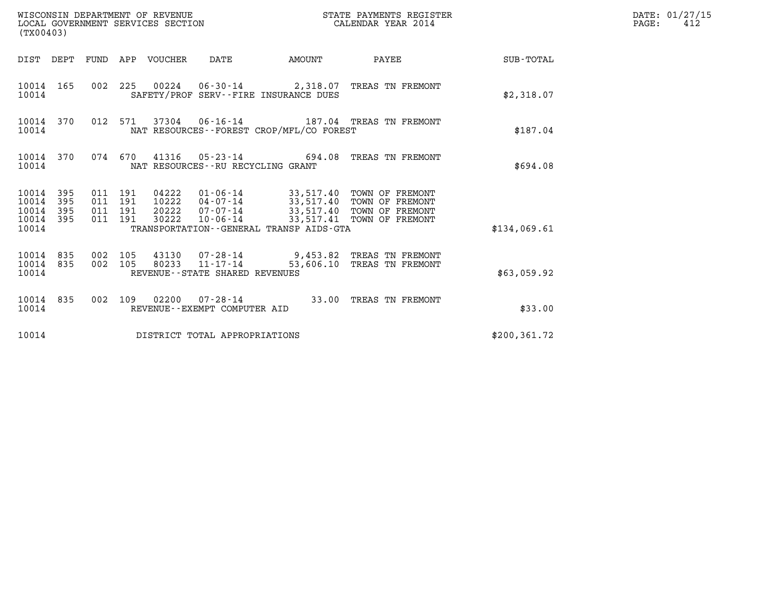| (TX00403)                                                       | WISCONSIN DEPARTMENT OF REVENUE<br>LOCAL GOVERNMENT SERVICES SECTION<br>CALENDAR YEAR 2014                                                                                                                                                                                 | STATE PAYMENTS REGISTER | DATE: 01/27/15<br>$\mathtt{PAGE}$ :<br>412 |
|-----------------------------------------------------------------|----------------------------------------------------------------------------------------------------------------------------------------------------------------------------------------------------------------------------------------------------------------------------|-------------------------|--------------------------------------------|
|                                                                 | DIST DEPT FUND APP VOUCHER DATE                                                                                                                                                                                                                                            | AMOUNT PAYEE SUB-TOTAL  |                                            |
| 10014 165<br>10014                                              | 002 225 00224 06-30-14 2,318.07 TREAS TN FREMONT<br>SAFETY/PROF SERV--FIRE INSURANCE DUES                                                                                                                                                                                  | \$2,318.07              |                                            |
| 10014 370<br>10014                                              | 012 571 37304 06-16-14 187.04 TREAS TN FREMONT<br>NAT RESOURCES -- FOREST CROP/MFL/CO FOREST                                                                                                                                                                               | \$187.04                |                                            |
| 10014 370<br>10014                                              | 074 670 41316 05-23-14 694.08 TREAS TN FREMONT<br>NAT RESOURCES--RU RECYCLING GRANT                                                                                                                                                                                        | \$694.08                |                                            |
| 10014 395<br>10014<br>395<br>395<br>10014<br>10014 395<br>10014 | 04222  01-06-14  33,517.40 TOWN OF FREMONT<br>10222  04-07-14  33,517.40 TOWN OF FREMONT<br>011 191<br>011 191<br>20222 07-07-14 33,517.40 TOWN OF FREMONT<br>011 191<br>10-06-14 33,517.41 TOWN OF FREMONT<br>011 191<br>30222<br>TRANSPORTATION--GENERAL TRANSP AIDS-GTA | \$134.069.61            |                                            |
| 10014 835<br>10014 835<br>10014                                 | 002 105<br>43130 07-28-14 9,453.82 TREAS TN FREMONT<br>$80233$ $11 - \overline{17} - \overline{14}$<br>002 105<br>53,606.10 TREAS TN FREMONT<br>REVENUE--STATE SHARED REVENUES                                                                                             | \$63,059.92             |                                            |
| 10014 835<br>10014                                              | 002 109 02200 07-28-14 33.00 TREAS TN FREMONT<br>REVENUE--EXEMPT COMPUTER AID                                                                                                                                                                                              | \$33.00                 |                                            |
| 10014                                                           | DISTRICT TOTAL APPROPRIATIONS                                                                                                                                                                                                                                              | \$200, 361.72           |                                            |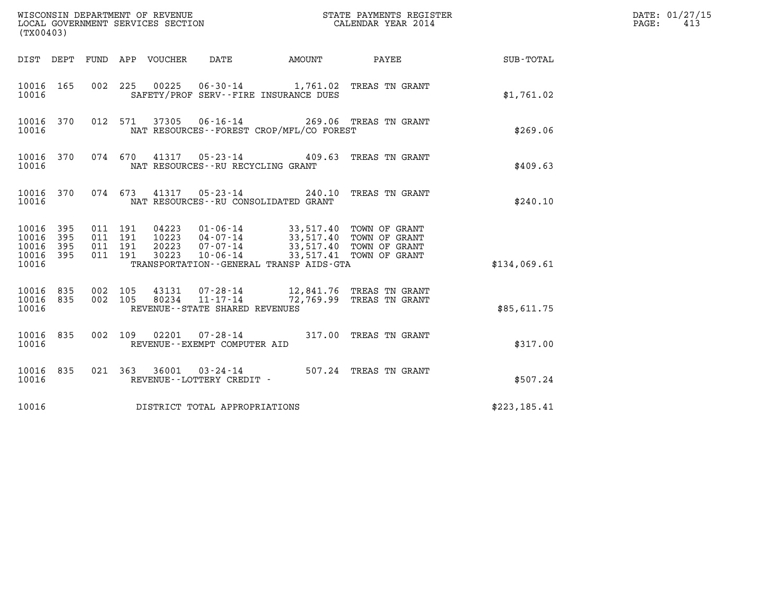| (TX00403)                                                       | WISCONSIN DEPARTMENT OF REVENUE<br>LOCAL GOVERNMENT SERVICES SECTION                                                                            | STATE PAYMENTS REGISTER<br>CALENDAR YEAR 2014                                                                                       |               | DATE: 01/27/15<br>$\mathtt{PAGE}$ :<br>413 |
|-----------------------------------------------------------------|-------------------------------------------------------------------------------------------------------------------------------------------------|-------------------------------------------------------------------------------------------------------------------------------------|---------------|--------------------------------------------|
| DIST DEPT FUND APP VOUCHER                                      | DATE                                                                                                                                            |                                                                                                                                     |               |                                            |
| 10016 165<br>10016                                              | 00225<br>002 225<br>SAFETY/PROF SERV--FIRE INSURANCE DUES                                                                                       | 06-30-14 1,761.02 TREAS TN GRANT                                                                                                    | \$1,761.02    |                                            |
| 10016 370<br>10016                                              | 37305 06-16-14<br>012 571<br>NAT RESOURCES - - FOREST CROP/MFL/CO FOREST                                                                        | 269.06 TREAS TN GRANT                                                                                                               | \$269.06      |                                            |
| 10016 370<br>10016                                              | 074 670 41317<br>NAT RESOURCES - - RU RECYCLING GRANT                                                                                           | 05-23-14 409.63 TREAS TN GRANT                                                                                                      | \$409.63      |                                            |
| 10016 370<br>10016                                              | 074 673 41317 05-23-14 240.10 TREAS TN GRANT<br>NAT RESOURCES -- RU CONSOLIDATED GRANT                                                          |                                                                                                                                     | \$240.10      |                                            |
| 10016 395<br>10016<br>395<br>10016<br>395<br>10016 395<br>10016 | 011 191<br>04223   01-06-14<br>10223<br>011 191<br>011 191<br>20223<br>011 191<br>30223<br>TRANSPORTATION - - GENERAL TRANSP AIDS - GTA         | 33,517.40 TOWN OF GRANT<br>04-07-14 33,517.40 TOWN OF GRANT<br>07-07-14 33,517.40 TOWN OF GRANT<br>10-06-14 33,517.41 TOWN OF GRANT | \$134,069.61  |                                            |
| 10016 835<br>10016 835<br>10016                                 | 43131  07-28-14   12,841.76   TREAS TN GRANT<br>002 105<br>80234 11-17-14 72,769.99 TREAS TN GRANT<br>002 105<br>REVENUE--STATE SHARED REVENUES |                                                                                                                                     | \$85,611.75   |                                            |
| 10016 835<br>10016                                              | 002 109 02201 07-28-14<br>REVENUE--EXEMPT COMPUTER AID                                                                                          | 317.00 TREAS TN GRANT                                                                                                               | \$317.00      |                                            |
| 10016 835<br>10016                                              | 021 363 36001 03-24-14 507.24 TREAS TN GRANT<br>REVENUE--LOTTERY CREDIT -                                                                       |                                                                                                                                     | \$507.24      |                                            |
| 10016                                                           | DISTRICT TOTAL APPROPRIATIONS                                                                                                                   |                                                                                                                                     | \$223, 185.41 |                                            |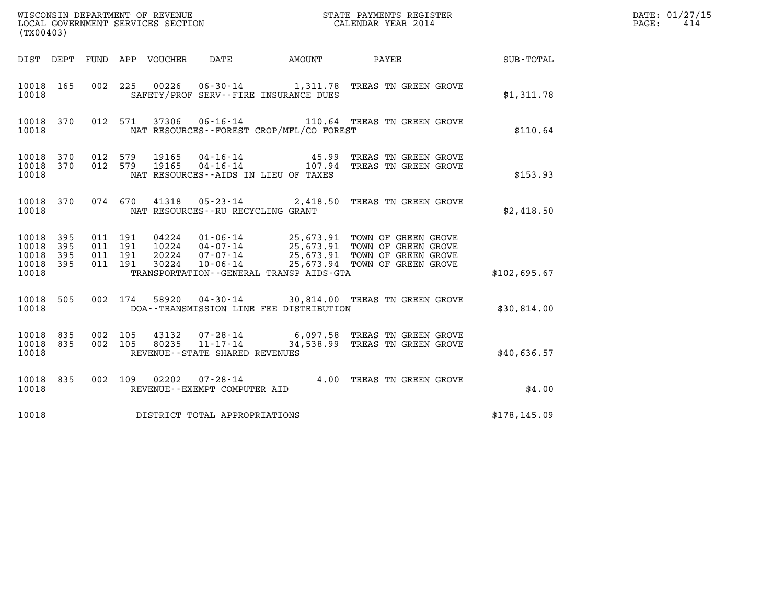| (TX00403)                                |            |                                                                                                                                                                                                                                                      |               | DATE: 01/27/15<br>414<br>$\mathtt{PAGE:}$ |
|------------------------------------------|------------|------------------------------------------------------------------------------------------------------------------------------------------------------------------------------------------------------------------------------------------------------|---------------|-------------------------------------------|
|                                          |            | DIST DEPT FUND APP VOUCHER<br>DATE<br>AMOUNT PAYEE                                                                                                                                                                                                   | SUB-TOTAL     |                                           |
| 10018 165<br>10018                       |            | 002 225 00226 06-30-14 1,311.78 TREAS TN GREEN GROVE<br>SAFETY/PROF SERV--FIRE INSURANCE DUES                                                                                                                                                        | \$1,311.78    |                                           |
| 10018 370<br>10018                       |            | 012 571 37306 06-16-14 110.64 TREAS TN GREEN GROVE<br>NAT RESOURCES - - FOREST CROP/MFL/CO FOREST                                                                                                                                                    | \$110.64      |                                           |
| 10018 370<br>10018 370<br>10018          |            | 012 579 19165 04-16-14 45.99 TREAS TN GREEN GROVE 012 579 19165 04-16-14 107.94 TREAS TN GREEN GROVE<br>NAT RESOURCES--AIDS IN LIEU OF TAXES                                                                                                         | \$153.93      |                                           |
| 10018 370<br>10018                       |            | 074 670 41318 05-23-14 2,418.50 TREAS TN GREEN GROVE<br>NAT RESOURCES -- RU RECYCLING GRANT                                                                                                                                                          | \$2,418.50    |                                           |
| 10018<br>10018<br>10018 395<br>10018 395 | 395<br>395 | 04224  01-06-14  25,673.91  TOWN OF GREEN GROVE<br>10224  04-07-14  25,673.91  TOWN OF GREEN GROVE<br>20224  07-07-14  25,673.91  TOWN OF GREEN GROVE<br>30224  10-06-14  25,673.94  TOWN OF GREEN GROVE<br>011 191<br>011 191<br>011 191<br>011 191 |               |                                           |
| 10018                                    |            | TRANSPORTATION--GENERAL TRANSP AIDS-GTA                                                                                                                                                                                                              | \$102,695.67  |                                           |
| 10018 505<br>10018                       |            | 002 174 58920 04-30-14 30,814.00 TREAS TN GREEN GROVE<br>DOA--TRANSMISSION LINE FEE DISTRIBUTION                                                                                                                                                     | \$30,814.00   |                                           |
| 10018 835<br>10018 835<br>10018          |            | 002 105<br>002 105<br>REVENUE--STATE SHARED REVENUES                                                                                                                                                                                                 | \$40,636.57   |                                           |
| 10018 835<br>10018                       |            | 07-28-14 4.00 TREAS TN GREEN GROVE<br>002 109<br>02202<br>REVENUE--EXEMPT COMPUTER AID                                                                                                                                                               | \$4.00        |                                           |
| 10018                                    |            | DISTRICT TOTAL APPROPRIATIONS                                                                                                                                                                                                                        | \$178, 145.09 |                                           |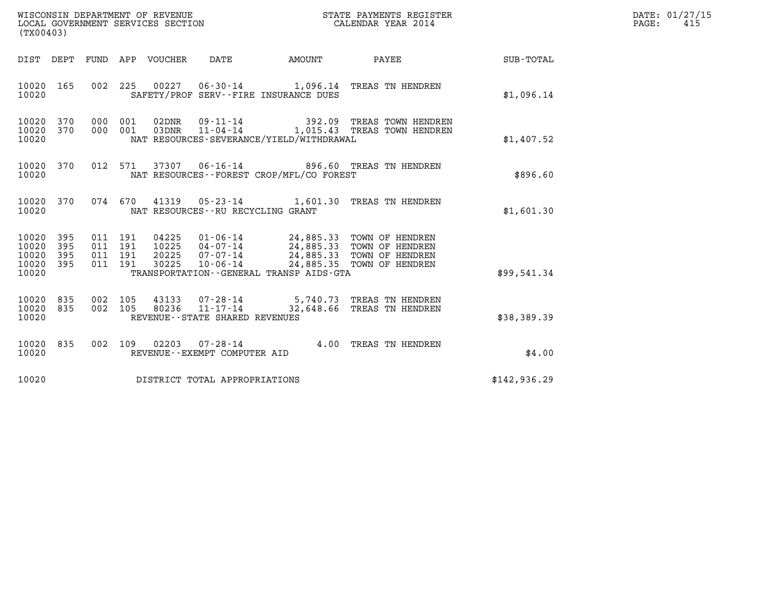|       | DATE: 01/27/15 |
|-------|----------------|
| PAGE: | 415            |

| (TX00403)                                                          | WISCONSIN DEPARTMENT OF REVENUE<br>LOCAL GOVERNMENT SERVICES SECTION<br>LOCAL GOVERNMENT SERVICES SECTION<br>CALENDAR YEAR 2014                                                                                                                             |                                                                                 | DATE: 01/27/15<br>$\mathtt{PAGE}$ :<br>415 |
|--------------------------------------------------------------------|-------------------------------------------------------------------------------------------------------------------------------------------------------------------------------------------------------------------------------------------------------------|---------------------------------------------------------------------------------|--------------------------------------------|
|                                                                    | AMOUNT<br>DIST DEPT FUND APP VOUCHER<br>DATE                                                                                                                                                                                                                | <b>PAYEE</b> FOR THE PAYEE<br>SUB-TOTAL                                         |                                            |
| 10020 165<br>10020                                                 | 002 225 00227 06-30-14 1,096.14 TREAS TN HENDREN<br>SAFETY/PROF SERV--FIRE INSURANCE DUES                                                                                                                                                                   | \$1,096.14                                                                      |                                            |
| 10020 370<br>10020 370<br>10020                                    | 000 001<br>03DNR 11-04-14 1,015.43 TREAS TOWN HENDREN<br>000 001<br>NAT RESOURCES-SEVERANCE/YIELD/WITHDRAWAL                                                                                                                                                | 392.09 TREAS TOWN HENDREN<br>\$1,407.52                                         |                                            |
| 10020 370<br>10020                                                 | 012 571 37307 06-16-14 896.60 TREAS TN HENDREN<br>NAT RESOURCES--FOREST CROP/MFL/CO FOREST                                                                                                                                                                  | \$896.60                                                                        |                                            |
| 10020 370<br>10020                                                 | 074 670 41319 05-23-14 1,601.30 TREAS TN HENDREN<br>NAT RESOURCES -- RU RECYCLING GRANT                                                                                                                                                                     | \$1,601.30                                                                      |                                            |
| 10020<br>395<br>10020<br>395<br>10020<br>395<br>10020 395<br>10020 | 04225  01-06-14  24,885.33  TOWN OF HENDREN<br>10225  04-07-14  24,885.33  TOWN OF HENDREN<br>20225  07-07-14  24,885.33  TOWN OF HENDREN<br>011 191<br>011 191<br>011 191<br>011 191<br>30225<br>$10 - 06 - 14$<br>TRANSPORTATION--GENERAL TRANSP AIDS-GTA | 24,885.35 TOWN OF HENDREN<br>\$99,541.34                                        |                                            |
| 10020 835<br>10020 835<br>10020                                    | 002 105<br>43133<br>002 105<br>$11 - 17 - 14$<br>80236<br>REVENUE - - STATE SHARED REVENUES                                                                                                                                                                 | 07-28-14 5,740.73 TREAS TN HENDREN<br>32,648.66 TREAS TN HENDREN<br>\$38,389.39 |                                            |
| 10020 835<br>10020                                                 | 002 109 02203<br>REVENUE--EXEMPT COMPUTER AID                                                                                                                                                                                                               | 07-28-14 4.00 TREAS TN HENDREN<br>\$4.00                                        |                                            |
| 10020                                                              | DISTRICT TOTAL APPROPRIATIONS                                                                                                                                                                                                                               | \$142,936.29                                                                    |                                            |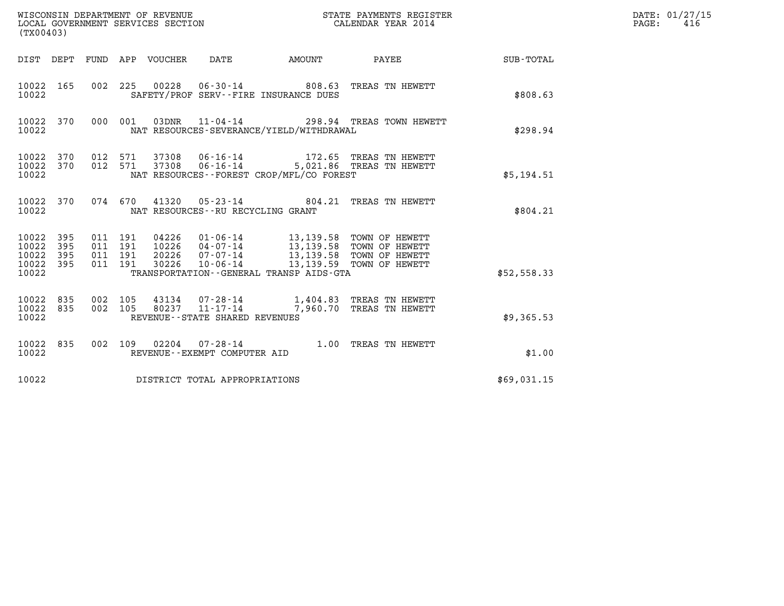| (TX00403)                                                 |           |                                          |         |       | WISCONSIN DEPARTMENT OF REVENUE<br>LOCAL GOVERNMENT SERVICES SECTION |                                                                                                                                                                                   | STATE PAYMENTS REGISTER<br>CALENDAR YEAR 2014                                          |                                                           | DATE: 01/27/15<br>$\mathtt{PAGE:}$<br>416 |  |  |
|-----------------------------------------------------------|-----------|------------------------------------------|---------|-------|----------------------------------------------------------------------|-----------------------------------------------------------------------------------------------------------------------------------------------------------------------------------|----------------------------------------------------------------------------------------|-----------------------------------------------------------|-------------------------------------------|--|--|
|                                                           |           |                                          |         |       |                                                                      |                                                                                                                                                                                   |                                                                                        | DIST DEPT FUND APP VOUCHER DATE AMOUNT PAYEE TO SUB-TOTAL |                                           |  |  |
| 10022 165<br>10022                                        |           |                                          |         |       |                                                                      | SAFETY/PROF SERV--FIRE INSURANCE DUES                                                                                                                                             | 002 225 00228 06-30-14 808.63 TREAS TN HEWETT                                          | \$808.63                                                  |                                           |  |  |
| 10022                                                     |           |                                          |         |       |                                                                      | NAT RESOURCES-SEVERANCE/YIELD/WITHDRAWAL                                                                                                                                          | 10022 370 000 001 03DNR 11-04-14 298.94 TREAS TOWN HEWETT                              | \$298.94                                                  |                                           |  |  |
| 10022 370<br>10022 370<br>10022                           |           | 012 571                                  | 012 571 |       |                                                                      | NAT RESOURCES--FOREST CROP/MFL/CO FOREST                                                                                                                                          | 37308  06-16-14  172.65  TREAS TN HEWETT<br>37308  06-16-14  5,021.86  TREAS TN HEWETT | \$5,194.51                                                |                                           |  |  |
| 10022                                                     | 10022 370 |                                          |         |       | NAT RESOURCES -- RU RECYCLING GRANT                                  |                                                                                                                                                                                   | 074 670 41320 05-23-14 804.21 TREAS TN HEWETT                                          | \$804.21                                                  |                                           |  |  |
| 10022 395<br>10022 395<br>10022 395<br>10022 395<br>10022 |           | 011 191<br>011 191<br>011 191<br>011 191 |         | 30226 | $10 - 06 - 14$                                                       | 04226  01-06-14  13,139.58  TOWN OF HEWETT<br>10226  04-07-14  13,139.58  TOWN OF HEWETT<br>20226  07-07-14  13,139.58  TOWN OF HEWETT<br>TRANSPORTATION--GENERAL TRANSP AIDS-GTA | 13,139.59 TOWN OF HEWETT                                                               | \$52,558.33                                               |                                           |  |  |
| 10022 835<br>10022 835<br>10022                           |           | 002 105<br>002 105                       |         |       | REVENUE - - STATE SHARED REVENUES                                    |                                                                                                                                                                                   |                                                                                        | \$9,365.53                                                |                                           |  |  |
| 10022 835<br>10022                                        |           |                                          |         |       | REVENUE--EXEMPT COMPUTER AID                                         |                                                                                                                                                                                   | 002 109 02204 07-28-14 1.00 TREAS TN HEWETT                                            | \$1.00                                                    |                                           |  |  |
| 10022                                                     |           |                                          |         |       | DISTRICT TOTAL APPROPRIATIONS                                        |                                                                                                                                                                                   |                                                                                        | \$69,031.15                                               |                                           |  |  |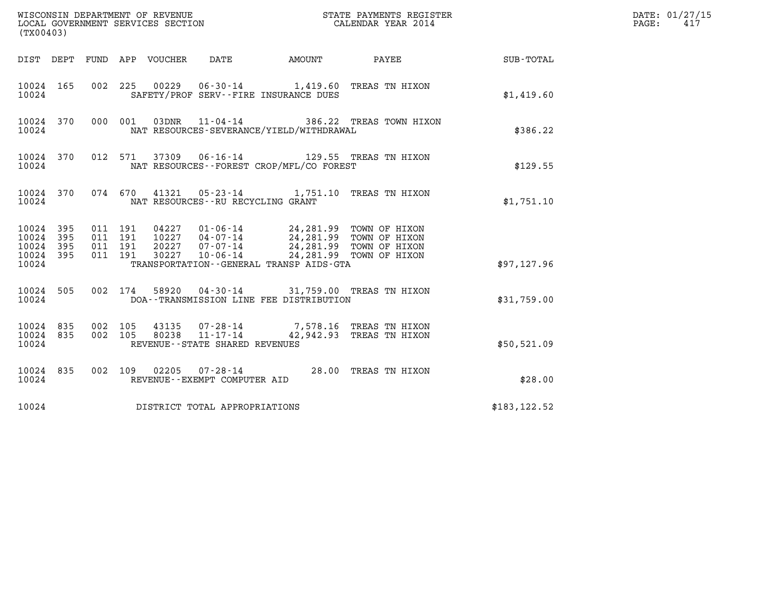| (TX00403)                                         |            |                                          |         |                            | WISCONSIN DEPARTMENT OF REVENUE<br>LOCAL GOVERNMENT SERVICES SECTION |                                             | STATE PAYMENTS REGISTER<br>CALENDAR YEAR 2014                                                                                                                                    |                        | DATE: 01/27/15<br>$\mathtt{PAGE:}$<br>417 |
|---------------------------------------------------|------------|------------------------------------------|---------|----------------------------|----------------------------------------------------------------------|---------------------------------------------|----------------------------------------------------------------------------------------------------------------------------------------------------------------------------------|------------------------|-------------------------------------------|
|                                                   |            |                                          |         | DIST DEPT FUND APP VOUCHER | DATE                                                                 |                                             |                                                                                                                                                                                  | AMOUNT PAYEE SUB-TOTAL |                                           |
| 10024 165<br>10024                                |            | 002 225                                  |         |                            | SAFETY/PROF SERV--FIRE INSURANCE DUES                                |                                             | 00229  06-30-14  1,419.60  TREAS TN HIXON                                                                                                                                        | \$1,419.60             |                                           |
| 10024 370<br>10024                                |            |                                          | 000 001 |                            | 03DNR 11-04-14                                                       | NAT RESOURCES-SEVERANCE/YIELD/WITHDRAWAL    | 386.22 TREAS TOWN HIXON                                                                                                                                                          | \$386.22               |                                           |
| 10024 370<br>10024                                |            |                                          |         |                            |                                                                      | NAT RESOURCES - - FOREST CROP/MFL/CO FOREST | 012 571 37309 06-16-14 129.55 TREAS TN HIXON                                                                                                                                     | \$129.55               |                                           |
| 10024 370<br>10024                                |            |                                          |         |                            | NAT RESOURCES - - RU RECYCLING GRANT                                 |                                             | 074 670 41321 05-23-14 1,751.10 TREAS TN HIXON                                                                                                                                   | \$1,751.10             |                                           |
| 10024 395<br>10024<br>10024<br>10024 395<br>10024 | 395<br>395 | 011 191<br>011 191<br>011 191<br>011 191 |         |                            |                                                                      | TRANSPORTATION--GENERAL TRANSP AIDS-GTA     | 04227  01-06-14  24,281.99  TOWN OF HIXON<br>10227  04-07-14  24,281.99  TOWN OF HIXON<br>20227  07-07-14  24,281.99  TOWN OF HIXON<br>30227  10-06-14  24,281.99  TOWN OF HIXON | \$97,127.96            |                                           |
| 10024 505<br>10024                                |            |                                          | 002 174 |                            |                                                                      | DOA--TRANSMISSION LINE FEE DISTRIBUTION     | 58920  04-30-14  31,759.00  TREAS TN HIXON                                                                                                                                       | \$31,759.00            |                                           |
| 10024 835<br>10024 835<br>10024                   |            | 002 105<br>002 105                       |         |                            | REVENUE--STATE SHARED REVENUES                                       |                                             | 43135  07-28-14  7,578.16 TREAS TN HIXON<br>80238  11-17-14  42,942.93 TREAS TN HIXON                                                                                            | \$50,521.09            |                                           |
| 10024 835<br>10024                                |            |                                          |         |                            | REVENUE--EXEMPT COMPUTER AID                                         |                                             | 002 109 02205 07-28-14 28.00 TREAS TN HIXON                                                                                                                                      | \$28.00                |                                           |
| 10024                                             |            |                                          |         |                            | DISTRICT TOTAL APPROPRIATIONS                                        |                                             |                                                                                                                                                                                  | \$183, 122.52          |                                           |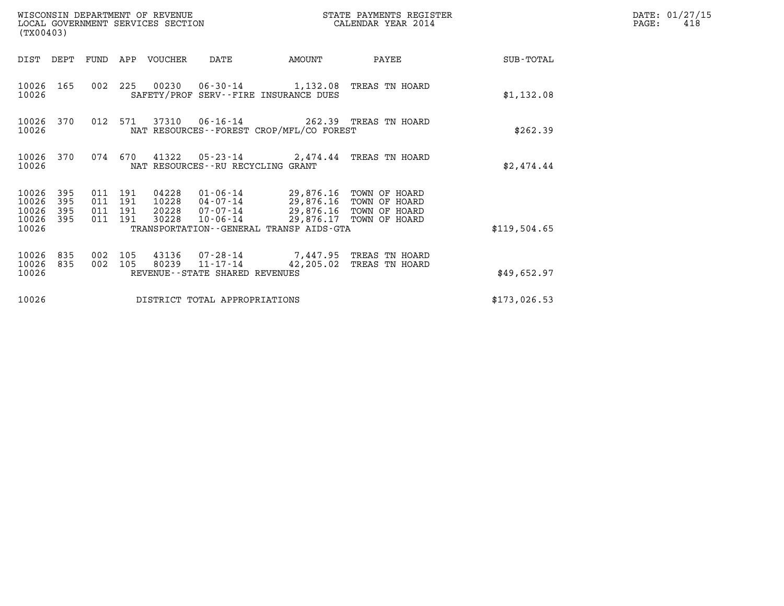| (TX00403)                                 |                            |                                      |         | WISCONSIN DEPARTMENT OF REVENUE<br>LOCAL GOVERNMENT SERVICES SECTION |                                                  | STATE PAYMENTS REGISTER<br>CALENDAR YEAR 2014                                                                                                                                                |                          |              | DATE: 01/27/15<br>PAGE:<br>418 |
|-------------------------------------------|----------------------------|--------------------------------------|---------|----------------------------------------------------------------------|--------------------------------------------------|----------------------------------------------------------------------------------------------------------------------------------------------------------------------------------------------|--------------------------|--------------|--------------------------------|
|                                           |                            |                                      |         | DIST DEPT FUND APP VOUCHER                                           | DATE                                             | AMOUNT                                                                                                                                                                                       | PAYEE                    | SUB-TOTAL    |                                |
| 10026                                     | 10026 165                  |                                      |         |                                                                      |                                                  | 002 225 00230 06-30-14 1,132.08 TREAS TN HOARD<br>SAFETY/PROF SERV--FIRE INSURANCE DUES                                                                                                      |                          | \$1,132.08   |                                |
| 10026                                     | 10026 370                  |                                      | 012 571 |                                                                      |                                                  | 37310  06-16-14  262.39  TREAS TN HOARD<br>NAT RESOURCES - - FOREST CROP/MFL/CO FOREST                                                                                                       |                          | \$262.39     |                                |
| 10026                                     | 10026 370                  |                                      | 074 670 |                                                                      | NAT RESOURCES--RU RECYCLING GRANT                | 41322  05-23-14  2,474.44 TREAS TN HOARD                                                                                                                                                     |                          | \$2,474.44   |                                |
| 10026<br>10026<br>10026<br>10026<br>10026 | - 395<br>395<br>395<br>395 | 011 191<br>011<br>011 191<br>011 191 | 191     | 04228<br>10228<br>20228<br>30228                                     |                                                  | 01-06-14 29,876.16 TOWN OF HOARD<br>04-07-14 29,876.16 TOWN OF HOARD<br>07-07-14 29,876.16 TOWN OF HOARD<br>10-06-14 29,876.17 TOWN OF HOARD<br>TRANSPORTATION - - GENERAL TRANSP AIDS - GTA |                          | \$119,504.65 |                                |
| 10026<br>10026<br>10026                   | 835<br>835                 | 002 105<br>002 105                   |         | 80239                                                                | $11 - 17 - 14$<br>REVENUE--STATE SHARED REVENUES | 43136 07-28-14 7,447.95 TREAS TN HOARD                                                                                                                                                       | 42,205.02 TREAS TN HOARD | \$49,652.97  |                                |
| 10026                                     |                            |                                      |         |                                                                      | DISTRICT TOTAL APPROPRIATIONS                    |                                                                                                                                                                                              |                          | \$173,026.53 |                                |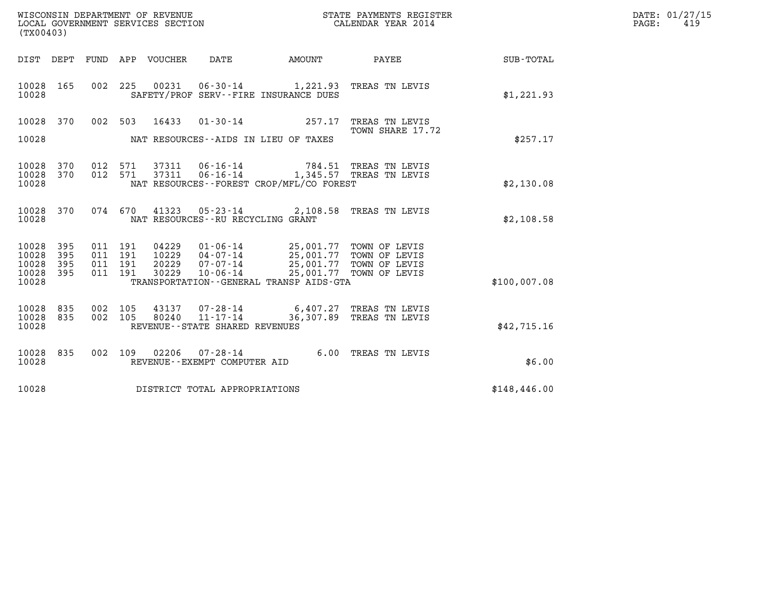| WISCONSIN DEPARTMENT OF REVENUE<br>LOCAL GOVERNMENT SERVICES SECTION<br>(TX00403) |                   |         |                               |                       |                                                     |                                                                                                                                   | STATE PAYMENTS REGISTER<br>CALENDAR YEAR 2014      |                 | DATE: 01/27/15<br>$\mathtt{PAGE}$ :<br>419 |
|-----------------------------------------------------------------------------------|-------------------|---------|-------------------------------|-----------------------|-----------------------------------------------------|-----------------------------------------------------------------------------------------------------------------------------------|----------------------------------------------------|-----------------|--------------------------------------------|
|                                                                                   | DIST DEPT         |         |                               | FUND APP VOUCHER DATE |                                                     | AMOUNT                                                                                                                            |                                                    | PAYEE SUB-TOTAL |                                            |
| 10028 165<br>10028                                                                |                   |         |                               | 002 225 00231         |                                                     | 06-30-14 1,221.93 TREAS TN LEVIS<br>SAFETY/PROF SERV--FIRE INSURANCE DUES                                                         |                                                    | \$1,221.93      |                                            |
| 10028                                                                             | 370               |         | 002 503                       | 16433                 |                                                     | $01 - 30 - 14$ 257.17                                                                                                             | TREAS TN LEVIS                                     |                 |                                            |
| 10028                                                                             |                   |         |                               |                       |                                                     | NAT RESOURCES--AIDS IN LIEU OF TAXES                                                                                              | TOWN SHARE 17.72                                   | \$257.17        |                                            |
| 10028<br>10028<br>10028                                                           | 370<br>370        |         | 012 571<br>012 571            | 37311                 |                                                     | 06-16-14 784.51 TREAS TN LEVIS<br>37311  06-16-14   1,345.57   TREAS TN LEVIS<br>NAT RESOURCES - - FOREST CROP/MFL/CO FOREST      |                                                    | \$2,130.08      |                                            |
| 10028<br>10028                                                                    | 370               |         | 074 670                       |                       | NAT RESOURCES -- RU RECYCLING GRANT                 | 41323  05-23-14  2,108.58  TREAS TN LEVIS                                                                                         |                                                    | \$2,108.58      |                                            |
| 10028<br>10028<br>10028<br>10028 395<br>10028                                     | 395<br>395<br>395 | 011 191 | 011 191<br>011 191<br>011 191 | 20229<br>30229        | 07-07-14<br>$10 - 06 - 14$                          | 04229  01-06-14  25,001.77  TOWN OF LEVIS<br>10229  04-07-14  25,001.77  TOWN OF LEVIS<br>TRANSPORTATION--GENERAL TRANSP AIDS-GTA | 25,001.77 TOWN OF LEVIS<br>25,001.77 TOWN OF LEVIS | \$100,007.08    |                                            |
| 10028<br>10028 835<br>10028                                                       | 835               | 002     | 105<br>002 105                | 43137<br>80240        | $11 - 17 - 14$<br>REVENUE - - STATE SHARED REVENUES | 07-28-14 6,407.27 TREAS TN LEVIS                                                                                                  | 36,307.89 TREAS TN LEVIS                           | \$42,715.16     |                                            |
| 10028<br>10028                                                                    | 835               |         | 002 109                       | 02206                 | $07 - 28 - 14$<br>REVENUE--EXEMPT COMPUTER AID      |                                                                                                                                   | 6.00 TREAS TN LEVIS                                | \$6.00          |                                            |
| 10028                                                                             |                   |         |                               |                       | DISTRICT TOTAL APPROPRIATIONS                       |                                                                                                                                   |                                                    | \$148,446.00    |                                            |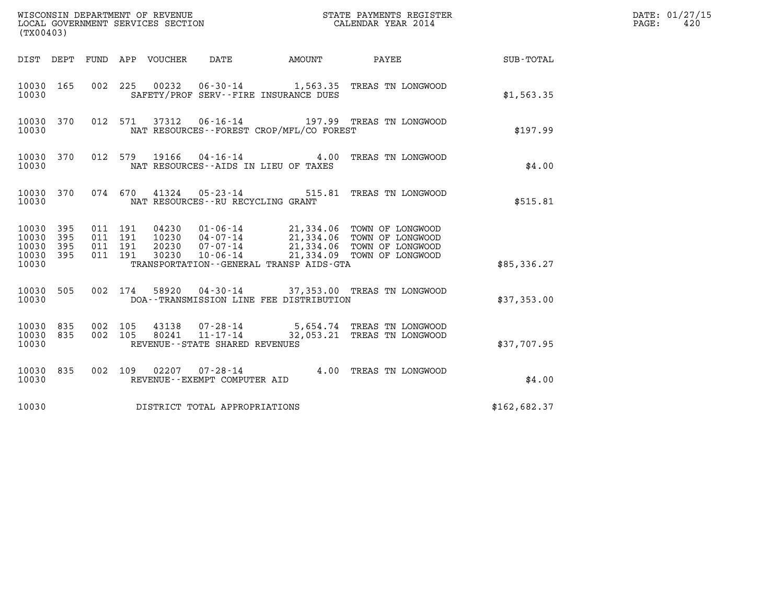| (TX00403)                                                       | WISCONSIN DEPARTMENT OF REVENUE<br>LOCAL GOVERNMENT SERVICES SECTION                                                    | STATE PAYMENTS REGISTER<br>CALENDAR YEAR 2014                                                                                                            |              | DATE: 01/27/15<br>PAGE:<br>420 |
|-----------------------------------------------------------------|-------------------------------------------------------------------------------------------------------------------------|----------------------------------------------------------------------------------------------------------------------------------------------------------|--------------|--------------------------------|
|                                                                 | DIST DEPT FUND APP VOUCHER<br>DATE<br>AMOUNT                                                                            | <b>PAYEE</b> FOR THE PAYEE                                                                                                                               | SUB-TOTAL    |                                |
| 10030 165<br>10030                                              | 00232<br>002 225<br>SAFETY/PROF SERV--FIRE INSURANCE DUES                                                               | 06-30-14 1,563.35 TREAS TN LONGWOOD                                                                                                                      | \$1,563.35   |                                |
| 10030 370<br>10030                                              | 37312<br>$06 - 16 - 14$<br>012 571<br>NAT RESOURCES - - FOREST CROP/MFL/CO FOREST                                       | 197.99 TREAS TN LONGWOOD                                                                                                                                 | \$197.99     |                                |
| 10030 370<br>10030                                              | $04 - 16 - 14$<br>012 579<br>19166<br>NAT RESOURCES -- AIDS IN LIEU OF TAXES                                            | 4.00 TREAS TN LONGWOOD                                                                                                                                   | \$4.00       |                                |
| 10030 370<br>10030                                              | 074 670 41324 05-23-14<br>NAT RESOURCES -- RU RECYCLING GRANT                                                           | 515.81 TREAS TN LONGWOOD                                                                                                                                 | \$515.81     |                                |
| 10030 395<br>10030<br>395<br>10030<br>395<br>10030 395<br>10030 | 011 191<br>04230<br>011 191<br>10230<br>011 191<br>20230<br>011 191<br>30230<br>TRANSPORTATION--GENERAL TRANSP AIDS-GTA | 01-06-14 21,334.06 TOWN OF LONGWOOD<br>04-07-14 21,334.06 TOWN OF LONGWOOD<br>07-07-14 21,334.06 TOWN OF LONGWOOD<br>10-06-14 21,334.09 TOWN OF LONGWOOD | \$85,336.27  |                                |
| 10030 505<br>10030                                              | 002 174<br>58920<br>DOA--TRANSMISSION LINE FEE DISTRIBUTION                                                             | 04-30-14 37,353.00 TREAS TN LONGWOOD                                                                                                                     | \$37,353.00  |                                |
| 10030 835<br>10030 835<br>10030                                 | 002 105<br>43138<br>002 105<br>80241<br>REVENUE - - STATE SHARED REVENUES                                               | 07-28-14 5,654.74 TREAS TN LONGWOOD<br>11-17-14 32,053.21 TREAS TN LONGWOOD                                                                              | \$37,707.95  |                                |
| 10030 835<br>10030                                              | 02207  07-28-14  4.00 TREAS TN LONGWOOD<br>002 109<br>REVENUE--EXEMPT COMPUTER AID                                      |                                                                                                                                                          | \$4.00       |                                |
| 10030                                                           | DISTRICT TOTAL APPROPRIATIONS                                                                                           |                                                                                                                                                          | \$162,682.37 |                                |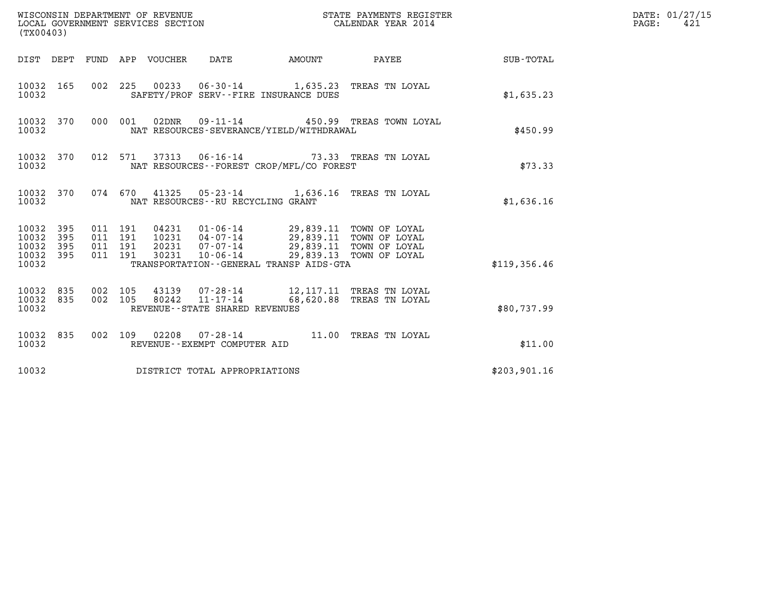| (TX00403)                                                       | WISCONSIN DEPARTMENT OF REVENUE<br>LOCAL GOVERNMENT SERVICES SECTION |                                                                                                                                                                    | STATE PAYMENTS REGISTER<br>CALENDAR YEAR 2014        |              | DATE: 01/27/15<br>PAGE:<br>421 |
|-----------------------------------------------------------------|----------------------------------------------------------------------|--------------------------------------------------------------------------------------------------------------------------------------------------------------------|------------------------------------------------------|--------------|--------------------------------|
|                                                                 | DIST DEPT FUND APP VOUCHER                                           | <b>AMOUNT</b><br>DATE                                                                                                                                              | PAYEE                                                | SUB-TOTAL    |                                |
| 10032 165<br>10032                                              |                                                                      | 002 225 00233 06-30-14 1,635.23 TREAS TN LOYAL<br>SAFETY/PROF SERV--FIRE INSURANCE DUES                                                                            |                                                      | \$1,635.23   |                                |
| 10032 370<br>10032                                              | 000 001<br>02DNR                                                     | $09 - 11 - 14$<br>NAT RESOURCES-SEVERANCE/YIELD/WITHDRAWAL                                                                                                         | 450.99 TREAS TOWN LOYAL                              | \$450.99     |                                |
| 10032 370<br>10032                                              | 012 571                                                              | 37313  06-16-14  73.33  TREAS TN LOYAL<br>NAT RESOURCES--FOREST CROP/MFL/CO FOREST                                                                                 |                                                      | \$73.33      |                                |
| 10032 370<br>10032                                              |                                                                      | 074 670 41325 05-23-14 1,636.16 TREAS TN LOYAL<br>NAT RESOURCES - - RU RECYCLING GRANT                                                                             |                                                      | \$1,636.16   |                                |
| 10032 395<br>10032<br>395<br>10032<br>395<br>10032 395<br>10032 | 011 191<br>011 191<br>011 191<br>011 191<br>30231                    | 04231 01-06-14 29,839.11 TOWN OF LOYAL<br>10231  04-07-14  29,839.11  TOWN OF LOYAL<br>20231 07-07-14<br>$10 - 06 - 14$<br>TRANSPORTATION--GENERAL TRANSP AIDS-GTA | 29,839.11 TOWN OF LOYAL<br>29,839.13 TOWN OF LOYAL   | \$119,356.46 |                                |
| 10032 835<br>835<br>10032<br>10032                              | 002 105<br>43139<br>002 105<br>80242                                 | 07-28-14<br>$11 - 17 - 14$<br>REVENUE--STATE SHARED REVENUES                                                                                                       | 12,117.11 TREAS TN LOYAL<br>68,620.88 TREAS TN LOYAL | \$80,737.99  |                                |
| 10032 835<br>10032                                              |                                                                      | 002 109 02208 07-28-14 11.00 TREAS TN LOYAL<br>REVENUE--EXEMPT COMPUTER AID                                                                                        |                                                      | \$11.00      |                                |
| 10032                                                           | DISTRICT TOTAL APPROPRIATIONS                                        |                                                                                                                                                                    |                                                      | \$203,901.16 |                                |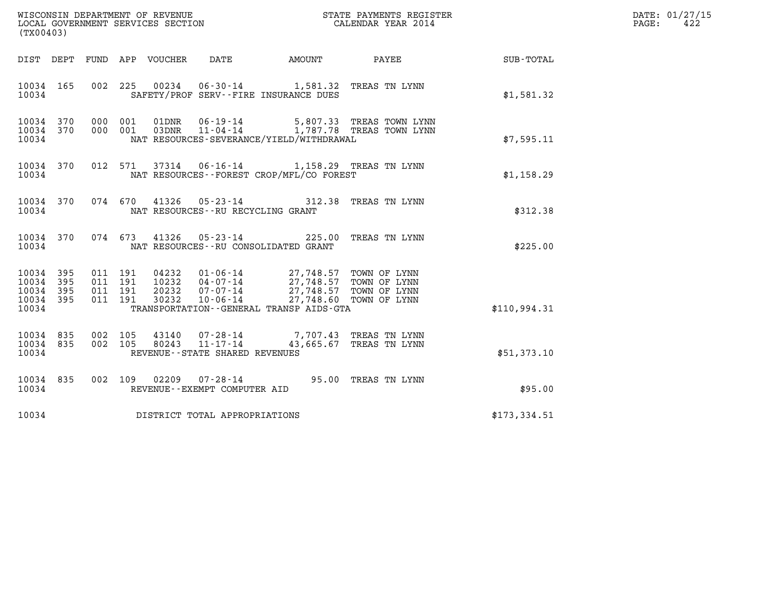| WISCONSIN DEPARTMENT OF REVENUE<br>LOCAL GOVERNMENT SERVICES SECTION | STATE PAYMENTS REGISTER<br>CALENDAR YEAR 2014 | DATE: 01/27/15<br>422<br>PAGE: |
|----------------------------------------------------------------------|-----------------------------------------------|--------------------------------|

| LOCAL GOVERNMENT SERVICES SECTION<br>(TX00403)                                                                                                                                                                                                                                                                                                           | CALENDAR YEAR 2014        |
|----------------------------------------------------------------------------------------------------------------------------------------------------------------------------------------------------------------------------------------------------------------------------------------------------------------------------------------------------------|---------------------------|
| DIST DEPT FUND APP VOUCHER DATE AMOUNT PAYEE                                                                                                                                                                                                                                                                                                             | SUB-TOTAL                 |
| 10034 165<br>002<br>225<br>00234  06-30-14  1,581.32  TREAS TN LYNN<br>10034<br>SAFETY/PROF SERV--FIRE INSURANCE DUES                                                                                                                                                                                                                                    | \$1,581.32                |
| 10034 370<br>000<br>001<br>000<br>001<br>10034<br>370<br>NAT RESOURCES-SEVERANCE/YIELD/WITHDRAWAL<br>10034                                                                                                                                                                                                                                               | \$7,595.11                |
| 012<br>37314  06-16-14  1,158.29  TREAS TN LYNN<br>10034 370<br>571<br>NAT RESOURCES - - FOREST CROP/MFL/CO FOREST<br>10034                                                                                                                                                                                                                              | \$1,158.29                |
| 05-23-14 312.38 TREAS TN LYNN<br>074 670<br>10034 370<br>41326<br>NAT RESOURCES - - RU RECYCLING GRANT<br>10034                                                                                                                                                                                                                                          | \$312.38                  |
| 10034 370<br>074 673<br>41326 05-23-14 225.00<br>10034<br>NAT RESOURCES -- RU CONSOLIDATED GRANT                                                                                                                                                                                                                                                         | TREAS TN LYNN<br>\$225.00 |
| 395<br>011<br>04232  01-06-14  27,748.57  TOWN OF LYNN<br>10232  04-07-14  27,748.57  TOWN OF LYNN<br>20232  07-07-14  27,748.57  TOWN OF LYNN<br>30232  10-06-14  27,748.60  TOWN OF LYNN<br>10034<br>191<br>395<br>10034<br>011<br>191<br>10034<br>395<br>011<br>191<br>011<br>191<br>10034<br>395<br>10034<br>TRANSPORTATION--GENERAL TRANSP AIDS-GTA | \$110,994.31              |
| $\begin{array}{cccc} 43140 & 07\,\text{-}\,28\,\text{-}14 & 7\,,707\,\text{-}43 & \text{TREAS TN LYNN} \\ 80243 & 11\,\text{-}\,17\,\text{-}14 & 43\,,665\,\text{-}\,67 & \text{TREAS TN LYNN} \end{array}$<br>10034 835<br>002<br>105<br>43140<br>002<br>10034<br>835<br>105<br>10034<br>REVENUE - - STATE SHARED REVENUES                              | \$51,373.10               |
| 10034 835<br>002<br>109<br>02209<br>$07 - 28 - 14$<br>95.00<br>10034<br>REVENUE--EXEMPT COMPUTER AID                                                                                                                                                                                                                                                     | TREAS TN LYNN<br>\$95.00  |
| 10034<br>DISTRICT TOTAL APPROPRIATIONS                                                                                                                                                                                                                                                                                                                   | \$173,334.51              |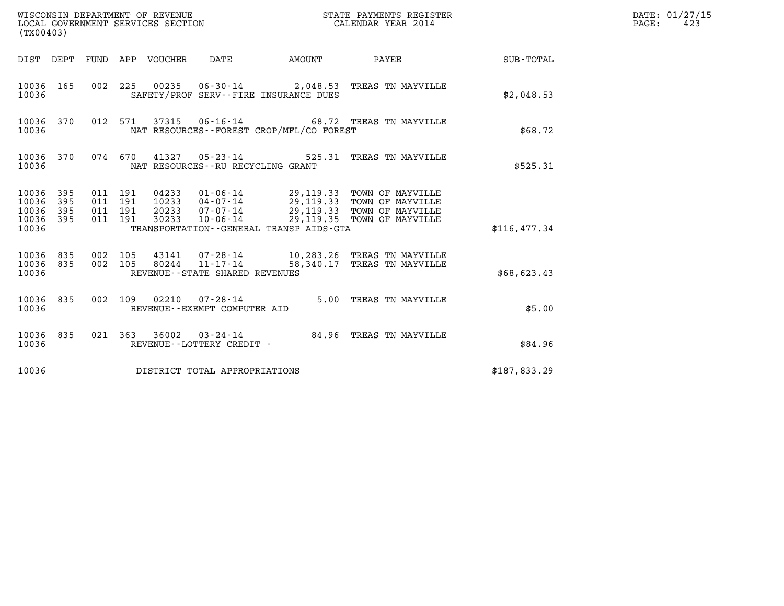| (TX00403)                                 |                          |                                          |         |                                 | WISCONSIN DEPARTMENT OF REVENUE<br>LOCAL GOVERNMENT SERVICES SECTION |                                          | STATE PAYMENTS REGISTER<br>CALENDAR YEAR 2014                                                                                                                     |              | DATE: 01/27/15<br>$\mathtt{PAGE}$ :<br>423 |
|-------------------------------------------|--------------------------|------------------------------------------|---------|---------------------------------|----------------------------------------------------------------------|------------------------------------------|-------------------------------------------------------------------------------------------------------------------------------------------------------------------|--------------|--------------------------------------------|
|                                           |                          |                                          |         | DIST DEPT FUND APP VOUCHER DATE |                                                                      | <b>EXAMPLE THE PROPERTY OF STATE</b>     | PAYEE                                                                                                                                                             | SUB-TOTAL    |                                            |
| 10036 165<br>10036                        |                          |                                          |         |                                 |                                                                      | SAFETY/PROF SERV--FIRE INSURANCE DUES    | 002 225 00235 06-30-14 2,048.53 TREAS TN MAYVILLE                                                                                                                 | \$2,048.53   |                                            |
| 10036 370<br>10036                        |                          |                                          |         |                                 |                                                                      | NAT RESOURCES--FOREST CROP/MFL/CO FOREST | 012 571 37315 06-16-14 68.72 TREAS TN MAYVILLE                                                                                                                    | \$68.72      |                                            |
| 10036 370<br>10036                        |                          |                                          | 074 670 |                                 | NAT RESOURCES--RU RECYCLING GRANT                                    |                                          | 41327  05-23-14  525.31  TREAS TN MAYVILLE                                                                                                                        | \$525.31     |                                            |
| 10036<br>10036<br>10036<br>10036<br>10036 | 395<br>395<br>395<br>395 | 011 191<br>011 191<br>011 191<br>011 191 |         | 20233<br>30233                  | 07-07-14                                                             | TRANSPORTATION--GENERAL TRANSP AIDS-GTA  | 04233  01-06-14  29,119.33  TOWN OF MAYVILLE<br>10233  04-07-14  29,119.33  TOWN OF MAYVILLE<br>29,119.33 TOWN OF MAYVILLE<br>10-06-14 29,119.35 TOWN OF MAYVILLE | \$116,477.34 |                                            |
| 10036<br>10036<br>10036                   | 835<br>835               | 002 105<br>002 105                       |         |                                 | REVENUE--STATE SHARED REVENUES                                       |                                          | 43141  07-28-14  10,283.26  TREAS TN MAYVILLE<br>80244 11-17-14 58,340.17 TREAS TN MAYVILLE                                                                       | \$68,623.43  |                                            |
| 10036 835<br>10036                        |                          | 002 109                                  |         |                                 | 02210 07-28-14<br>REVENUE--EXEMPT COMPUTER AID                       |                                          | 5.00 TREAS TN MAYVILLE                                                                                                                                            | \$5.00       |                                            |
| 10036 835<br>10036                        |                          |                                          |         |                                 | REVENUE--LOTTERY CREDIT -                                            |                                          | 021 363 36002 03-24-14 84.96 TREAS TN MAYVILLE                                                                                                                    | \$84.96      |                                            |
| 10036                                     |                          |                                          |         |                                 | DISTRICT TOTAL APPROPRIATIONS                                        |                                          |                                                                                                                                                                   | \$187,833.29 |                                            |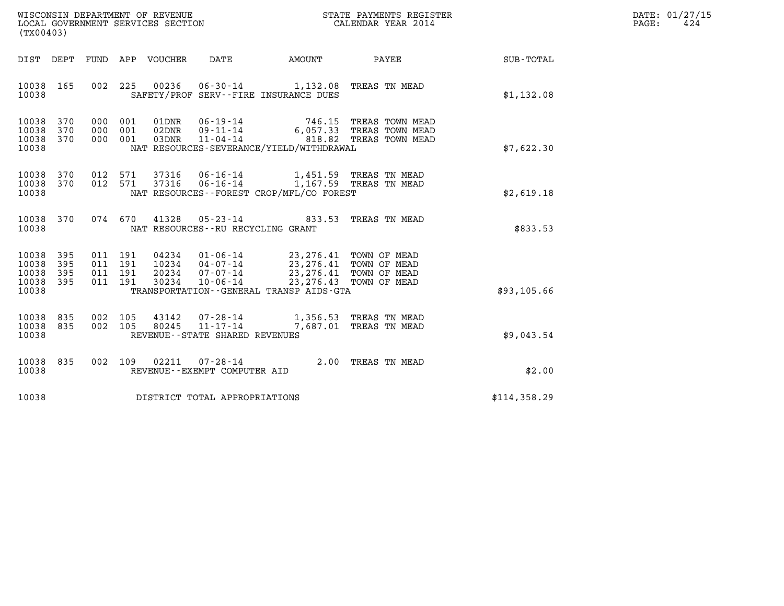| WISCONSIN DEPARTMENT OF REVENUE   | STATE PAYMENTS REGISTER | DATE: 01/27/15 |
|-----------------------------------|-------------------------|----------------|
| LOCAL GOVERNMENT SERVICES SECTION | CALENDAR YEAR 2014      | 424<br>PAGE:   |

| (TX00403)                                                             |                          |                                                              |                                                                       |                                                                          |                                                                                                          |                  |
|-----------------------------------------------------------------------|--------------------------|--------------------------------------------------------------|-----------------------------------------------------------------------|--------------------------------------------------------------------------|----------------------------------------------------------------------------------------------------------|------------------|
| DIST<br>DEPT                                                          | FUND                     | APP VOUCHER                                                  | DATE                                                                  | AMOUNT                                                                   | PAYEE                                                                                                    | <b>SUB-TOTAL</b> |
| 10038<br>165<br>10038                                                 | 002                      | 225<br>00236                                                 |                                                                       | 06-30-14 1,132.08 TREAS TN MEAD<br>SAFETY/PROF SERV--FIRE INSURANCE DUES |                                                                                                          | \$1,132.08       |
| 10038<br>370<br>370<br>10038<br>10038<br>370<br>10038                 | 000<br>000<br>000        | 001<br>01DNR<br>001<br>02DNR<br>001<br>03DNR                 | 06-19-14<br>$09 - 11 - 14$<br>$11 - 04 - 14$                          | NAT RESOURCES-SEVERANCE/YIELD/WITHDRAWAL                                 | 746.15 TREAS TOWN MEAD<br>6,057.33 TREAS TOWN MEAD<br>818.82 TREAS TOWN MEAD                             | \$7,622.30       |
| 10038<br>370<br>10038<br>370<br>10038                                 | 012<br>012               | 571<br>37316<br>571<br>37316                                 | 06-16-14<br>$06 - 16 - 14$                                            | NAT RESOURCES - - FOREST CROP/MFL/CO FOREST                              | 1,451.59 TREAS TN MEAD<br>1,167.59 TREAS TN MEAD                                                         | \$2,619.18       |
| 10038<br>370<br>10038                                                 | 074                      | 670<br>41328                                                 | $05 - 23 - 14$<br>NAT RESOURCES - - RU RECYCLING GRANT                | 833.53                                                                   | TREAS TN MEAD                                                                                            | \$833.53         |
| 10038<br>395<br>10038<br>395<br>10038<br>395<br>10038<br>395<br>10038 | 011<br>011<br>011<br>011 | 191<br>04234<br>10234<br>191<br>20234<br>191<br>191<br>30234 | $01 - 06 - 14$<br>04-07-14<br>$07 - 07 - 14$<br>$10 - 06 - 14$        | TRANSPORTATION--GENERAL TRANSP AIDS-GTA                                  | 23, 276.41 TOWN OF MEAD<br>23, 276.41 TOWN OF MEAD<br>23, 276.41 TOWN OF MEAD<br>23, 276.43 TOWN OF MEAD | \$93,105.66      |
| 835<br>10038<br>835<br>10038<br>10038                                 | 002<br>002               | 105<br>43142<br>105<br>80245                                 | $07 - 28 - 14$<br>$11 - 17 - 14$<br>REVENUE - - STATE SHARED REVENUES | 7,687.01                                                                 | 1,356.53 TREAS TN MEAD<br>TREAS TN MEAD                                                                  | \$9,043.54       |
| 10038<br>835<br>10038                                                 | 002                      | 109<br>02211                                                 | $07 - 28 - 14$<br>REVENUE - - EXEMPT COMPUTER AID                     | 2.00                                                                     | TREAS TN MEAD                                                                                            | \$2.00           |
| 10038                                                                 |                          |                                                              | DISTRICT TOTAL APPROPRIATIONS                                         |                                                                          |                                                                                                          | \$114,358.29     |
|                                                                       |                          |                                                              |                                                                       |                                                                          |                                                                                                          |                  |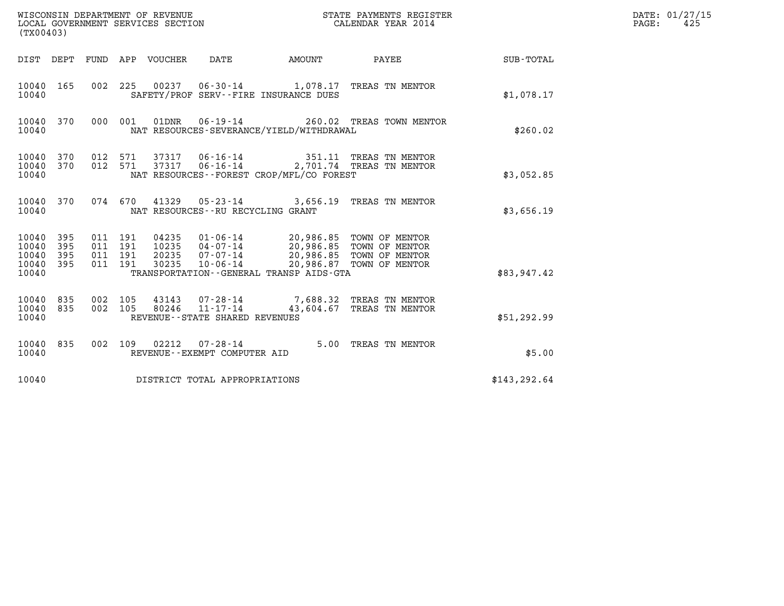| (TX00403)                                 |                          |                                          | WISCONSIN DEPARTMENT OF REVENUE<br>LOCAL GOVERNMENT SERVICES SECTION |                                                                       | STATE PAYMENTS REGISTER<br>CALENDAR YEAR 2014                                                            |                                                             |               | DATE: 01/27/15<br>PAGE:<br>425 |
|-------------------------------------------|--------------------------|------------------------------------------|----------------------------------------------------------------------|-----------------------------------------------------------------------|----------------------------------------------------------------------------------------------------------|-------------------------------------------------------------|---------------|--------------------------------|
|                                           |                          |                                          | DIST DEPT FUND APP VOUCHER DATE                                      |                                                                       | AMOUNT                                                                                                   | PAYEE                                                       | SUB-TOTAL     |                                |
| 10040 165<br>10040                        |                          | 002 225                                  |                                                                      |                                                                       | SAFETY/PROF SERV--FIRE INSURANCE DUES                                                                    | 00237  06-30-14  1,078.17  TREAS TN MENTOR                  | \$1.078.17    |                                |
| 10040 370<br>10040                        |                          | 000 001                                  | 01DNR                                                                |                                                                       | NAT RESOURCES-SEVERANCE/YIELD/WITHDRAWAL                                                                 | 06-19-14 260.02 TREAS TOWN MENTOR                           | \$260.02      |                                |
| 10040 370<br>10040<br>10040               | 370                      | 012 571<br>012 571                       | 37317<br>37317                                                       | $06 - 16 - 14$                                                        | NAT RESOURCES - - FOREST CROP/MFL/CO FOREST                                                              | 06-16-14 351.11 TREAS TN MENTOR<br>2,701.74 TREAS TN MENTOR | \$3,052.85    |                                |
| 10040 370<br>10040                        |                          |                                          |                                                                      | 074 670 41329 05-23-14<br>NAT RESOURCES - - RU RECYCLING GRANT        |                                                                                                          | 3,656.19 TREAS TN MENTOR                                    | \$3,656.19    |                                |
| 10040<br>10040<br>10040<br>10040<br>10040 | 395<br>395<br>395<br>395 | 011 191<br>011 191<br>011 191<br>011 191 | 04235<br>10235<br>20235<br>30235                                     | $04 - 07 - 14$<br>07-07-14<br>$10 - 06 - 14$                          | 01-06-14 20,986.85 TOWN OF MENTOR<br>20,986.85 TOWN OF MENTOR<br>TRANSPORTATION--GENERAL TRANSP AIDS-GTA | 20,986.85 TOWN OF MENTOR<br>20,986.87 TOWN OF MENTOR        | \$83,947.42   |                                |
| 10040<br>10040<br>10040                   | 835<br>835               | 002 105<br>002 105                       | 80246                                                                | 43143 07-28-14<br>$11 - 17 - 14$<br>REVENUE - - STATE SHARED REVENUES |                                                                                                          | 7,688.32 TREAS TN MENTOR<br>43,604.67 TREAS TN MENTOR       | \$51,292.99   |                                |
| 10040 835<br>10040                        |                          |                                          |                                                                      | 002 109 02212 07-28-14<br>REVENUE--EXEMPT COMPUTER AID                |                                                                                                          | 5.00 TREAS TN MENTOR                                        | \$5.00        |                                |
| 10040                                     |                          |                                          |                                                                      | DISTRICT TOTAL APPROPRIATIONS                                         |                                                                                                          |                                                             | \$143, 292.64 |                                |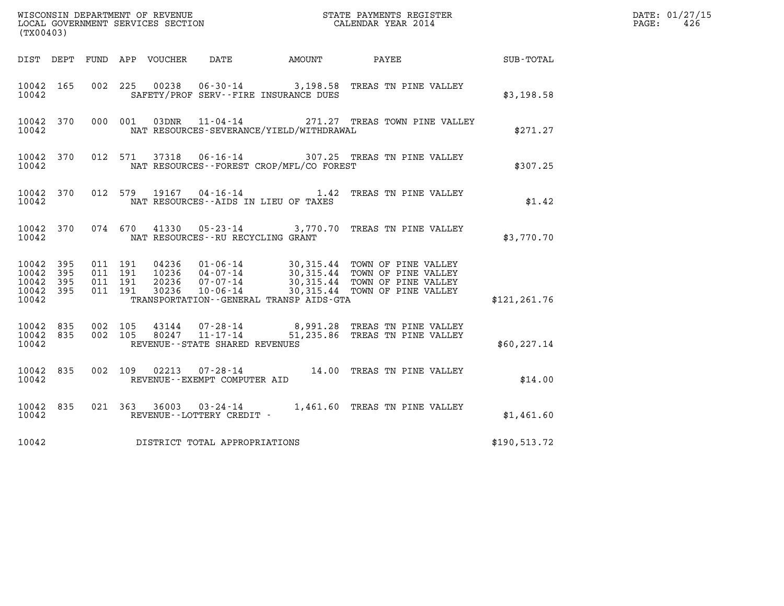| (TX00403)                                                 |           |                                          |                |                                                     |                                              |                                                                                                                                                                                                          |               | DATE: 01/27/15<br>$\mathtt{PAGE}$ :<br>426 |
|-----------------------------------------------------------|-----------|------------------------------------------|----------------|-----------------------------------------------------|----------------------------------------------|----------------------------------------------------------------------------------------------------------------------------------------------------------------------------------------------------------|---------------|--------------------------------------------|
|                                                           |           |                                          |                |                                                     | DIST DEPT FUND APP VOUCHER DATE AMOUNT PAYEE |                                                                                                                                                                                                          | SUB-TOTAL     |                                            |
| 10042 165<br>10042                                        |           |                                          |                |                                                     | SAFETY/PROF SERV--FIRE INSURANCE DUES        | 002 225 00238 06-30-14 3,198.58 TREAS TN PINE VALLEY                                                                                                                                                     | \$3,198.58    |                                            |
| 10042                                                     | 10042 370 |                                          |                | 000 001 03DNR 11-04-14                              | NAT RESOURCES-SEVERANCE/YIELD/WITHDRAWAL     | 271.27 TREAS TOWN PINE VALLEY                                                                                                                                                                            | \$271.27      |                                            |
| 10042 370<br>10042                                        |           |                                          | 012 571 37318  |                                                     | NAT RESOURCES--FOREST CROP/MFL/CO FOREST     | 06-16-14 307.25 TREAS TN PINE VALLEY                                                                                                                                                                     | \$307.25      |                                            |
| 10042 370<br>10042                                        |           |                                          |                |                                                     | NAT RESOURCES--AIDS IN LIEU OF TAXES         | 012 579 19167 04-16-14 1.42 TREAS TN PINE VALLEY                                                                                                                                                         | \$1.42        |                                            |
| 10042                                                     | 10042 370 |                                          |                | NAT RESOURCES--RU RECYCLING GRANT                   |                                              | 074 670 41330 05-23-14 3,770.70 TREAS TN PINE VALLEY                                                                                                                                                     | \$3,770.70    |                                            |
| 10042 395<br>10042 395<br>10042 395<br>10042 395<br>10042 |           | 011 191<br>011 191<br>011 191<br>011 191 |                |                                                     | TRANSPORTATION--GENERAL TRANSP AIDS-GTA      | 04236  01-06-14  30,315.44  TOWN OF PINE VALLEY<br>10236  04-07-14  30,315.44  TOWN OF PINE VALLEY<br>20236  07-07-14  30,315.44  TOWN OF PINE VALLEY<br>30236  10-06-14  30,315.44  TOWN OF PINE VALLEY | \$121, 261.76 |                                            |
| 10042 835<br>10042 835<br>10042                           |           | 002 105<br>002 105                       | 43144<br>80247 | $11 - 17 - 14$<br>REVENUE - - STATE SHARED REVENUES |                                              | 07-28-14 8,991.28 TREAS TN PINE VALLEY<br>51,235.86 TREAS TN PINE VALLEY                                                                                                                                 | \$60, 227.14  |                                            |
| 10042 835<br>10042                                        |           |                                          |                | REVENUE--EXEMPT COMPUTER AID                        |                                              | 002 109 02213 07-28-14 14.00 TREAS TN PINE VALLEY                                                                                                                                                        | \$14.00       |                                            |
| 10042                                                     | 10042 835 |                                          |                | REVENUE--LOTTERY CREDIT -                           |                                              | 021 363 36003 03-24-14 1,461.60 TREAS TN PINE VALLEY                                                                                                                                                     | \$1,461.60    |                                            |
| 10042                                                     |           |                                          |                | DISTRICT TOTAL APPROPRIATIONS                       |                                              |                                                                                                                                                                                                          | \$190,513.72  |                                            |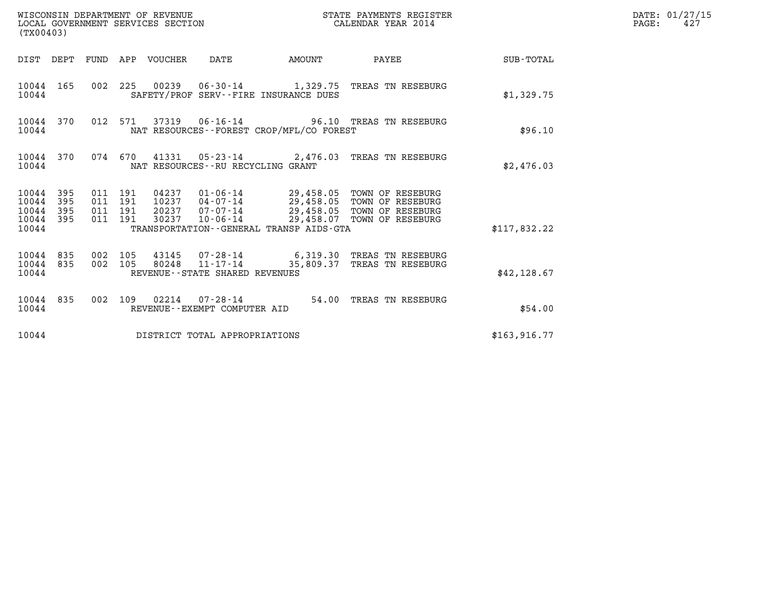| (TX00403)                                         |            |                                          | WISCONSIN DEPARTMENT OF REVENUE<br>LOCAL GOVERNMENT SERVICES SECTION |                                                  |                                          | STATE PAYMENTS REGISTER<br>CALENDAR YEAR 2014                                                                                                                                    |               | DATE: 01/27/15<br>$\mathtt{PAGE}$ :<br>427 |
|---------------------------------------------------|------------|------------------------------------------|----------------------------------------------------------------------|--------------------------------------------------|------------------------------------------|----------------------------------------------------------------------------------------------------------------------------------------------------------------------------------|---------------|--------------------------------------------|
|                                                   |            |                                          | DIST DEPT FUND APP VOUCHER DATE                                      |                                                  | AMOUNT                                   | PAYEE SUB-TOTAL                                                                                                                                                                  |               |                                            |
| 10044 165<br>10044                                |            |                                          |                                                                      |                                                  | SAFETY/PROF SERV--FIRE INSURANCE DUES    | 002 225 00239 06-30-14 1,329.75 TREAS TN RESEBURG                                                                                                                                | \$1,329.75    |                                            |
| 10044 370<br>10044                                |            |                                          |                                                                      |                                                  | NAT RESOURCES--FOREST CROP/MFL/CO FOREST | 012 571 37319 06-16-14 96.10 TREAS TN RESEBURG                                                                                                                                   | \$96.10       |                                            |
| 10044 370<br>10044                                |            |                                          |                                                                      | NAT RESOURCES - - RU RECYCLING GRANT             |                                          | 074 670 41331 05-23-14 2,476.03 TREAS TN RESEBURG                                                                                                                                | \$2,476.03    |                                            |
| 10044 395<br>10044<br>10044<br>10044 395<br>10044 | 395<br>395 | 011 191<br>011 191<br>011 191<br>011 191 | 30237                                                                |                                                  | TRANSPORTATION--GENERAL TRANSP AIDS-GTA  | 04237  01-06-14  29,458.05  TOWN OF RESEBURG<br>10237  04-07-14  29,458.05  TOWN OF RESEBURG<br>20237 07-07-14 29,458.05 TOWN OF RESEBURG<br>10-06-14 29,458.07 TOWN OF RESEBURG | \$117,832.22  |                                            |
| 10044 835<br>10044 835<br>10044                   |            | 002 105<br>002 105                       | 80248                                                                | $11 - 17 - 14$<br>REVENUE--STATE SHARED REVENUES |                                          | 43145 07-28-14 6,319.30 TREAS TN RESEBURG<br>35,809.37 TREAS TN RESEBURG                                                                                                         | \$42,128.67   |                                            |
| 10044 835<br>10044                                |            |                                          |                                                                      | REVENUE--EXEMPT COMPUTER AID                     |                                          | 002 109 02214 07-28-14 54.00 TREAS TN RESEBURG                                                                                                                                   | \$54.00       |                                            |
| 10044                                             |            |                                          |                                                                      | DISTRICT TOTAL APPROPRIATIONS                    |                                          |                                                                                                                                                                                  | \$163, 916.77 |                                            |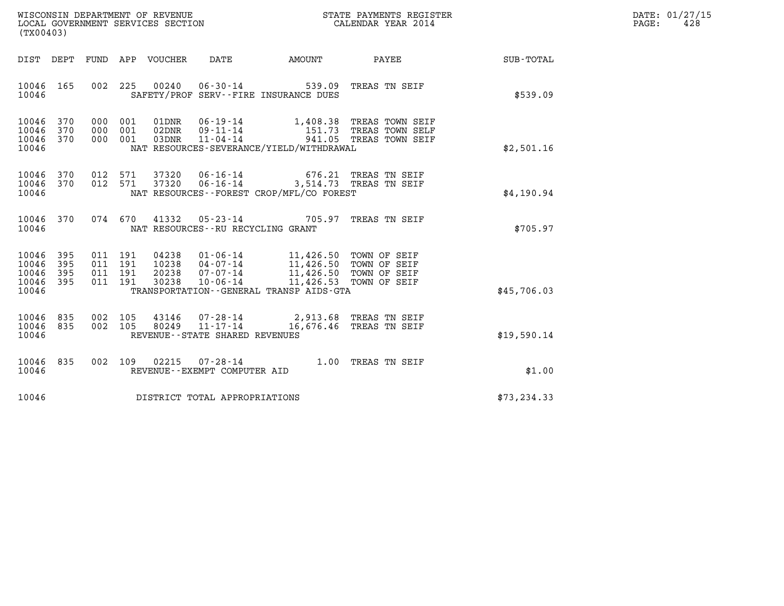| WISCONSIN DEPARTMENT OF REVENUE   | STATE PAYMENTS REGISTER | DATE: 01/27/15 |
|-----------------------------------|-------------------------|----------------|
| LOCAL GOVERNMENT SERVICES SECTION | CALENDAR YEAR 2014      | 428<br>PAGE:   |

| (TX00403)                                                       | WISCONSIN DEPARTMENT OF REVENUE<br>LOCAL GOVERNMENT SERVICES SECTION TERMS CONFINENTS REGISTER<br>CALENDAR YEAR 2014                                                                                                                                                                                                           |                           | DATE: 01/27/15<br>PAGE:<br>428 |
|-----------------------------------------------------------------|--------------------------------------------------------------------------------------------------------------------------------------------------------------------------------------------------------------------------------------------------------------------------------------------------------------------------------|---------------------------|--------------------------------|
|                                                                 | DIST DEPT FUND APP VOUCHER DATE AMOUNT PAYEE                                                                                                                                                                                                                                                                                   | SUB-TOTAL                 |                                |
| 10046 165<br>10046                                              | 002 225 00240 06-30-14 539.09<br>SAFETY/PROF SERV--FIRE INSURANCE DUES                                                                                                                                                                                                                                                         | TREAS TN SEIF<br>\$539.09 |                                |
| 10046 370<br>10046<br>370<br>10046 370<br>10046                 | 000 001 01DNR 06-19-14 1,408.38 TREAS TOWN SEIF<br>000 001 02DNR 09-11-14 151.73 TREAS TOWN SELF<br>000 001 03DNR 11-04-14 941.05 TREAS TOWN SEIF<br>NAT RESOURCES-SEVERANCE/YIELD/WITHDRAWAL                                                                                                                                  | \$2,501.16                |                                |
| 10046 370<br>10046 370<br>10046                                 | 012 571 37320 06-16-14 676.21 TREAS TN SEIF<br>012 571 37320 06-16-14 3,514.73 TREAS TN SEIF<br>NAT RESOURCES--FOREST CROP/MFL/CO FOREST                                                                                                                                                                                       | \$4,190.94                |                                |
| 10046 370<br>10046                                              | 074 670 41332 05-23-14 705.97 TREAS TN SEIF<br>NAT RESOURCES--RU RECYCLING GRANT                                                                                                                                                                                                                                               | \$705.97                  |                                |
| 10046 395<br>10046<br>395<br>10046<br>395<br>10046 395<br>10046 | $\begin{tabular}{cccc} 011 & 191 & 04238 & 01-06-14 & 11,426.50 & TOWN OF SEIF \\ 011 & 191 & 10238 & 04-07-14 & 11,426.50 & TOWN OF SEIF \\ 011 & 191 & 20238 & 07-07-14 & 11,426.50 & TOWN OF SEIF \\ 011 & 191 & 30238 & 10-06-14 & 11,426.53 & TOWN OF SEIF \end{tabular}$<br>TRANSPORTATION - - GENERAL TRANSP AIDS - GTA | \$45,706.03               |                                |
| 10046 835<br>10046 835<br>10046                                 | 002 105 43146 07-28-14 2,913.68 TREAS TN SEIF<br>002 105 80249 11-17-14 16,676.46 TREAS TN SEIF<br>REVENUE--STATE SHARED REVENUES                                                                                                                                                                                              | \$19,590.14               |                                |
| 10046 835<br>10046                                              | 002 109 02215 07-28-14 1.00 TREAS TN SEIF<br>REVENUE--EXEMPT COMPUTER AID                                                                                                                                                                                                                                                      | \$1.00                    |                                |
|                                                                 | 10046 DISTRICT TOTAL APPROPRIATIONS                                                                                                                                                                                                                                                                                            | \$73, 234.33              |                                |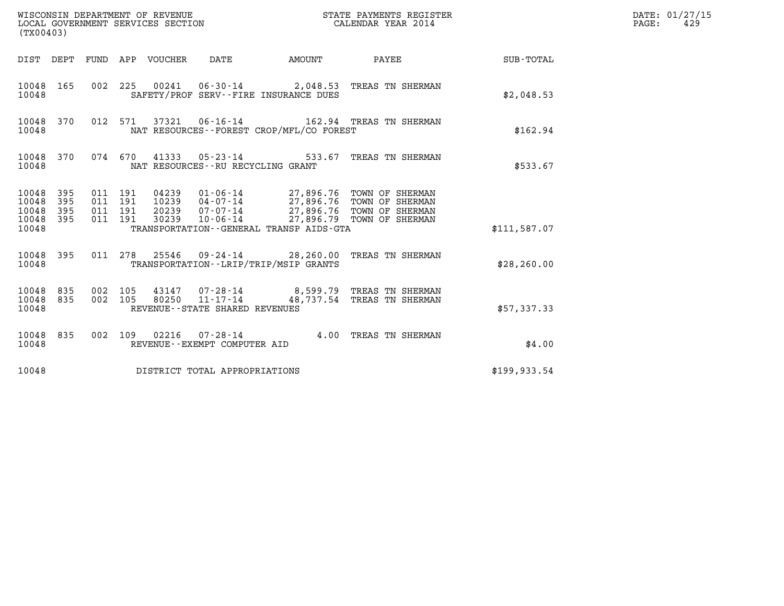| (TX00403)                                         |            |                                          |                                 | WISCONSIN DEPARTMENT OF REVENUE<br>LOCAL GOVERNMENT SERVICES SECTION |                                          | STATE PAYMENTS REGISTER<br>CALENDAR YEAR 2014                                                                                                                                   |               | DATE: 01/27/15<br>PAGE:<br>429 |
|---------------------------------------------------|------------|------------------------------------------|---------------------------------|----------------------------------------------------------------------|------------------------------------------|---------------------------------------------------------------------------------------------------------------------------------------------------------------------------------|---------------|--------------------------------|
|                                                   |            |                                          | DIST DEPT FUND APP VOUCHER DATE |                                                                      | <b>AMOUNT</b>                            | PAYEE                                                                                                                                                                           | SUB-TOTAL     |                                |
| 10048 165<br>10048                                |            |                                          |                                 |                                                                      | SAFETY/PROF SERV--FIRE INSURANCE DUES    | 002 225 00241 06-30-14 2,048.53 TREAS TN SHERMAN                                                                                                                                | \$2,048.53    |                                |
| 10048 370<br>10048                                |            |                                          |                                 |                                                                      | NAT RESOURCES--FOREST CROP/MFL/CO FOREST | 012 571 37321 06-16-14 162.94 TREAS TN SHERMAN                                                                                                                                  | \$162.94      |                                |
| 10048 370<br>10048                                |            | 074 670                                  |                                 | NAT RESOURCES--RU RECYCLING GRANT                                    |                                          | 41333  05-23-14  533.67  TREAS TN SHERMAN                                                                                                                                       | \$533.67      |                                |
| 10048 395<br>10048<br>10048<br>10048 395<br>10048 | 395<br>395 | 011 191<br>011 191<br>011 191<br>011 191 | 30239                           |                                                                      | TRANSPORTATION--GENERAL TRANSP AIDS-GTA  | 04239  01-06-14  27,896.76  TOWN OF SHERMAN<br>10239  04-07-14  27,896.76  TOWN OF SHERMAN<br>20239  07-07-14  27,896.76  TOWN OF SHERMAN<br>10-06-14 27,896.79 TOWN OF SHERMAN | \$111,587.07  |                                |
| 10048 395<br>10048                                |            |                                          |                                 |                                                                      | TRANSPORTATION - - LRIP/TRIP/MSIP GRANTS | 011 278 25546 09-24-14 28,260.00 TREAS TN SHERMAN                                                                                                                               | \$28, 260.00  |                                |
| 10048 835<br>10048 835<br>10048                   |            | 002 105<br>002 105                       | 80250                           | $11 - 17 - 14$<br>REVENUE - - STATE SHARED REVENUES                  |                                          | 43147 07-28-14 8,599.79 TREAS TN SHERMAN<br>48,737.54 TREAS TN SHERMAN                                                                                                          | \$57,337.33   |                                |
| 10048 835<br>10048                                |            |                                          |                                 | 002 109 02216 07-28-14<br>REVENUE--EXEMPT COMPUTER AID               |                                          | 4.00 TREAS TN SHERMAN                                                                                                                                                           | \$4.00        |                                |
| 10048                                             |            |                                          |                                 | DISTRICT TOTAL APPROPRIATIONS                                        |                                          |                                                                                                                                                                                 | \$199, 933.54 |                                |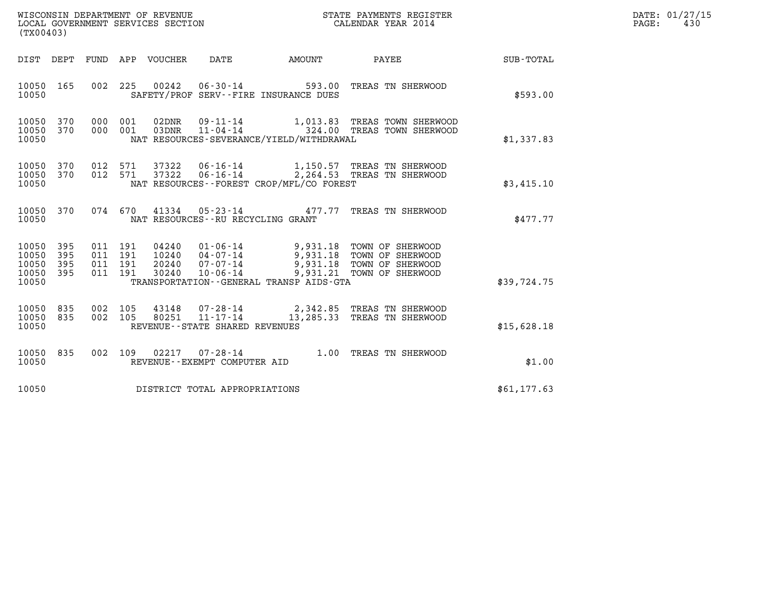| (TX00403)               |            |                    | WISCONSIN DEPARTMENT OF REVENUE<br>LOCAL GOVERNMENT SERVICES SECTION |                                                                           |        | STATE PAYMENTS REGISTER<br>CALENDAR YEAR 2014                                                |            | $\mathtt{PAGE:}$ | DATE: 01/27/15<br>430 |  |
|-------------------------|------------|--------------------|----------------------------------------------------------------------|---------------------------------------------------------------------------|--------|----------------------------------------------------------------------------------------------|------------|------------------|-----------------------|--|
|                         |            |                    | DIST DEPT FUND APP VOUCHER                                           | DATE                                                                      | AMOUNT | PAYEE                                                                                        | SUB-TOTAL  |                  |                       |  |
| 10050                   |            |                    |                                                                      | 10050 165 002 225 00242 06-30-14<br>SAFETY/PROF SERV--FIRE INSURANCE DUES |        | 593.00 TREAS TN SHERWOOD                                                                     | \$593.00   |                  |                       |  |
| 10050<br>10050<br>10050 | 370<br>370 | 000 001<br>000 001 | 03DNR                                                                | NAT RESOURCES-SEVERANCE/YIELD/WITHDRAWAL                                  |        | 02DNR  09-11-14    1,013.83 TREAS TOWN SHERWOOD<br>$11 - 04 - 14$ 324.00 TREAS TOWN SHERWOOD | \$1,337.83 |                  |                       |  |
| 10050<br>10050<br>10050 | 370<br>370 | 012 571<br>012 571 | 37322                                                                | NAT RESOURCES--FOREST CROP/MFL/CO FOREST                                  |        | 37322   06-16-14   1,150.57   TREAS TN SHERWOOD<br>06-16-14 2,264.53 TREAS TN SHERWOOD       | \$3,415.10 |                  |                       |  |
| 10050<br>10050          | 370        | 074 670            |                                                                      | NAT RESOURCES--RU RECYCLING GRANT                                         |        | 41334  05-23-14  477.77  TREAS TN SHERWOOD                                                   | \$477.77   |                  |                       |  |

| 10050                                                                                                                     | NAT RESOURCES--RU RECYCLING GRANT                                                                                                                 |                                                                                                                           | \$477.77    |
|---------------------------------------------------------------------------------------------------------------------------|---------------------------------------------------------------------------------------------------------------------------------------------------|---------------------------------------------------------------------------------------------------------------------------|-------------|
| 395<br>011 191<br>10050<br>191<br>10050<br>395<br>011<br>10050<br>191<br>- 395<br>011<br>10050<br>011 191<br>395<br>10050 | 04240<br>$01 - 06 - 14$<br>10240<br>04 - 07 - 14<br>20240<br>$07 - 07 - 14$<br>30240<br>$10 - 06 - 14$<br>TRANSPORTATION--GENERAL TRANSP AIDS-GTA | 9,931.18<br>TOWN OF SHERWOOD<br>9,931.18<br>TOWN OF SHERWOOD<br>9,931.18<br>TOWN OF SHERWOOD<br>9,931.21 TOWN OF SHERWOOD | \$39,724.75 |

| 10050                       | TRANSPORTATION--GENERAL TRANSP AIDS-GTA |  |         |               |                                                              |                                                           |  |  |             |  |
|-----------------------------|-----------------------------------------|--|---------|---------------|--------------------------------------------------------------|-----------------------------------------------------------|--|--|-------------|--|
| 10050 835<br>10050<br>10050 | 835                                     |  | 002 105 | 002 105 43148 | 07-28-14<br>80251 11-17-14<br>REVENUE--STATE SHARED REVENUES | 2,342.85 TREAS TN SHERWOOD<br>13,285.33 TREAS TN SHERWOOD |  |  | \$15,628.18 |  |

| 10050              | REVENUE--STATE SHARED REVENUES                                   |                           | \$15,628.18 |
|--------------------|------------------------------------------------------------------|---------------------------|-------------|
| 10050 835<br>10050 | 002 109<br>02217<br>07 - 28 - 14<br>REVENUE--EXEMPT COMPUTER AID | TREAS TN SHERWOOD<br>1.00 | \$1.00      |
| 10050              | DISTRICT TOTAL APPROPRIATIONS                                    |                           | \$61,177.63 |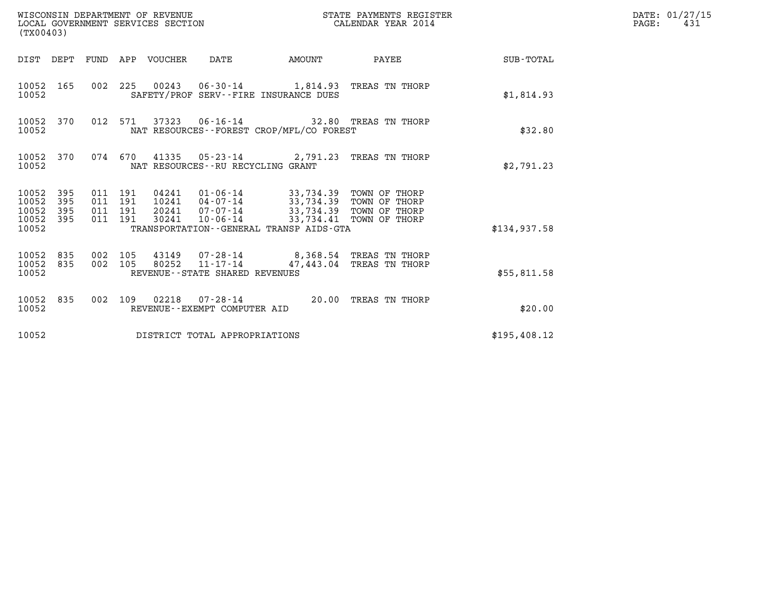| (TX00403)                                             |           |                               |         | WISCONSIN DEPARTMENT OF REVENUE | WISCONSIN DEPARTMENT OF REVENUE<br>LOCAL GOVERNMENT SERVICES SECTION | STATE PAYMENTS REGISTER                                                                                                                                                                                               | DATE: 01/27/15<br>$\mathtt{PAGE:}$<br>431 |                 |  |
|-------------------------------------------------------|-----------|-------------------------------|---------|---------------------------------|----------------------------------------------------------------------|-----------------------------------------------------------------------------------------------------------------------------------------------------------------------------------------------------------------------|-------------------------------------------|-----------------|--|
|                                                       |           |                               |         | DIST DEPT FUND APP VOUCHER DATE |                                                                      | AMOUNT                                                                                                                                                                                                                |                                           | PAYEE SUB-TOTAL |  |
| 10052                                                 | 10052 165 |                               |         |                                 |                                                                      | 002 225 00243 06-30-14 1,814.93 TREAS TN THORP<br>SAFETY/PROF SERV--FIRE INSURANCE DUES                                                                                                                               |                                           | \$1,814.93      |  |
| 10052                                                 | 10052 370 |                               | 012 571 |                                 |                                                                      | NAT RESOURCES--FOREST CROP/MFL/CO FOREST                                                                                                                                                                              |                                           | \$32.80         |  |
| 10052                                                 | 10052 370 |                               |         |                                 | NAT RESOURCES - - RU RECYCLING GRANT                                 | 074 670 41335 05-23-14 2,791.23 TREAS TN THORP                                                                                                                                                                        |                                           | \$2,791.23      |  |
| 10052 395<br>10052<br>10052 395<br>10052 395<br>10052 | 395       | 011 191<br>011 191<br>011 191 | 011 191 | 30241                           |                                                                      | 04241   01-06-14   33,734.39   TOWN OF THORP<br>10241   04-07-14   33,734.39   TOWN OF THORP<br>20241 07-07-14 33,734.39 TOWN OF THORP<br>10-06-14 33,734.41 TOWN OF THORP<br>TRANSPORTATION--GENERAL TRANSP AIDS-GTA |                                           | \$134.937.58    |  |
| 10052 835<br>10052 835<br>10052                       |           | 002 105<br>002 105            |         | 80252                           | $11 - 17 - 14$<br>REVENUE - - STATE SHARED REVENUES                  | 43149  07-28-14  8,368.54  TREAS TN THORP                                                                                                                                                                             | 47,443.04 TREAS TN THORP                  | \$55,811.58     |  |
| 10052                                                 | 10052 835 |                               |         |                                 | REVENUE--EXEMPT COMPUTER AID                                         | 002 109 02218 07-28-14 20.00 TREAS TN THORP                                                                                                                                                                           |                                           | \$20.00         |  |
| 10052                                                 |           |                               |         |                                 | DISTRICT TOTAL APPROPRIATIONS                                        |                                                                                                                                                                                                                       |                                           | \$195,408.12    |  |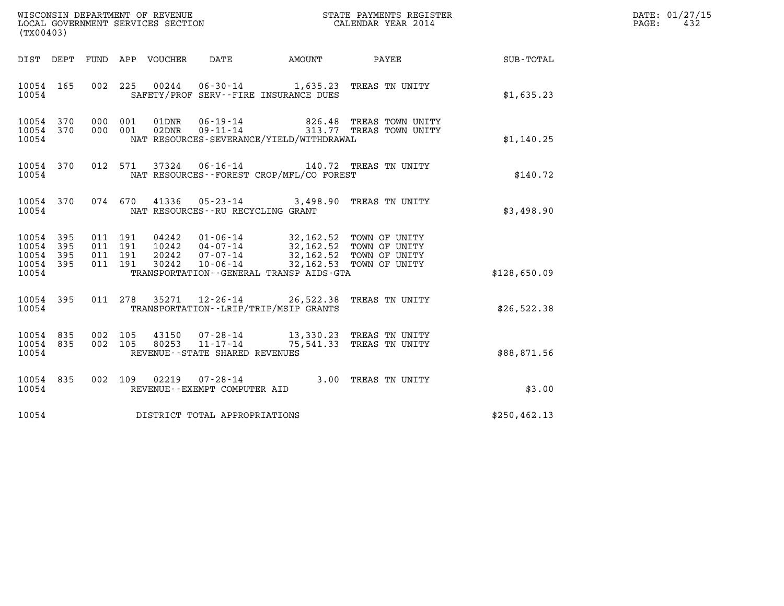| (TX00403)                                                                                                                                                                                                                                                                                                                                                                                                 |               | DATE: 01/27/15<br>PAGE:<br>432 |
|-----------------------------------------------------------------------------------------------------------------------------------------------------------------------------------------------------------------------------------------------------------------------------------------------------------------------------------------------------------------------------------------------------------|---------------|--------------------------------|
| FUND APP VOUCHER<br>DATE<br>AMOUNT PAYEE<br>DIST DEPT                                                                                                                                                                                                                                                                                                                                                     | SUB-TOTAL     |                                |
| 002 225 00244<br>06-30-14 1,635.23 TREAS TN UNITY<br>10054 165<br>SAFETY/PROF SERV--FIRE INSURANCE DUES<br>10054                                                                                                                                                                                                                                                                                          | \$1,635.23    |                                |
| 000 001<br>06-19-14 826.48 TREAS TOWN UNITY<br>09-11-14 313.77 TREAS TOWN UNITY<br>10054 370<br>$01\rm{DNR}$<br>826.48 TREAS TOWN UNITY<br>02DNR<br>10054 370<br>000 001<br>10054<br>NAT RESOURCES-SEVERANCE/YIELD/WITHDRAWAL                                                                                                                                                                             | \$1,140.25    |                                |
| 06-16-14 140.72 TREAS TN UNITY<br>10054 370<br>012 571<br>37324<br>10054<br>NAT RESOURCES--FOREST CROP/MFL/CO FOREST                                                                                                                                                                                                                                                                                      | \$140.72      |                                |
| 05-23-14 3,498.90 TREAS TN UNITY<br>10054 370<br>074 670<br>41336<br>10054<br>NAT RESOURCES -- RU RECYCLING GRANT                                                                                                                                                                                                                                                                                         | \$3,498.90    |                                |
| $\begin{array}{cccc} 011 & 191 & 04242 & 01\cdot 06\cdot 14 & 32,162.52 & \text{TOWN OF UNITY} \\ 011 & 191 & 10242 & 04\cdot 07\cdot 14 & 32,162.52 & \text{TOWN OF UNITY} \\ 011 & 191 & 20242 & 07\cdot 07\cdot 14 & 32,162.52 & \text{TOWN OF UNITY} \\ 011 & 191 & 30242 & 10\cdot 06\cdot 14 & 32,162.53 & \text{TOWN OF UNITY} \end{array}$<br>10054 395<br>10054<br>395<br>10054 395<br>10054 395 |               |                                |
| 10054<br>TRANSPORTATION - - GENERAL TRANSP AIDS - GTA                                                                                                                                                                                                                                                                                                                                                     | \$128,650.09  |                                |
| 10054 395<br>011 278 35271 12-26-14 26,522.38 TREAS TN UNITY<br>TRANSPORTATION - - LRIP/TRIP/MSIP GRANTS<br>10054                                                                                                                                                                                                                                                                                         | \$26,522.38   |                                |
| 002 105<br>43150  07-28-14  13,330.23 TREAS TN UNITY<br>80253  11-17-14  75,541.33 TREAS TN UNITY<br>10054 835<br>10054 835<br>002 105<br>10054<br>REVENUE - - STATE SHARED REVENUES                                                                                                                                                                                                                      | \$88,871.56   |                                |
| 07-28-14 3.00 TREAS TN UNITY<br>10054 835<br>002 109<br>02219<br>10054<br>REVENUE--EXEMPT COMPUTER AID                                                                                                                                                                                                                                                                                                    | \$3.00        |                                |
| 10054 DISTRICT TOTAL APPROPRIATIONS                                                                                                                                                                                                                                                                                                                                                                       | \$250, 462.13 |                                |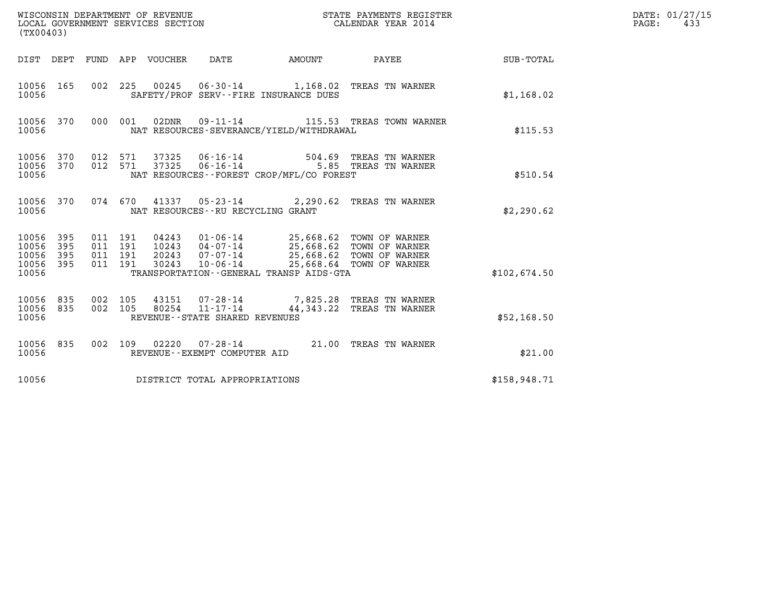| (TX00403)                                         |            |                                          |         |                                 |                                                             | WISCONSIN DEPARTMENT OF REVENUE<br>LOCAL GOVERNMENT SERVICES SECTION                                                                                                              | STATE PAYMENTS REGISTER<br>CALENDAR YEAR 2014                        |                 | DATE: 01/27/15<br>$\mathtt{PAGE}$ :<br>433 |
|---------------------------------------------------|------------|------------------------------------------|---------|---------------------------------|-------------------------------------------------------------|-----------------------------------------------------------------------------------------------------------------------------------------------------------------------------------|----------------------------------------------------------------------|-----------------|--------------------------------------------|
|                                                   |            |                                          |         | DIST DEPT FUND APP VOUCHER DATE |                                                             | <b>AMOUNT</b>                                                                                                                                                                     |                                                                      | PAYEE SUB-TOTAL |                                            |
| 10056 165<br>10056                                |            |                                          |         |                                 |                                                             | SAFETY/PROF SERV--FIRE INSURANCE DUES                                                                                                                                             | 002 225 00245 06-30-14 1,168.02 TREAS TN WARNER                      | \$1,168.02      |                                            |
| 10056 370<br>10056                                |            |                                          | 000 001 |                                 |                                                             | NAT RESOURCES-SEVERANCE/YIELD/WITHDRAWAL                                                                                                                                          | 02DNR  09-11-14   115.53   TREAS TOWN WARNER                         | \$115.53        |                                            |
| 10056 370<br>10056 370<br>10056                   |            | 012 571<br>012 571                       |         | 37325<br>37325                  |                                                             | NAT RESOURCES - - FOREST CROP/MFL/CO FOREST                                                                                                                                       | 06-16-14 504.69 TREAS TN WARNER<br>06-16-14 5.85 TREAS TN WARNER     | \$510.54        |                                            |
| 10056 370<br>10056                                |            |                                          |         |                                 | NAT RESOURCES--RU RECYCLING GRANT                           |                                                                                                                                                                                   | 074 670 41337 05-23-14 2,290.62 TREAS TN WARNER                      | \$2,290.62      |                                            |
| 10056 395<br>10056<br>10056<br>10056 395<br>10056 | 395<br>395 | 011 191<br>011 191<br>011 191<br>011 191 |         | 30243                           | $10 - 06 - 14$                                              | 04243  01-06-14  25,668.62  TOWN OF WARNER<br>10243  04-07-14  25,668.62  TOWN OF WARNER<br>20243  07-07-14  25,668.62  TOWN OF WARNER<br>TRANSPORTATION--GENERAL TRANSP AIDS-GTA | 25,668.64 TOWN OF WARNER                                             | \$102.674.50    |                                            |
| 10056 835<br>10056 835<br>10056                   |            | 002 105<br>002 105                       |         |                                 | $80254$ $11 - 17 - 14$<br>REVENUE - - STATE SHARED REVENUES |                                                                                                                                                                                   | 43151 07-28-14 7,825.28 TREAS TN WARNER<br>44,343.22 TREAS TN WARNER | \$52,168.50     |                                            |
| 10056 835<br>10056                                |            |                                          |         |                                 | REVENUE--EXEMPT COMPUTER AID                                |                                                                                                                                                                                   | 002 109 02220 07-28-14 21.00 TREAS TN WARNER                         | \$21.00         |                                            |
| 10056                                             |            |                                          |         |                                 | DISTRICT TOTAL APPROPRIATIONS                               |                                                                                                                                                                                   |                                                                      | \$158,948.71    |                                            |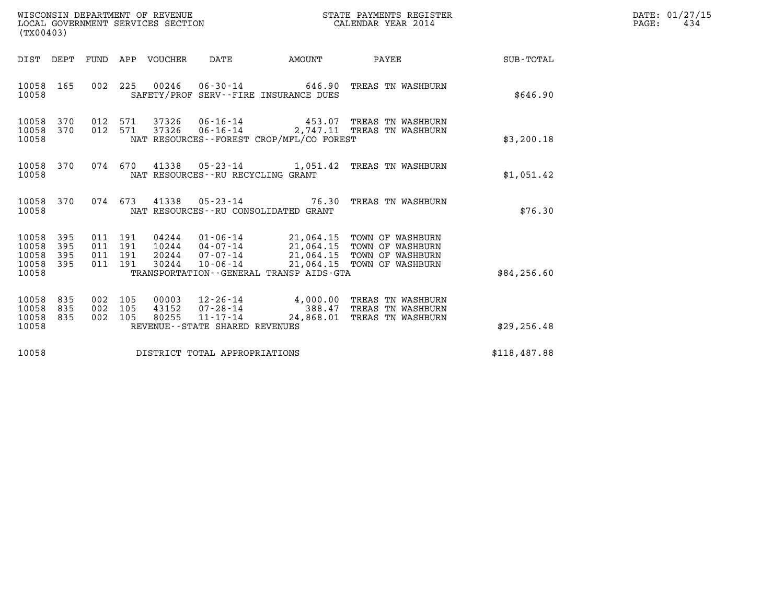| WISCONSIN DEPARTMENT OF REVENUE   | STATE PAYMENTS REGISTER | DATE: 01/27/15 |
|-----------------------------------|-------------------------|----------------|
| LOCAL GOVERNMENT SERVICES SECTION | CALENDAR YEAR 2014      | 434<br>PAGE:   |

| (TX00403)                                     |                   |                                          |            | WISCONSIN DEPARTMENT OF REVENUE<br>LOCAL GOVERNMENT SERVICES SECTION |                                                  |                                                                    | STATE PAYMENTS REGISTER<br>CALENDAR YEAR 2014                                                                                                                                       |              | DATE: 01/27/15<br>$\mathtt{PAGE}$ :<br>434 |
|-----------------------------------------------|-------------------|------------------------------------------|------------|----------------------------------------------------------------------|--------------------------------------------------|--------------------------------------------------------------------|-------------------------------------------------------------------------------------------------------------------------------------------------------------------------------------|--------------|--------------------------------------------|
| DIST DEPT                                     |                   |                                          |            | FUND APP VOUCHER DATE                                                |                                                  | <b>EXAMPLE THE AMOUNT</b>                                          | <b>PAYEE</b> PAYEE                                                                                                                                                                  | SUB-TOTAL    |                                            |
| 10058<br>10058                                | 165               | 002                                      |            |                                                                      |                                                  | 225 00246 06-30-14 646.90<br>SAFETY/PROF SERV--FIRE INSURANCE DUES | TREAS TN WASHBURN                                                                                                                                                                   | \$646.90     |                                            |
| 10058 370<br>10058<br>10058                   | 370               |                                          |            | 012 571 37326                                                        | 012 571 37326 06-16-14                           | $06 - 16 - 14$ 453.07<br>NAT RESOURCES--FOREST CROP/MFL/CO FOREST  | TREAS TN WASHBURN<br>2,747.11 TREAS TN WASHBURN                                                                                                                                     | \$3,200.18   |                                            |
| 10058 370<br>10058                            |                   |                                          |            |                                                                      | NAT RESOURCES - - RU RECYCLING GRANT             |                                                                    | 074 670 41338 05-23-14 1,051.42 TREAS TN WASHBURN                                                                                                                                   | \$1,051.42   |                                            |
| 10058 370<br>10058                            |                   |                                          |            |                                                                      |                                                  | NAT RESOURCES -- RU CONSOLIDATED GRANT                             | 074 673 41338 05-23-14 76.30 TREAS TN WASHBURN                                                                                                                                      | \$76.30      |                                            |
| 10058<br>10058<br>10058<br>10058 395<br>10058 | 395<br>395<br>395 | 011 191<br>011 191<br>011 191<br>011 191 |            | 30244                                                                |                                                  | TRANSPORTATION--GENERAL TRANSP AIDS-GTA                            | 04244  01-06-14  21,064.15  TOWN OF WASHBURN<br>10244  04-07-14  21,064.15  TOWN OF WASHBURN<br>20244  07-07-14  21,064.15  TOWN OF WASHBURN<br>10-06-14 21,064.15 TOWN OF WASHBURN | \$84,256.60  |                                            |
| 10058<br>10058<br>10058 835<br>10058          | 835<br>835        | 002<br>002<br>002 105                    | 105<br>105 | 00003<br>43152<br>80255                                              | $11 - 17 - 14$<br>REVENUE--STATE SHARED REVENUES | $12 - 26 - 14$ $4,000.00$<br>$07 - 28 - 14$ 388.47<br>24,868.01    | TREAS TN WASHBURN<br>TREAS TN WASHBURN<br>TREAS TN WASHBURN                                                                                                                         | \$29, 256.48 |                                            |
| 10058                                         |                   |                                          |            |                                                                      | DISTRICT TOTAL APPROPRIATIONS                    |                                                                    |                                                                                                                                                                                     | \$118,487.88 |                                            |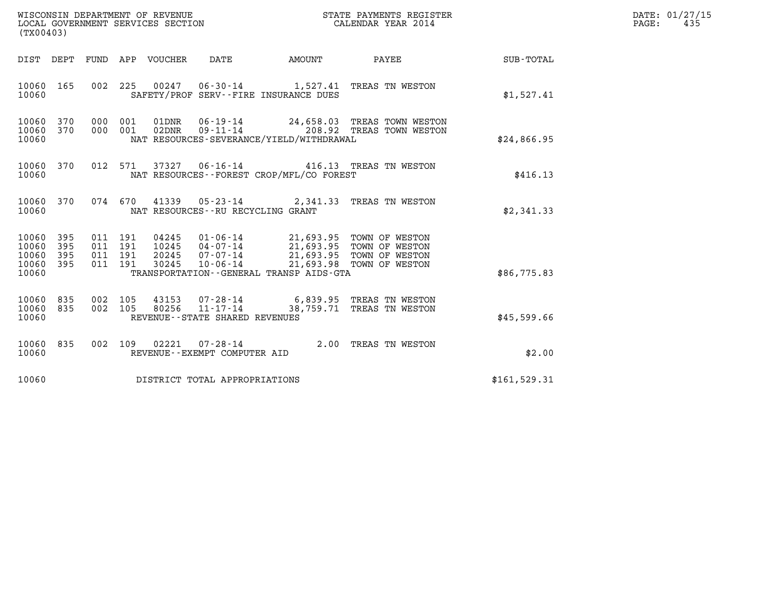| WISCONSIN DEPARTMENT OF REVENUE<br>LOCAL GOVERNMENT SERVICES SECTION | STATE PAYMENTS REGISTER<br>CALENDAR YEAR 2014 | DATE: 01/27/15<br>435<br>PAGE: |
|----------------------------------------------------------------------|-----------------------------------------------|--------------------------------|

| (TX00403)                                         |            |                               |               |                                   |                                          |                                                                                                                                                                                      |               | DATE: 01/27/15<br>$\mathtt{PAGE}$ :<br>435 |
|---------------------------------------------------|------------|-------------------------------|---------------|-----------------------------------|------------------------------------------|--------------------------------------------------------------------------------------------------------------------------------------------------------------------------------------|---------------|--------------------------------------------|
|                                                   |            |                               |               |                                   |                                          | DIST DEPT FUND APP VOUCHER DATE AMOUNT PAYEE                                                                                                                                         | SUB-TOTAL     |                                            |
| 10060                                             | 10060 165  |                               |               |                                   | SAFETY/PROF SERV--FIRE INSURANCE DUES    | 002 225 00247 06-30-14 1,527.41 TREAS TN WESTON                                                                                                                                      | \$1,527.41    |                                            |
| 10060 370<br>10060                                | 10060 370  |                               |               |                                   | NAT RESOURCES-SEVERANCE/YIELD/WITHDRAWAL | 000 001 01DNR 06-19-14 24,658.03 TREAS TOWN WESTON 000 001 02DNR 09-11-14 208.92 TREAS TOWN WESTON                                                                                   | \$24,866.95   |                                            |
| 10060 370<br>10060                                |            |                               |               |                                   | NAT RESOURCES--FOREST CROP/MFL/CO FOREST | 012 571 37327 06-16-14 416.13 TREAS TN WESTON                                                                                                                                        | \$416.13      |                                            |
| 10060                                             | 10060 370  |                               |               | NAT RESOURCES--RU RECYCLING GRANT |                                          | 074 670 41339 05-23-14 2,341.33 TREAS TN WESTON                                                                                                                                      | \$2,341.33    |                                            |
| 10060 395<br>10060<br>10060<br>10060 395<br>10060 | 395<br>395 | 011 191<br>011 191<br>011 191 | 011 191 04245 |                                   | TRANSPORTATION--GENERAL TRANSP AIDS-GTA  | 04245  01-06-14  21,693.95  TOWN OF WESTON<br>10245  04-07-14  21,693.95  TOWN OF WESTON<br>20245  07-07-14  21,693.95  TOWN OF WESTON<br>30245  10-06-14  21,693.98  TOWN OF WESTON | \$86,775.83   |                                            |
| 10060<br>10060 835<br>10060                       | 835        |                               |               | REVENUE - - STATE SHARED REVENUES |                                          | 002 105 43153 07-28-14 6,839.95 TREAS TN WESTON 002 105 80256 11-17-14 38,759.71 TREAS TN WESTON                                                                                     | \$45,599.66   |                                            |
| 10060<br>10060                                    | 835        |                               |               | REVENUE--EXEMPT COMPUTER AID      |                                          | 002 109 02221 07-28-14 2.00 TREAS TN WESTON                                                                                                                                          | \$2.00        |                                            |
| 10060                                             |            |                               |               | DISTRICT TOTAL APPROPRIATIONS     |                                          |                                                                                                                                                                                      | \$161, 529.31 |                                            |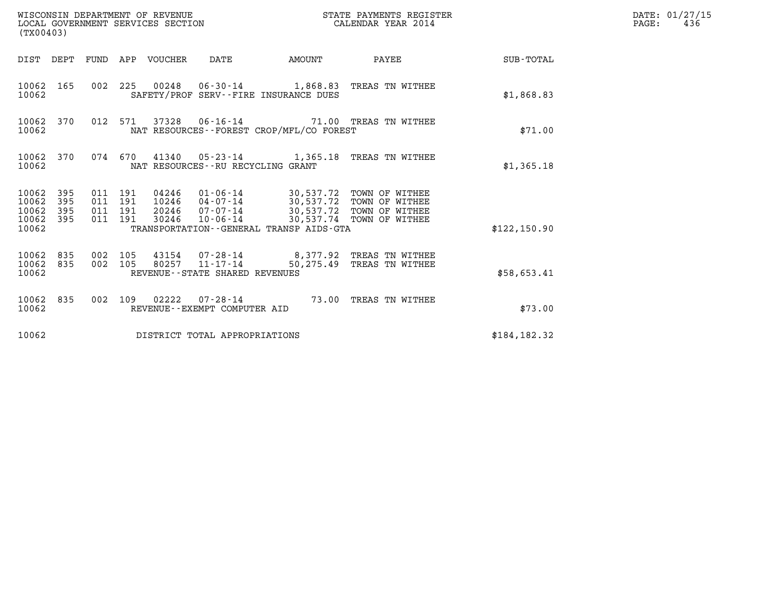| (TX00403)                                         |            |                                          | WISCONSIN DEPARTMENT OF REVENUE<br>LOCAL GOVERNMENT SERVICES SECTION |                                                  |                                                                          | STATE PAYMENTS REGISTER<br>CALENDAR YEAR 2014                                                                                       |                 | DATE: 01/27/15<br>$\mathtt{PAGE}$ :<br>436 |
|---------------------------------------------------|------------|------------------------------------------|----------------------------------------------------------------------|--------------------------------------------------|--------------------------------------------------------------------------|-------------------------------------------------------------------------------------------------------------------------------------|-----------------|--------------------------------------------|
|                                                   |            |                                          | DIST DEPT FUND APP VOUCHER DATE                                      |                                                  | <b>AMOUNT</b>                                                            |                                                                                                                                     | PAYEE SUB-TOTAL |                                            |
| 10062 165<br>10062                                |            |                                          |                                                                      |                                                  | SAFETY/PROF SERV--FIRE INSURANCE DUES                                    | 002 225 00248 06-30-14 1,868.83 TREAS TN WITHEE                                                                                     | \$1,868.83      |                                            |
| 10062                                             | 10062 370  |                                          |                                                                      |                                                  | NAT RESOURCES - - FOREST CROP/MFL/CO FOREST                              | 012 571 37328 06-16-14 71.00 TREAS TN WITHEE                                                                                        | \$71.00         |                                            |
| 10062                                             | 10062 370  |                                          |                                                                      | NAT RESOURCES - - RU RECYCLING GRANT             |                                                                          | 074 670 41340 05-23-14 1,365.18 TREAS TN WITHEE                                                                                     | \$1,365.18      |                                            |
| 10062 395<br>10062<br>10062<br>10062 395<br>10062 | 395<br>395 | 011 191<br>011 191<br>011 191<br>011 191 | 30246                                                                | 10-06-14                                         | 30,537.74 TOWN OF WITHEE<br>TRANSPORTATION - - GENERAL TRANSP AIDS - GTA | 04246  01-06-14  30,537.72  TOWN OF WITHEE<br>10246  04-07-14  30,537.72  TOWN OF WITHEE<br>20246 07-07-14 30,537.72 TOWN OF WITHEE | \$122,150.90    |                                            |
| 10062 835<br>10062                                | 10062 835  | 002 105<br>002 105                       |                                                                      | 80257 11-17-14<br>REVENUE--STATE SHARED REVENUES |                                                                          | 43154 07-28-14 8,377.92 TREAS TN WITHEE<br>50,275.49 TREAS TN WITHEE                                                                | \$58,653.41     |                                            |
| 10062                                             | 10062 835  |                                          |                                                                      | REVENUE--EXEMPT COMPUTER AID                     |                                                                          | 002 109 02222 07-28-14 73.00 TREAS TN WITHEE                                                                                        | \$73.00         |                                            |
| 10062                                             |            |                                          |                                                                      | DISTRICT TOTAL APPROPRIATIONS                    |                                                                          |                                                                                                                                     | \$184, 182.32   |                                            |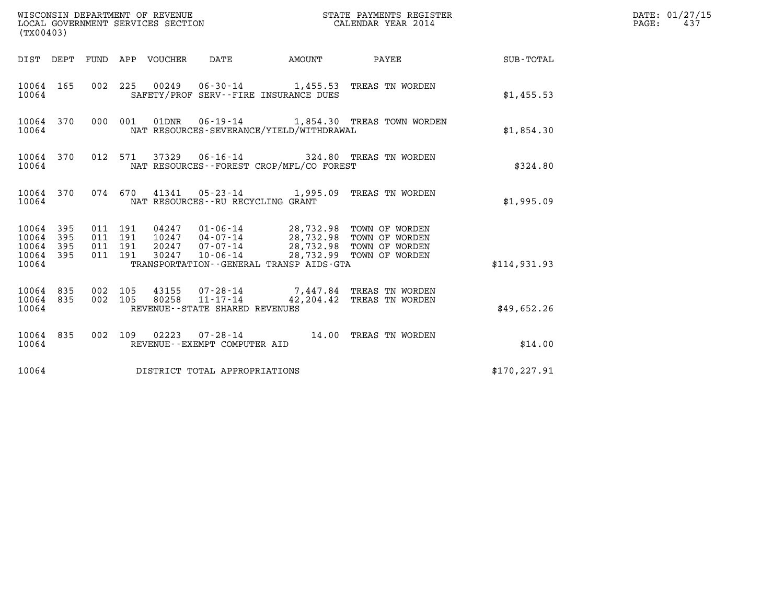| WISCONSIN DEPARTMENT OF REVENUE<br>LOCAL GOVERNMENT SERVICES SECTION<br>(TX00403)                                 |                                                                                                                                                                                                  | STATE PAYMENTS REGISTER<br>CALENDAR YEAR 2014 |               | DATE: 01/27/15<br>PAGE:<br>437 |
|-------------------------------------------------------------------------------------------------------------------|--------------------------------------------------------------------------------------------------------------------------------------------------------------------------------------------------|-----------------------------------------------|---------------|--------------------------------|
| DIST DEPT FUND APP VOUCHER DATE                                                                                   | <b>EXAMPLE THE AMOUNT</b>                                                                                                                                                                        | PAYEE                                         | SUB-TOTAL     |                                |
| 10064 165<br>10064                                                                                                | 002 225 00249 06-30-14 1,455.53 TREAS TN WORDEN<br>SAFETY/PROF SERV--FIRE INSURANCE DUES                                                                                                         |                                               | \$1,455.53    |                                |
| 10064 370<br>000 001<br>10064                                                                                     | 01DNR  06-19-14   1,854.30 TREAS TOWN WORDEN<br>NAT RESOURCES-SEVERANCE/YIELD/WITHDRAWAL                                                                                                         |                                               | \$1,854.30    |                                |
| 012 571<br>10064 370<br>10064                                                                                     | NAT RESOURCES--FOREST CROP/MFL/CO FOREST                                                                                                                                                         |                                               | \$324.80      |                                |
| 10064 370<br>10064                                                                                                | 074 670 41341 05-23-14 1,995.09 TREAS TN WORDEN<br>NAT RESOURCES - - RU RECYCLING GRANT                                                                                                          |                                               | \$1,995.09    |                                |
| 10064 395<br>011 191<br>011 191<br>10064 395<br>10064<br>395<br>011 191<br>10064 395<br>011 191<br>30247<br>10064 | 04247  01-06-14  28,732.98  TOWN OF WORDEN<br>10247  04-07-14  28,732.98  TOWN OF WORDEN<br>20247 07-07-14 28,732.98 TOWN OF WORDEN<br>$10 - 06 - 14$<br>TRANSPORTATION--GENERAL TRANSP AIDS-GTA | 28,732.99 TOWN OF WORDEN                      | \$114,931.93  |                                |
| 10064 835<br>002 105<br>10064 835<br>002 105<br>80258<br>10064                                                    | 43155 07-28-14 7,447.84 TREAS TN WORDEN<br>$11 - 17 - 14$<br>REVENUE - - STATE SHARED REVENUES                                                                                                   | 42,204.42 TREAS TN WORDEN                     | \$49,652.26   |                                |
| 10064 835<br>10064                                                                                                | 002 109 02223 07-28-14 14.00 TREAS TN WORDEN<br>REVENUE--EXEMPT COMPUTER AID                                                                                                                     |                                               | \$14.00       |                                |
| 10064<br>DISTRICT TOTAL APPROPRIATIONS                                                                            |                                                                                                                                                                                                  |                                               | \$170, 227.91 |                                |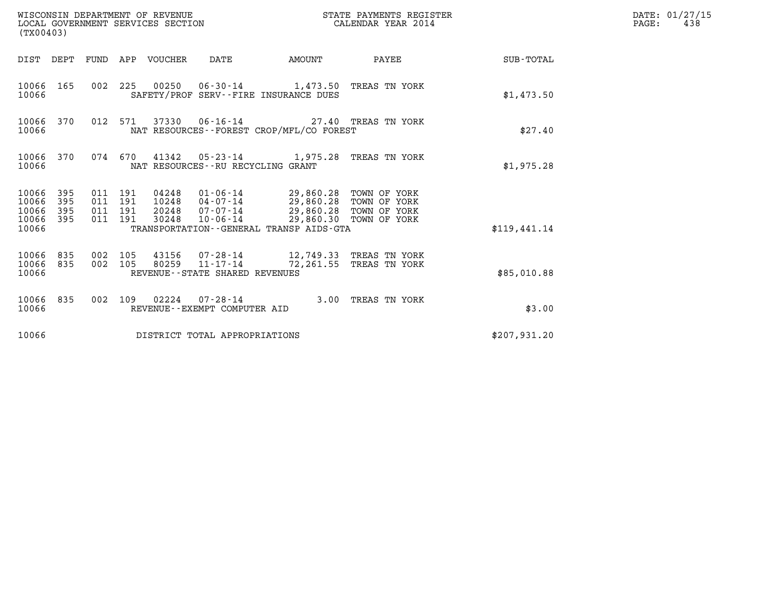| WISCONSIN DEPARTMENT OF REVENUE<br>(TX00403)                          | LOCAL GOVERNMENT SERVICES SECTION                                                                                                                                                                                                                                      | STATE PAYMENTS REGISTER<br>CALENDAR YEAR 2014 | DATE: 01/27/15<br>$\mathtt{PAGE}$ :<br>438 |
|-----------------------------------------------------------------------|------------------------------------------------------------------------------------------------------------------------------------------------------------------------------------------------------------------------------------------------------------------------|-----------------------------------------------|--------------------------------------------|
|                                                                       | DIST DEPT FUND APP VOUCHER DATE<br><b>AMOUNT</b>                                                                                                                                                                                                                       | <b>PAYEE</b> FOUND THE PAYEE<br>SUB-TOTAL     |                                            |
| 10066 165<br>10066                                                    | 002 225 00250 06-30-14 1,473.50 TREAS TN YORK<br>SAFETY/PROF SERV--FIRE INSURANCE DUES                                                                                                                                                                                 | \$1,473.50                                    |                                            |
| 10066 370<br>10066                                                    | 012 571 37330 06-16-14 27.40 TREAS TN YORK<br>NAT RESOURCES - - FOREST CROP/MFL/CO FOREST                                                                                                                                                                              | \$27.40                                       |                                            |
| 10066 370<br>10066                                                    | 074 670 41342 05-23-14 1,975.28 TREAS TN YORK<br>NAT RESOURCES - - RU RECYCLING GRANT                                                                                                                                                                                  | \$1,975.28                                    |                                            |
| 395<br>10066<br>395<br>10066<br>395<br>10066<br>395<br>10066<br>10066 | 04248  01-06-14  29,860.28  TOWN OF YORK<br>10248  04-07-14  29,860.28  TOWN OF YORK<br>011 191<br>011 191<br>07-07-14 29,860.28 TOWN OF YORK<br>011 191<br>20248<br>29,860.30 TOWN OF YORK<br>011 191<br>30248<br>10-06-14<br>TRANSPORTATION--GENERAL TRANSP AIDS-GTA | \$119,441.14                                  |                                            |
| 10066 835<br>10066 835<br>10066                                       | 002 105<br>$11 - 17 - 14$<br>002 105<br>80259<br>72,261.55 TREAS TN YORK<br>REVENUE - - STATE SHARED REVENUES                                                                                                                                                          | \$85,010.88                                   |                                            |
| 10066 835<br>10066                                                    | 002 109 02224 07-28-14 3.00 TREAS TN YORK<br>REVENUE--EXEMPT COMPUTER AID                                                                                                                                                                                              | \$3.00                                        |                                            |
| 10066                                                                 | DISTRICT TOTAL APPROPRIATIONS                                                                                                                                                                                                                                          | \$207,931.20                                  |                                            |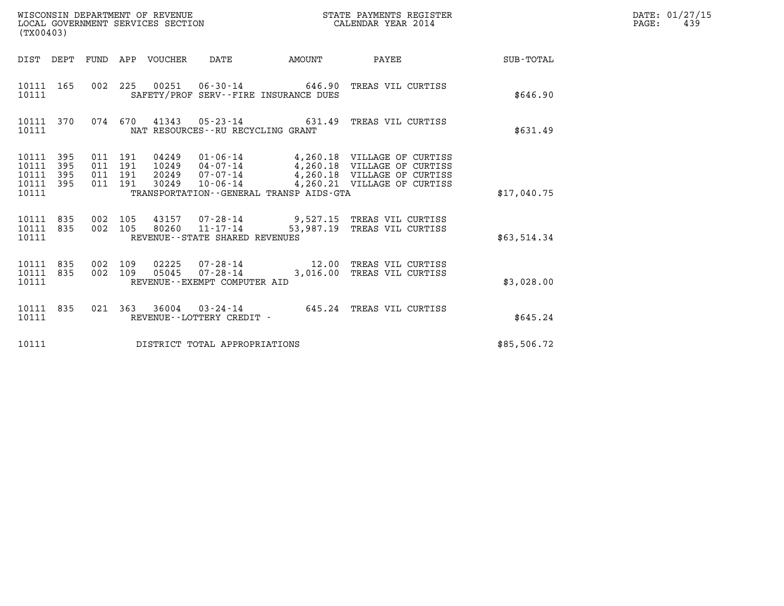| WISCONSIN DEPARTMENT OF REVENUE<br>LOCAL GOVERNMENT SERVICES SECTION | STATE PAYMENTS REGISTER<br>CALENDAR YEAR 2014 | DATE: 01/27/15<br>439<br>PAGE: |
|----------------------------------------------------------------------|-----------------------------------------------|--------------------------------|

| (TX00403)                                         |            |  |                                          |                                  |                                   |                                         |                                                                                                                                            |             | DATE: 01/27/15<br>PAGE:<br>439 |
|---------------------------------------------------|------------|--|------------------------------------------|----------------------------------|-----------------------------------|-----------------------------------------|--------------------------------------------------------------------------------------------------------------------------------------------|-------------|--------------------------------|
|                                                   |            |  |                                          |                                  |                                   | DIST DEPT FUND APP VOUCHER DATE AMOUNT  | <b>PAYEE</b>                                                                                                                               | SUB-TOTAL   |                                |
| 10111 165<br>10111                                |            |  |                                          |                                  |                                   | SAFETY/PROF SERV--FIRE INSURANCE DUES   | 002 225 00251 06-30-14 646.90 TREAS VIL CURTISS                                                                                            | \$646.90    |                                |
| 10111 370<br>10111                                |            |  |                                          |                                  | NAT RESOURCES--RU RECYCLING GRANT |                                         | 074 670 41343 05-23-14 631.49 TREAS VIL CURTISS                                                                                            | \$631.49    |                                |
| 10111 395<br>10111<br>10111<br>10111 395<br>10111 | 395<br>395 |  | 011 191<br>011 191<br>011 191<br>011 191 | 04249<br>10249<br>20249<br>30249 | 07-07-14<br>10-06-14              | TRANSPORTATION--GENERAL TRANSP AIDS-GTA | 01-06-14 4,260.18 VILLAGE OF CURTISS<br>04-07-14 4,260.18 VILLAGE OF CURTISS<br>4,260.18 VILLAGE OF CURTISS<br>4,260.21 VILLAGE OF CURTISS | \$17,040.75 |                                |
| 10111 835<br>10111 835<br>10111                   |            |  |                                          |                                  | REVENUE--STATE SHARED REVENUES    |                                         | 002 105 43157 07-28-14 9,527.15 TREAS VIL CURTISS<br>002 105 80260 11-17-14 53,987.19 TREAS VIL CURTISS                                    | \$63,514.34 |                                |
| 10111 835<br>10111 835<br>10111                   |            |  |                                          | 002 109 02225<br>002 109 05045   | REVENUE--EXEMPT COMPUTER AID      |                                         | 07-28-14 12.00 TREAS VIL CURTISS<br>07-28-14 3,016.00 TREAS VIL CURTISS                                                                    | \$3,028.00  |                                |
| 10111 835<br>10111                                |            |  |                                          |                                  | REVENUE--LOTTERY CREDIT -         |                                         | 021 363 36004 03-24-14 645.24 TREAS VIL CURTISS                                                                                            | \$645.24    |                                |
| 10111                                             |            |  |                                          |                                  | DISTRICT TOTAL APPROPRIATIONS     |                                         |                                                                                                                                            | \$85,506.72 |                                |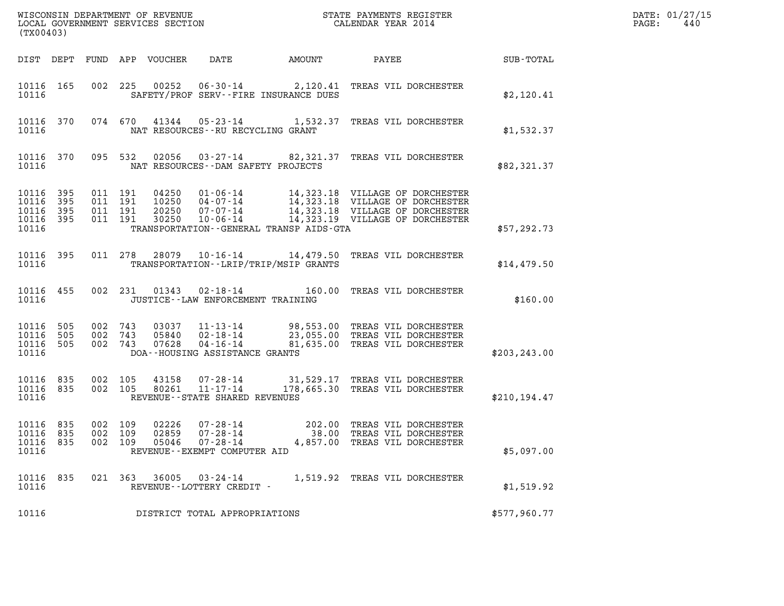|                                                   | (TX00403)  |                                          |  |                                 |                                                                              |                                          |                                                                                                                                                                                                                                   |               | DATE: 01/27/15<br>PAGE:<br>440 |
|---------------------------------------------------|------------|------------------------------------------|--|---------------------------------|------------------------------------------------------------------------------|------------------------------------------|-----------------------------------------------------------------------------------------------------------------------------------------------------------------------------------------------------------------------------------|---------------|--------------------------------|
|                                                   |            |                                          |  | DIST DEPT FUND APP VOUCHER      | DATE                                                                         | AMOUNT                                   | PAYEE                                                                                                                                                                                                                             | SUB-TOTAL     |                                |
| 10116 165<br>10116                                |            |                                          |  |                                 |                                                                              | SAFETY/PROF SERV--FIRE INSURANCE DUES    | 002 225 00252 06-30-14 2,120.41 TREAS VIL DORCHESTER                                                                                                                                                                              | \$2,120.41    |                                |
| 10116                                             | 10116 370  |                                          |  |                                 | NAT RESOURCES - - RU RECYCLING GRANT                                         |                                          | 074 670 41344 05-23-14 1,532.37 TREAS VIL DORCHESTER                                                                                                                                                                              | \$1,532.37    |                                |
| 10116                                             | 10116 370  |                                          |  |                                 | NAT RESOURCES--DAM SAFETY PROJECTS                                           |                                          | 095 532 02056 03-27-14 82,321.37 TREAS VIL DORCHESTER                                                                                                                                                                             | \$82,321.37   |                                |
| 10116 395<br>10116<br>10116<br>10116 395<br>10116 | 395<br>395 | 011 191<br>011 191<br>011 191<br>011 191 |  | 20250<br>30250                  | $07 - 07 - 14$<br>10-06-14                                                   | TRANSPORTATION--GENERAL TRANSP AIDS-GTA  | 04250  01-06-14  14,323.18  VILLAGE OF DORCHESTER<br>10250  04-07-14  14,323.18  VILLAGE OF DORCHESTER<br>20250  07-07-14  14,323.18  VILLAGE OF DORCHESTER<br>14,323.18 VILLAGE OF DORCHESTER<br>14,323.19 VILLAGE OF DORCHESTER | \$57,292.73   |                                |
| 10116 395<br>10116                                |            |                                          |  | 011 278 28079                   |                                                                              | TRANSPORTATION - - LRIP/TRIP/MSIP GRANTS | 10-16-14 14,479.50 TREAS VIL DORCHESTER                                                                                                                                                                                           | \$14,479.50   |                                |
| 10116 455<br>10116                                |            |                                          |  | 002 231 01343                   | JUSTICE -- LAW ENFORCEMENT TRAINING                                          |                                          | 02-18-14 160.00 TREAS VIL DORCHESTER                                                                                                                                                                                              | \$160.00      |                                |
| 10116<br>10116<br>10116 505<br>10116              | 505<br>505 | 002 743<br>002 743<br>002 743            |  | 03037<br>07628                  | 05840  02-18-14<br>DOA--HOUSING ASSISTANCE GRANTS                            |                                          | 11-13-14 98,553.00 TREAS VIL DORCHESTER<br>02-18-14 23,055.00 TREAS VIL DORCHESTER<br>04-16-14 81,635.00 TREAS VIL DORCHESTER                                                                                                     | \$203, 243.00 |                                |
| 10116 835<br>10116 835<br>10116                   |            | 002 105<br>002 105                       |  | 43158<br>80261                  | 07-28-14<br>11-17-14<br>REVENUE--STATE SHARED REVENUES                       |                                          | 31,529.17 TREAS VIL DORCHESTER<br>178,665.30 TREAS VIL DORCHESTER                                                                                                                                                                 | \$210, 194.47 |                                |
| 10116 835<br>10116 835<br>10116<br>10116          | 835        | 002 109<br>002 109                       |  | 002 109 02226<br>02859<br>05046 | 07-28-14<br>$07 - 28 - 14$<br>$07 - 28 - 14$<br>REVENUE--EXEMPT COMPUTER AID |                                          | 202.00 TREAS VIL DORCHESTER<br>38.00 TREAS VIL DORCHESTER<br>4,857.00 TREAS VIL DORCHESTER                                                                                                                                        | \$5,097.00    |                                |
| 10116 835<br>10116                                |            |                                          |  | 021 363 36005                   | 03-24-14<br>REVENUE--LOTTERY CREDIT -                                        |                                          | 1,519.92 TREAS VIL DORCHESTER                                                                                                                                                                                                     | \$1,519.92    |                                |
| 10116                                             |            |                                          |  |                                 | DISTRICT TOTAL APPROPRIATIONS                                                |                                          |                                                                                                                                                                                                                                   | \$577,960.77  |                                |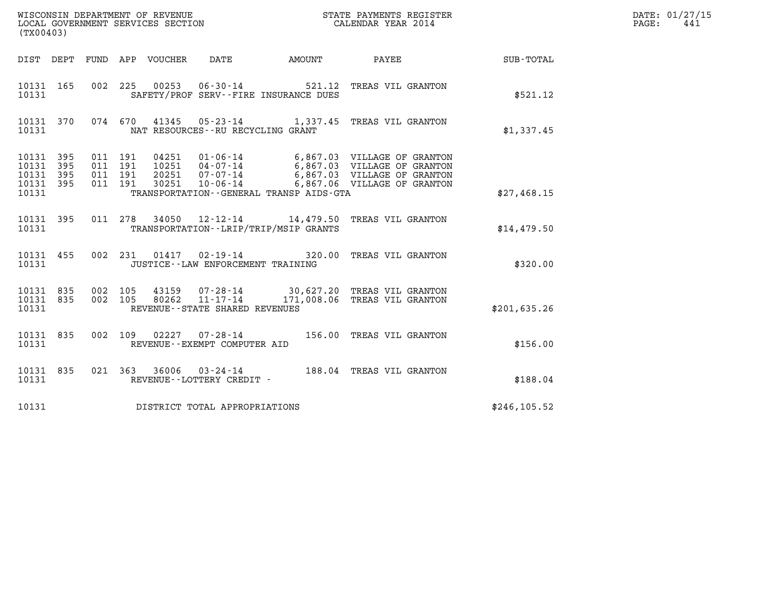| WISCONSIN DEPARTMENT OF REVENUE<br>LOCAL GOVERNMENT SERVICES SECTION | STATE PAYMENTS REGISTER<br>CALENDAR YEAR 2014 | DATE: 01/27/15<br>PAGE:<br>441 |
|----------------------------------------------------------------------|-----------------------------------------------|--------------------------------|

| ${\tt WISCONSIM\ DEPARTMENT\ OF\ REVENUE}\qquad \qquad {\tt STATE\ PAYMENTS\ REGIST}\nonumber\\ {\tt LOCAL\ GOVERNMENT\ SERVICES\ SECTION}\qquad \qquad {\tt CALENDAR\ YEAR\ 2014}$<br>(TX00403) |                                                                                           |                                                                                                                                                                                         |               |
|--------------------------------------------------------------------------------------------------------------------------------------------------------------------------------------------------|-------------------------------------------------------------------------------------------|-----------------------------------------------------------------------------------------------------------------------------------------------------------------------------------------|---------------|
| DEPT<br>DIST                                                                                                                                                                                     | FUND APP VOUCHER DATE AMOUNT PAYEE                                                        |                                                                                                                                                                                         | SUB-TOTAL     |
| 10131 165<br>002<br>10131                                                                                                                                                                        | 225  00253  06-30-14  521.12  TREAS VIL GRANTON<br>SAFETY/PROF SERV--FIRE INSURANCE DUES  |                                                                                                                                                                                         | \$521.12      |
| 10131 370<br>10131                                                                                                                                                                               | 074 670 41345 05-23-14 1,337.45 TREAS VIL GRANTON<br>NAT RESOURCES - - RU RECYCLING GRANT |                                                                                                                                                                                         | \$1,337.45    |
| 10131 395<br>011<br>10131<br>395<br>011<br>10131<br>395<br>011<br>10131<br>395<br>10131                                                                                                          | 191<br>191<br>191<br>011 191<br>30251<br>TRANSPORTATION - - GENERAL TRANSP AIDS - GTA     | 04251  01-06-14  6,867.03  VILLAGE OF GRANTON<br>10251  04-07-14  6,867.03  VILLAGE OF GRANTON<br>20251  07-07-14  6,867.03  VILLAGE OF GRANTON<br>10-06-14 6,867.06 VILLAGE OF GRANTON | \$27,468.15   |
| 10131 395<br>10131                                                                                                                                                                               | 011 278 34050<br>TRANSPORTATION - - LRIP/TRIP/MSIP GRANTS                                 | 12-12-14 14,479.50 TREAS VIL GRANTON                                                                                                                                                    | \$14,479.50   |
| 10131 455<br>002<br>10131                                                                                                                                                                        | 231<br>JUSTICE - - LAW ENFORCEMENT TRAINING                                               | 01417 02-19-14 320.00 TREAS VIL GRANTON                                                                                                                                                 | \$320.00      |
| 10131 835<br>002<br>002<br>10131 835<br>10131                                                                                                                                                    | 105<br>105<br>REVENUE - - STATE SHARED REVENUES                                           | 43159   07-28-14   30,627.20 TREAS VIL GRANTON<br>80262   11-17-14   171,008.06 TREAS VIL GRANTON                                                                                       | \$201, 635.26 |
| 10131 835<br>002<br>10131                                                                                                                                                                        | 109<br>02227<br>REVENUE--EXEMPT COMPUTER AID                                              | 07-28-14 156.00 TREAS VIL GRANTON                                                                                                                                                       | \$156.00      |
| 10131 835<br>10131                                                                                                                                                                               | 021 363 36006 03-24-14 188.04 TREAS VIL GRANTON<br>REVENUE--LOTTERY CREDIT -              |                                                                                                                                                                                         | \$188.04      |
| 10131                                                                                                                                                                                            | DISTRICT TOTAL APPROPRIATIONS                                                             |                                                                                                                                                                                         | \$246,105.52  |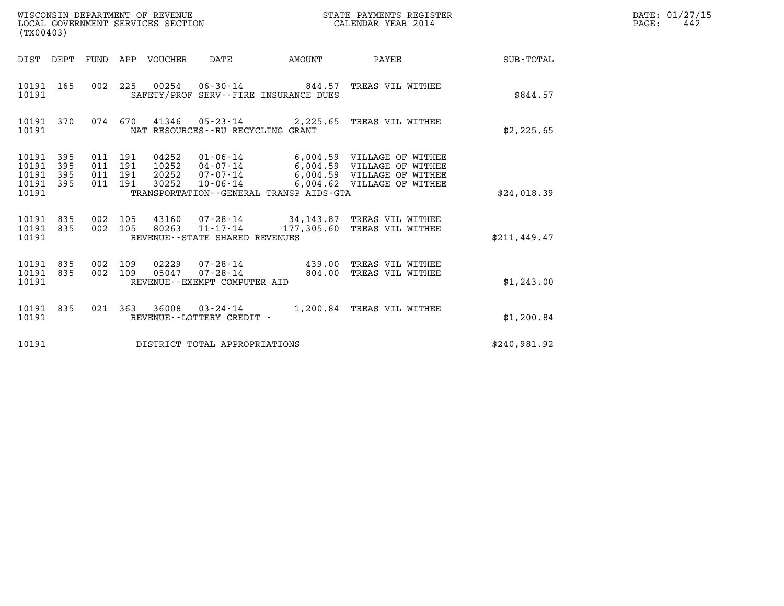| (TX00403)                                                    | WISCONSIN DEPARTMENT OF REVENUE<br>LOCAL GOVERNMENT SERVICES SECTION                                                                                                                                                                                                              | STATE PAYMENTS REGISTER<br>CALENDAR YEAR 2014 | DATE: 01/27/15<br>$\mathtt{PAGE:}$<br>442 |
|--------------------------------------------------------------|-----------------------------------------------------------------------------------------------------------------------------------------------------------------------------------------------------------------------------------------------------------------------------------|-----------------------------------------------|-------------------------------------------|
|                                                              | <b>AMOUNT</b><br>DIST DEPT FUND APP VOUCHER DATE                                                                                                                                                                                                                                  | PAYEE SUB-TOTAL                               |                                           |
| 10191 165<br>10191                                           | 002 225 00254 06-30-14 844.57 TREAS VIL WITHEE<br>SAFETY/PROF SERV--FIRE INSURANCE DUES                                                                                                                                                                                           | \$844.57                                      |                                           |
| 10191 370<br>10191                                           | 074 670 41346 05-23-14 2,225.65 TREAS VIL WITHEE<br>NAT RESOURCES -- RU RECYCLING GRANT                                                                                                                                                                                           | \$2,225.65                                    |                                           |
| 10191 395<br>10191<br>395<br>10191 395<br>10191 395<br>10191 | 04252 01-06-14 6,004.59 VILLAGE OF WITHEE<br>011 191<br>10252  04-07-14   6,004.59  VILLAGE OF WITHEE<br>011 191<br>20252  07-07-14  6,004.59  VILLAGE OF WITHEE<br>011 191<br>011 191<br>30252  10-06-14  6,004.62  VILLAGE OF WITHEE<br>TRANSPORTATION--GENERAL TRANSP AIDS-GTA | \$24,018.39                                   |                                           |
| 10191 835<br>10191 835<br>10191                              | 002 105<br>43160  07-28-14  34, 143.87  TREAS VIL WITHEE<br>002 105<br>11-17-14 177,305.60 TREAS VIL WITHEE<br>80263<br>REVENUE--STATE SHARED REVENUES                                                                                                                            | \$211, 449.47                                 |                                           |
| 10191 835<br>002<br>10191 835<br>10191                       | 109<br>02229<br>07-28-14 439.00 TREAS VIL WITHEE<br>002 109<br>05047  07-28-14  804.00 TREAS VIL WITHEE<br>REVENUE--EXEMPT COMPUTER AID                                                                                                                                           | \$1,243.00                                    |                                           |
| 10191<br>835<br>10191                                        | 021 363 36008 03-24-14 1,200.84 TREAS VIL WITHEE<br>REVENUE--LOTTERY CREDIT -                                                                                                                                                                                                     | \$1,200.84                                    |                                           |
| 10191                                                        | DISTRICT TOTAL APPROPRIATIONS                                                                                                                                                                                                                                                     | \$240,981.92                                  |                                           |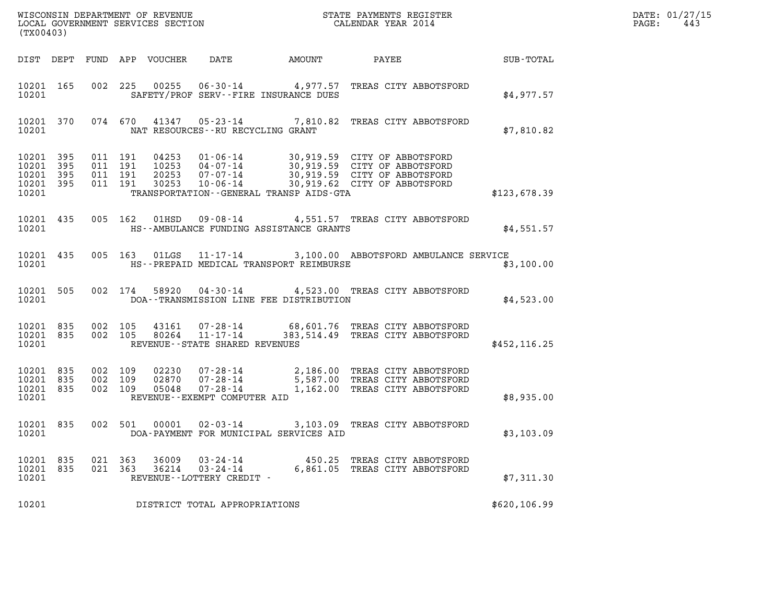| (TX00403)                                                 |                                          |         |                            |                                                                 |                                         |                                                                                                                                                                                    |               | DATE: 01/27/15<br>$\mathtt{PAGE:}$<br>443 |
|-----------------------------------------------------------|------------------------------------------|---------|----------------------------|-----------------------------------------------------------------|-----------------------------------------|------------------------------------------------------------------------------------------------------------------------------------------------------------------------------------|---------------|-------------------------------------------|
|                                                           |                                          |         | DIST DEPT FUND APP VOUCHER | DATE                                                            | AMOUNT                                  | PAYEE                                                                                                                                                                              | SUB-TOTAL     |                                           |
| 10201 165<br>10201                                        |                                          |         |                            |                                                                 | SAFETY/PROF SERV--FIRE INSURANCE DUES   | 002  225  00255  06-30-14  4,977.57  TREAS CITY ABBOTSFORD                                                                                                                         | \$4.977.57    |                                           |
| 10201                                                     |                                          |         |                            | NAT RESOURCES--RU RECYCLING GRANT                               |                                         | 10201 370 074 670 41347 05-23-14 7,810.82 TREAS CITY ABBOTSFORD                                                                                                                    | \$7,810.82    |                                           |
| 10201 395<br>10201 395<br>10201 395<br>10201 395<br>10201 | 011 191<br>011 191<br>011 191<br>011 191 |         | 30253                      | $10 - 06 - 14$                                                  | TRANSPORTATION--GENERAL TRANSP AIDS-GTA | 04253  01-06-14  30,919.59  CITY OF ABBOTSFORD<br>10253  04-07-14  30,919.59  CITY OF ABBOTSFORD<br>20253  07-07-14  30,919.59  CITY OF ABBOTSFORD<br>30,919.62 CITY OF ABBOTSFORD | \$123,678.39  |                                           |
| 10201 435<br>10201                                        |                                          |         | 005 162 01HSD              |                                                                 | HS--AMBULANCE FUNDING ASSISTANCE GRANTS | 09-08-14 4,551.57 TREAS CITY ABBOTSFORD                                                                                                                                            | \$4,551.57    |                                           |
| 10201 435<br>10201                                        |                                          |         | 005 163 01LGS              |                                                                 | HS--PREPAID MEDICAL TRANSPORT REIMBURSE | 11-17-14 3,100.00 ABBOTSFORD AMBULANCE SERVICE                                                                                                                                     | \$3,100.00    |                                           |
| 10201 505<br>10201                                        |                                          |         | 002 174 58920              |                                                                 | DOA--TRANSMISSION LINE FEE DISTRIBUTION | 04-30-14 4,523.00 TREAS CITY ABBOTSFORD                                                                                                                                            | \$4,523.00    |                                           |
| 10201 835<br>10201 835<br>10201                           | 002 105                                  | 002 105 | 43161<br>80264             | $11 - 17 - 14$<br>REVENUE - - STATE SHARED REVENUES             |                                         | 07-28-14 68,601.76 TREAS CITY ABBOTSFORD<br>383,514.49 TREAS CITY ABBOTSFORD                                                                                                       | \$452, 116.25 |                                           |
| 10201 835<br>10201 835<br>10201 835<br>10201              | 002 109<br>002 109<br>002 109            |         | 02230<br>02870<br>05048    | REVENUE--EXEMPT COMPUTER AID                                    |                                         | 07-28-14 2,186.00 TREAS CITY ABBOTSFORD<br>07-28-14 5,587.00 TREAS CITY ABBOTSFORD<br>07-28-14 1,162.00 TREAS CITY ABBOTSFORD                                                      | \$8,935.00    |                                           |
| 10201 835<br>10201                                        |                                          | 002 501 |                            | 00001 02-03-14                                                  | DOA-PAYMENT FOR MUNICIPAL SERVICES AID  | 3,103.09 TREAS CITY ABBOTSFORD                                                                                                                                                     | \$3,103.09    |                                           |
| 10201 835<br>10201 835<br>10201                           | 021 363<br>021 363                       |         | 36009                      | 03-24-14<br>$36214$ $03 - 24 - 14$<br>REVENUE--LOTTERY CREDIT - |                                         | 450.25 TREAS CITY ABBOTSFORD<br>6,861.05 TREAS CITY ABBOTSFORD                                                                                                                     | \$7,311.30    |                                           |
| 10201                                                     |                                          |         |                            | DISTRICT TOTAL APPROPRIATIONS                                   |                                         |                                                                                                                                                                                    | \$620, 106.99 |                                           |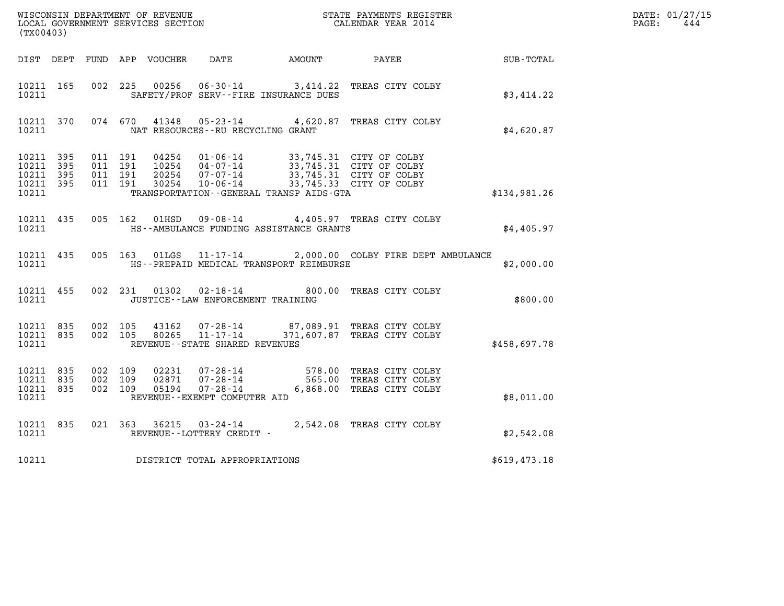| (TX00403)                                                 |                                          |  |                                                  |                                                                                                                                                                                                                                                                                                                                                                                                                                       | WISCONSIN DEPARTMENT OF REVENUE<br>LOCAL GOVERNMENT SERVICES SECTION<br>CALENDAR YEAR 2014                                         |                  | DATE: 01/27/15<br>$\mathtt{PAGE:}$<br>444 |
|-----------------------------------------------------------|------------------------------------------|--|--------------------------------------------------|---------------------------------------------------------------------------------------------------------------------------------------------------------------------------------------------------------------------------------------------------------------------------------------------------------------------------------------------------------------------------------------------------------------------------------------|------------------------------------------------------------------------------------------------------------------------------------|------------------|-------------------------------------------|
|                                                           |                                          |  |                                                  | DIST DEPT FUND APP VOUCHER DATE AMOUNT PAYEE                                                                                                                                                                                                                                                                                                                                                                                          |                                                                                                                                    | <b>SUB-TOTAL</b> |                                           |
| 10211 165<br>10211                                        | 002 225                                  |  |                                                  | SAFETY/PROF SERV--FIRE INSURANCE DUES                                                                                                                                                                                                                                                                                                                                                                                                 | 00256  06-30-14  3,414.22  TREAS CITY COLBY                                                                                        | \$3,414.22       |                                           |
| 10211                                                     |                                          |  | NAT RESOURCES--RU RECYCLING GRANT                |                                                                                                                                                                                                                                                                                                                                                                                                                                       | 10211 370 074 670 41348 05-23-14 4,620.87 TREAS CITY COLBY                                                                         | \$4,620.87       |                                           |
| 10211 395<br>10211 395<br>10211 395<br>10211 395<br>10211 | 011 191<br>011 191<br>011 191<br>011 191 |  |                                                  | $\begin{array}{cccc} 04254 & 01\textnormal{-}06\textnormal{-}14 & 33,745.31 & \textnormal{CITY OF COLBY} \\ 10254 & 04\textnormal{-}07\textnormal{-}14 & 33,745.31 & \textnormal{CITY OF COLBY} \\ 20254 & 07\textnormal{-}07\textnormal{-}14 & 33,745.31 & \textnormal{CITY OF COLBY} \\ 30254 & 10\textnormal{-}06\textnormal{-}14 & 33,745.33 & \textnormal{CITY OF COLBY} \end{array}$<br>TRANSPORTATION--GENERAL TRANSP AIDS-GTA |                                                                                                                                    | \$134,981.26     |                                           |
| 10211                                                     |                                          |  |                                                  | HS--AMBULANCE FUNDING ASSISTANCE GRANTS                                                                                                                                                                                                                                                                                                                                                                                               | 10211 435 005 162 01HSD 09-08-14 4,405.97 TREAS CITY COLBY                                                                         | \$4,405.97       |                                           |
| 10211 435<br>10211                                        |                                          |  |                                                  | HS--PREPAID MEDICAL TRANSPORT REIMBURSE                                                                                                                                                                                                                                                                                                                                                                                               | 005 163 01LGS 11-17-14 2,000.00 COLBY FIRE DEPT AMBULANCE                                                                          | \$2,000.00       |                                           |
| 10211 455<br>10211                                        |                                          |  | JUSTICE - - LAW ENFORCEMENT TRAINING             |                                                                                                                                                                                                                                                                                                                                                                                                                                       | 002 231 01302 02-18-14 800.00 TREAS CITY COLBY                                                                                     | \$800.00         |                                           |
| 10211 835<br>10211 835<br>10211                           | 002 105<br>002 105                       |  | 80265 11-17-14<br>REVENUE--STATE SHARED REVENUES |                                                                                                                                                                                                                                                                                                                                                                                                                                       | 43162  07-28-14  87,089.91  TREAS CITY COLBY<br>371,607.87 TREAS CITY COLBY                                                        | \$458,697.78     |                                           |
| 10211 835<br>10211 835<br>10211 835<br>10211              | 002 109<br>002 109<br>002 109            |  | REVENUE--EXEMPT COMPUTER AID                     |                                                                                                                                                                                                                                                                                                                                                                                                                                       | 02231  07-28-14  578.00 TREAS CITY COLBY<br>02871  07-28-14  565.00 TREAS CITY COLBY<br>05194  07-28-14  6,868.00 TREAS CITY COLBY | \$8,011.00       |                                           |
| 10211 835<br>10211                                        |                                          |  | REVENUE--LOTTERY CREDIT -                        |                                                                                                                                                                                                                                                                                                                                                                                                                                       | 021 363 36215 03-24-14 2,542.08 TREAS CITY COLBY                                                                                   | \$2,542.08       |                                           |
| 10211                                                     |                                          |  | DISTRICT TOTAL APPROPRIATIONS                    |                                                                                                                                                                                                                                                                                                                                                                                                                                       |                                                                                                                                    | \$619,473.18     |                                           |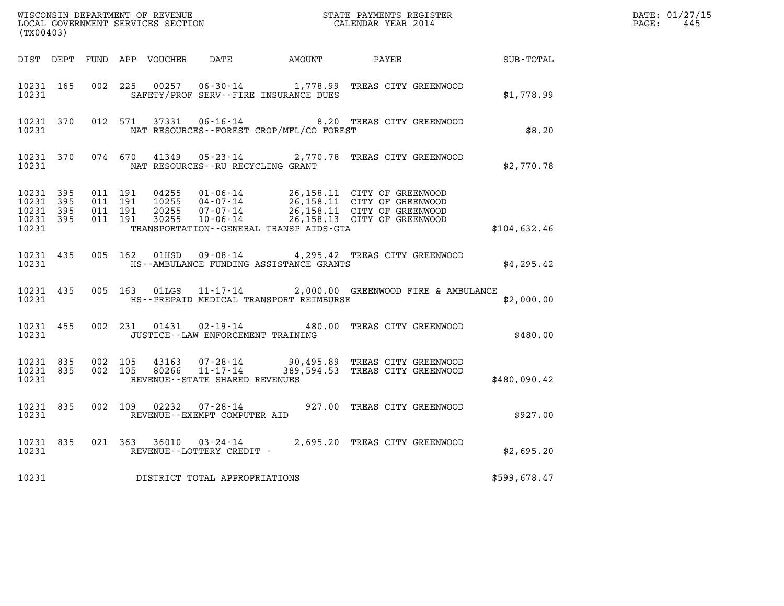| (TX00403)                                    |                                         |         |                                      |                                          |                                                                                                                                                                                                  |                  | DATE: 01/27/15<br>$\mathtt{PAGE:}$<br>445 |
|----------------------------------------------|-----------------------------------------|---------|--------------------------------------|------------------------------------------|--------------------------------------------------------------------------------------------------------------------------------------------------------------------------------------------------|------------------|-------------------------------------------|
|                                              |                                         |         |                                      |                                          | DIST DEPT FUND APP VOUCHER DATE AMOUNT PAYEE                                                                                                                                                     | <b>SUB-TOTAL</b> |                                           |
| 10231                                        |                                         |         |                                      | SAFETY/PROF SERV--FIRE INSURANCE DUES    | 10231 165 002 225 00257 06-30-14 1,778.99 TREAS CITY GREENWOOD                                                                                                                                   | \$1,778.99       |                                           |
| 10231                                        |                                         |         |                                      | NAT RESOURCES--FOREST CROP/MFL/CO FOREST | 10231 370 012 571 37331 06-16-14 8.20 TREAS CITY GREENWOOD                                                                                                                                       | \$8.20           |                                           |
| 10231 370<br>10231                           |                                         |         | NAT RESOURCES - - RU RECYCLING GRANT |                                          | 074 670 41349 05-23-14 2,770.78 TREAS CITY GREENWOOD                                                                                                                                             | \$2,770.78       |                                           |
| 10231 395<br>10231 395<br>10231 395<br>10231 | 10231 395 011 191<br>011 191<br>011 191 | 011 191 |                                      | TRANSPORTATION--GENERAL TRANSP AIDS-GTA  | 04255  01-06-14  26,158.11  CITY OF GREENWOOD<br>10255  04-07-14  26,158.11  CITY OF GREENWOOD<br>20255  07-07-14  26,158.11  CITY OF GREENWOOD<br>30255  10-06-14  26,158.13  CITY OF GREENWOOD | \$104,632.46     |                                           |
| 10231                                        |                                         |         |                                      | HS--AMBULANCE FUNDING ASSISTANCE GRANTS  | 10231 435 005 162 01HSD 09-08-14 4,295.42 TREAS CITY GREENWOOD                                                                                                                                   | \$4,295.42       |                                           |
| 10231 435<br>10231                           |                                         |         |                                      | HS--PREPAID MEDICAL TRANSPORT REIMBURSE  | 005 163 01LGS 11-17-14 2,000.00 GREENWOOD FIRE & AMBULANCE                                                                                                                                       | \$2,000.00       |                                           |
| 10231 455                                    |                                         |         |                                      | 10231 JUSTICE - LAW ENFORCEMENT TRAINING | 002 231 01431 02-19-14 480.00 TREAS CITY GREENWOOD                                                                                                                                               | \$480.00         |                                           |
| 10231 835 002 105<br>10231 835<br>10231      |                                         | 002 105 | REVENUE - - STATE SHARED REVENUES    |                                          | 43163  07-28-14  90,495.89 TREAS CITY GREENWOOD<br>80266  11-17-14  389,594.53 TREAS CITY GREENWOOD                                                                                              | \$480,090.42     |                                           |
| 10231 835<br>10231                           |                                         | 002 109 | REVENUE--EXEMPT COMPUTER AID         |                                          | 02232  07-28-14  927.00 TREAS CITY GREENWOOD                                                                                                                                                     | \$927.00         |                                           |
| 10231                                        |                                         |         | REVENUE - - LOTTERY CREDIT -         |                                          | 10231 835 021 363 36010 03-24-14 2,695.20 TREAS CITY GREENWOOD                                                                                                                                   | \$2,695.20       |                                           |
| 10231                                        |                                         |         | DISTRICT TOTAL APPROPRIATIONS        |                                          |                                                                                                                                                                                                  | \$599,678.47     |                                           |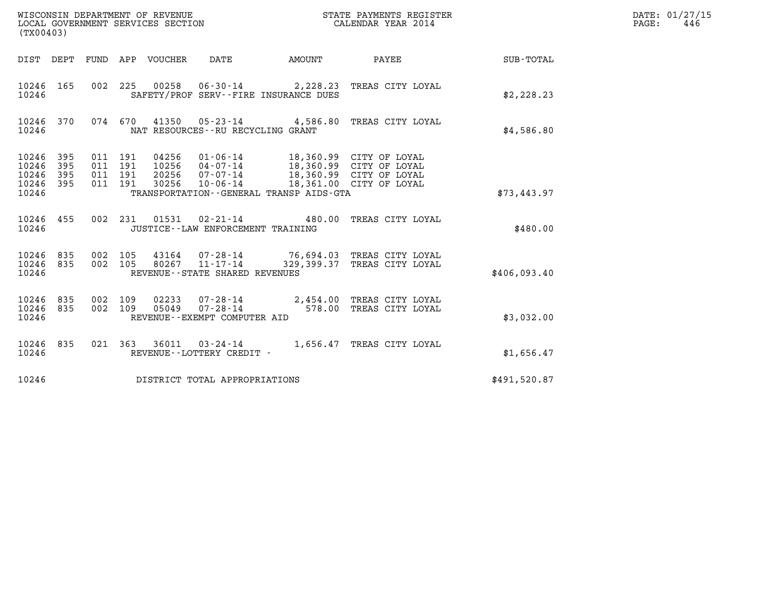| (TX00403)                                         |            |                                      |     |                                  | WISCONSIN DEPARTMENT OF REVENUE<br>LOCAL GOVERNMENT SERVICES SECTION                                            |        | STATE PAYMENTS REGISTER<br>CALENDAR YEAR 2014                                                            |                  | DATE: 01/27/15<br>$\mathtt{PAGE}$ :<br>446 |
|---------------------------------------------------|------------|--------------------------------------|-----|----------------------------------|-----------------------------------------------------------------------------------------------------------------|--------|----------------------------------------------------------------------------------------------------------|------------------|--------------------------------------------|
|                                                   |            |                                      |     | DIST DEPT FUND APP VOUCHER       | DATE                                                                                                            | AMOUNT | PAYEE                                                                                                    | <b>SUB-TOTAL</b> |                                            |
| 10246 165<br>10246                                |            |                                      |     |                                  | SAFETY/PROF SERV--FIRE INSURANCE DUES                                                                           |        | 002 225 00258 06-30-14 2,228.23 TREAS CITY LOYAL                                                         | \$2,228.23       |                                            |
| 10246 370<br>10246                                |            |                                      |     |                                  | NAT RESOURCES - - RU RECYCLING GRANT                                                                            |        | 074 670 41350 05-23-14 4,586.80 TREAS CITY LOYAL                                                         | \$4,586.80       |                                            |
| 10246 395<br>10246<br>10246<br>10246 395<br>10246 | 395<br>395 | 011 191<br>011<br>011 191<br>011 191 | 191 | 04256<br>10256<br>20256<br>30256 | $01 - 06 - 14$<br>$04 - 07 - 14$<br>$07 - 07 - 14$<br>$10 - 06 - 14$<br>TRANSPORTATION--GENERAL TRANSP AIDS-GTA |        | 18,360.99 CITY OF LOYAL<br>18,360.99 CITY OF LOYAL<br>18,360.99 CITY OF LOYAL<br>18,361.00 CITY OF LOYAL | \$73,443.97      |                                            |
| 10246 455<br>10246                                |            |                                      |     |                                  | JUSTICE - - LAW ENFORCEMENT TRAINING                                                                            |        | 002 231 01531 02-21-14 480.00 TREAS CITY LOYAL                                                           | \$480.00         |                                            |
| 10246 835<br>10246<br>10246                       | 835        | 002 105<br>002 105                   |     | 80267                            | 43164 07-28-14<br>11-17-14<br>REVENUE - - STATE SHARED REVENUES                                                 |        | 76,694.03 TREAS CITY LOYAL<br>329,399.37 TREAS CITY LOYAL                                                | \$406.093.40     |                                            |
| 10246 835<br>10246 835<br>10246                   |            | 002 109<br>002 109                   |     | 02233<br>05049                   | REVENUE--EXEMPT COMPUTER AID                                                                                    |        | 07-28-14 2,454.00 TREAS CITY LOYAL<br>07-28-14 578.00 TREAS CITY LOYAL                                   | \$3,032.00       |                                            |
| 10246 835<br>10246                                |            |                                      |     |                                  | REVENUE--LOTTERY CREDIT -                                                                                       |        | 021 363 36011 03-24-14 1,656.47 TREAS CITY LOYAL                                                         | \$1,656.47       |                                            |
| 10246                                             |            |                                      |     |                                  | DISTRICT TOTAL APPROPRIATIONS                                                                                   |        |                                                                                                          | \$491,520.87     |                                            |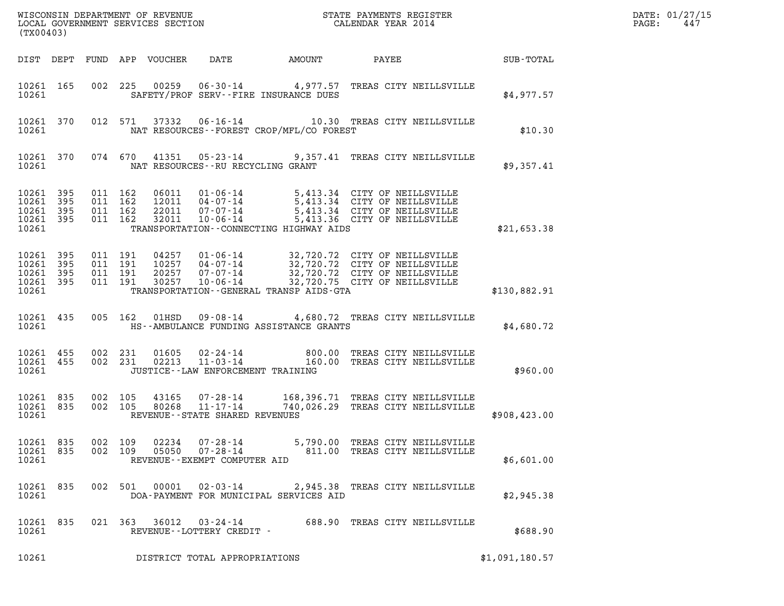| (TX00403)                                                 |           |                               |                    |                                  |                                                                 |                                             |                                                                                                                                                                     |                | DATE: 01/27/15<br>PAGE:<br>447 |
|-----------------------------------------------------------|-----------|-------------------------------|--------------------|----------------------------------|-----------------------------------------------------------------|---------------------------------------------|---------------------------------------------------------------------------------------------------------------------------------------------------------------------|----------------|--------------------------------|
|                                                           |           |                               |                    | DIST DEPT FUND APP VOUCHER       | DATE                                                            | AMOUNT                                      | PAYEE                                                                                                                                                               | SUB-TOTAL      |                                |
| 10261 165<br>10261                                        |           |                               |                    |                                  |                                                                 | SAFETY/PROF SERV--FIRE INSURANCE DUES       | 002 225 00259 06-30-14 4,977.57 TREAS CITY NEILLSVILLE                                                                                                              | \$4,977.57     |                                |
| 10261                                                     | 10261 370 |                               | 012 571            | 37332                            |                                                                 | NAT RESOURCES - - FOREST CROP/MFL/CO FOREST | 06-16-14 10.30 TREAS CITY NEILLSVILLE                                                                                                                               | \$10.30        |                                |
| 10261                                                     | 10261 370 |                               | 074 670            |                                  |                                                                 | NAT RESOURCES--RU RECYCLING GRANT           | 41351  05-23-14  9,357.41  TREAS CITY NEILLSVILLE                                                                                                                   | \$9,357.41     |                                |
| 10261 395<br>10261<br>10261 395<br>10261 395<br>10261     | 395       | 011 162<br>011 162<br>011 162 | 011 162            | 06011<br>32011                   | 22011 07-07-14<br>$10 - 06 - 14$                                | TRANSPORTATION - - CONNECTING HIGHWAY AIDS  | 01-06-14 5,413.34 CITY OF NEILLSVILLE<br>12011 04-07-14 5,413.34 CITY OF NEILLSVILLE<br>22011 07-07-14 5,413.34 CITY OF NEILLSVILLE<br>5,413.36 CITY OF NEILLSVILLE | \$21,653.38    |                                |
| 10261 395<br>10261 395<br>10261 395<br>10261 395<br>10261 |           | 011 191<br>011 191            | 011 191<br>011 191 | 04257<br>10257<br>20257<br>30257 | 01-06-14<br>04-07-14<br>07-07-14                                | TRANSPORTATION--GENERAL TRANSP AIDS-GTA     | 32,720.72 CITY OF NEILLSVILLE<br>32,720.72 CITY OF NEILLSVILLE<br>32,720.72 CITY OF NEILLSVILLE<br>10-06-14 32,720.75 CITY OF NEILLSVILLE                           | \$130,882.91   |                                |
| 10261                                                     | 10261 435 |                               | 005 162            | 01HSD                            |                                                                 | HS--AMBULANCE FUNDING ASSISTANCE GRANTS     | 09-08-14 4,680.72 TREAS CITY NEILLSVILLE                                                                                                                            | \$4,680.72     |                                |
| 10261 455<br>10261 455<br>10261                           |           |                               | 002 231<br>002 231 | 01605<br>02213                   | 02-24-14<br>$11 - 03 - 14$                                      | JUSTICE - - LAW ENFORCEMENT TRAINING        | 800.00 TREAS CITY NEILLSVILLE<br>160.00 TREAS CITY NEILLSVILLE                                                                                                      | \$960.00       |                                |
| 10261 835<br>10261 835<br>10261                           |           |                               | 002 105<br>002 105 | 43165<br>80268                   | 07-28-14<br>$11 - 17 - 14$<br>REVENUE - - STATE SHARED REVENUES |                                             | 168,396.71 TREAS CITY NEILLSVILLE<br>740,026.29 TREAS CITY NEILLSVILLE                                                                                              | \$908,423.00   |                                |
| 10261 835<br>10261 835<br>10261                           |           | 002 109<br>002 109            |                    | 02234<br>05050                   | $07 - 28 - 14$<br>REVENUE--EXEMPT COMPUTER AID                  |                                             | 5,790.00 TREAS CITY NEILLSVILLE<br>07-28-14 811.00 TREAS CITY NEILLSVILLE                                                                                           | \$6,601.00     |                                |
| 10261 835<br>10261                                        |           |                               |                    |                                  | 002 501 00001 02-03-14                                          | DOA-PAYMENT FOR MUNICIPAL SERVICES AID      | 2,945.38 TREAS CITY NEILLSVILLE                                                                                                                                     | \$2,945.38     |                                |
| 10261 835<br>10261                                        |           |                               |                    |                                  | REVENUE--LOTTERY CREDIT -                                       |                                             | 021 363 36012 03-24-14 688.90 TREAS CITY NEILLSVILLE                                                                                                                | \$688.90       |                                |
| 10261                                                     |           |                               |                    |                                  | DISTRICT TOTAL APPROPRIATIONS                                   |                                             |                                                                                                                                                                     | \$1,091,180.57 |                                |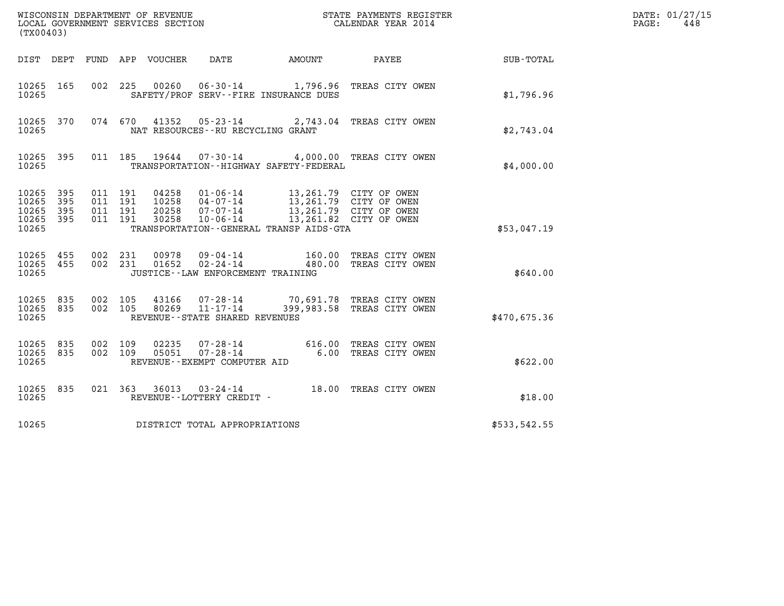| (TX00403)                                 |                          |                                          |         | LOCAL GOVERNMENT SERVICES SECTION | WISCONSIN DEPARTMENT OF REVENUE<br>LOCAL GOVERNMENT SERVICES SECTION |                                              | STATE PAYMENTS REGISTER<br>CALENDAR YEAR 2014                                                        |              | DATE: 01/27/15<br>PAGE:<br>448 |
|-------------------------------------------|--------------------------|------------------------------------------|---------|-----------------------------------|----------------------------------------------------------------------|----------------------------------------------|------------------------------------------------------------------------------------------------------|--------------|--------------------------------|
| DIST DEPT                                 |                          |                                          |         | FUND APP VOUCHER                  | DATE                                                                 | AMOUNT                                       | PAYEE                                                                                                | SUB-TOTAL    |                                |
| 10265 165<br>10265                        |                          | 002 225                                  |         | 00260                             |                                                                      | SAFETY/PROF SERV--FIRE INSURANCE DUES        | 06-30-14 1,796.96 TREAS CITY OWEN                                                                    | \$1,796.96   |                                |
| 10265<br>10265                            | 370                      |                                          | 074 670 | 41352                             | NAT RESOURCES--RU RECYCLING GRANT                                    |                                              | 05-23-14 2,743.04 TREAS CITY OWEN                                                                    | \$2.743.04   |                                |
| 10265 395<br>10265                        |                          |                                          |         | 011 185 19644                     |                                                                      | TRANSPORTATION - - HIGHWAY SAFETY - FEDERAL  | 07-30-14 4,000.00 TREAS CITY OWEN                                                                    | \$4,000.00   |                                |
| 10265<br>10265<br>10265<br>10265<br>10265 | 395<br>395<br>395<br>395 | 011 191<br>011 191<br>011 191<br>011 191 |         | 04258<br>10258<br>20258<br>30258  | $01 - 06 - 14$<br>04-07-14<br>$07 - 07 - 14$<br>10-06-14             | TRANSPORTATION - - GENERAL TRANSP AIDS - GTA | 13,261.79 CITY OF OWEN<br>13,261.79 CITY OF OWEN<br>13,261.79 CITY OF OWEN<br>13,261.82 CITY OF OWEN | \$53,047.19  |                                |
| 10265<br>10265<br>10265                   | 455<br>455               | 002 231<br>002 231                       |         | 00978<br>01652                    | 09 - 04 - 14<br>02 - 24 - 14<br>JUSTICE - - LAW ENFORCEMENT TRAINING |                                              | 160.00 TREAS CITY OWEN<br>480.00 TREAS CITY OWEN                                                     | \$640.00     |                                |
| 10265<br>10265 835<br>10265               | 835                      | 002 105<br>002 105                       |         | 43166<br>80269                    | 07-28-14<br>11-17-14<br>REVENUE - - STATE SHARED REVENUES            |                                              | 70,691.78 TREAS CITY OWEN<br>399,983.58 TREAS CITY OWEN                                              | \$470,675.36 |                                |
| 10265 835<br>10265<br>10265               | 835                      | 002 109<br>002 109                       |         | 02235<br>05051                    | 07-28-14<br>$07 - 28 - 14$<br>REVENUE--EXEMPT COMPUTER AID           |                                              | 616.00 TREAS CITY OWEN<br>6.00 TREAS CITY OWEN                                                       | \$622.00     |                                |
| 10265 835<br>10265                        |                          |                                          | 021 363 | 36013                             | 03-24-14<br>REVENUE--LOTTERY CREDIT -                                |                                              | 18.00 TREAS CITY OWEN                                                                                | \$18.00      |                                |
| 10265                                     |                          |                                          |         |                                   | DISTRICT TOTAL APPROPRIATIONS                                        |                                              |                                                                                                      | \$533,542.55 |                                |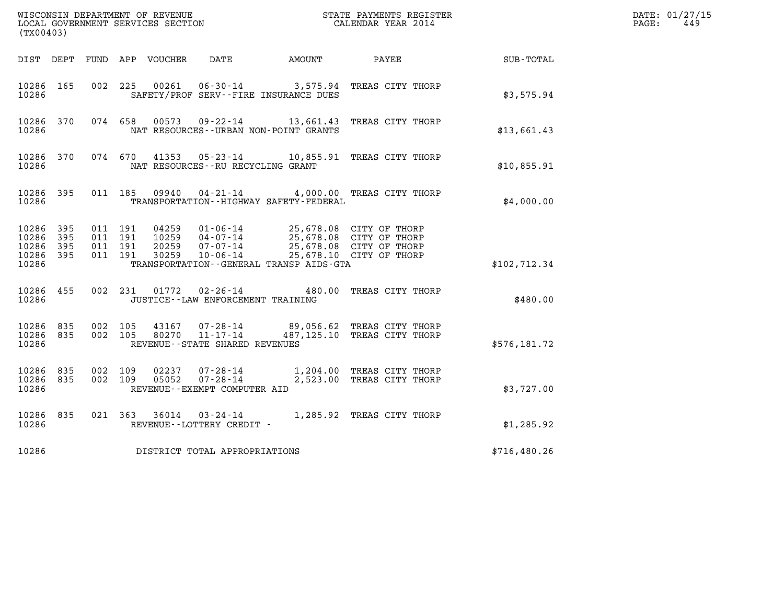| (TX00403)                                         |            |                                          |         |                                  |                                                                                                                 |        | $\tt WISCONSIM DEPARTMENT OF REVENUE$ $\tt WISCONSIMENT$ SERVICES SECTION $\tt CALENDAR YEAR$ 2014 CALENDAR SERVICES SECTION |                  | DATE: 01/27/15<br>$\mathtt{PAGE}$ :<br>449 |
|---------------------------------------------------|------------|------------------------------------------|---------|----------------------------------|-----------------------------------------------------------------------------------------------------------------|--------|------------------------------------------------------------------------------------------------------------------------------|------------------|--------------------------------------------|
|                                                   | DIST DEPT  |                                          |         | FUND APP VOUCHER                 | DATE                                                                                                            | AMOUNT | PAYEE                                                                                                                        | <b>SUB-TOTAL</b> |                                            |
| 10286 165<br>10286                                |            | 002 225                                  |         |                                  | SAFETY/PROF SERV--FIRE INSURANCE DUES                                                                           |        | 00261  06-30-14  3,575.94  TREAS CITY THORP                                                                                  | \$3,575.94       |                                            |
| 10286 370<br>10286                                |            |                                          | 074 658 |                                  | NAT RESOURCES - - URBAN NON-POINT GRANTS                                                                        |        | 00573  09-22-14  13,661.43  TREAS CITY THORP                                                                                 | \$13,661.43      |                                            |
| 10286 370<br>10286                                |            |                                          |         |                                  | NAT RESOURCES - - RU RECYCLING GRANT                                                                            |        | 074 670 41353 05-23-14 10,855.91 TREAS CITY THORP                                                                            | \$10,855.91      |                                            |
| 10286 395<br>10286                                |            | 011 185                                  |         | 09940                            | TRANSPORTATION - - HIGHWAY SAFETY - FEDERAL                                                                     |        | 04-21-14 4,000.00 TREAS CITY THORP                                                                                           | \$4,000.00       |                                            |
| 10286 395<br>10286<br>10286<br>10286 395<br>10286 | 395<br>395 | 011 191<br>011 191<br>011 191<br>011 191 |         | 04259<br>10259<br>20259<br>30259 | 01-06-14<br>04-07-14<br>07-07-14<br>10-06-14 25,678.10 CITY OF THORP<br>TRANSPORTATION--GENERAL TRANSP AIDS-GTA |        | 25,678.08 CITY OF THORP<br>25,678.08 CITY OF THORP<br>25,678.08 CITY OF THORP                                                | \$102, 712.34    |                                            |
| 10286 455<br>10286                                |            |                                          |         |                                  | 002 231 01772 02–26–14<br>JUSTICE - - LAW ENFORCEMENT TRAINING                                                  |        | 480.00 TREAS CITY THORP                                                                                                      | \$480.00         |                                            |
| 10286 835<br>10286 835<br>10286                   |            | 002 105<br>002 105                       |         | 43167<br>80270                   | 11-17-14<br>REVENUE--STATE SHARED REVENUES                                                                      |        | 07-28-14 89,056.62 TREAS CITY THORP<br>487,125.10 TREAS CITY THORP                                                           | \$576,181.72     |                                            |
| 10286<br>10286 835<br>10286                       | 835        | 002 109<br>002 109                       |         | 02237<br>05052                   | 07-28-14<br>REVENUE - - EXEMPT COMPUTER AID                                                                     |        | 07-28-14 1,204.00 TREAS CITY THORP<br>2,523.00 TREAS CITY THORP                                                              | \$3,727.00       |                                            |
| 10286 835<br>10286                                |            | 021 363                                  |         |                                  | REVENUE--LOTTERY CREDIT -                                                                                       |        | 36014  03-24-14   1,285.92   TREAS CITY THORP                                                                                | \$1,285.92       |                                            |
| 10286                                             |            |                                          |         |                                  | DISTRICT TOTAL APPROPRIATIONS                                                                                   |        |                                                                                                                              | \$716,480.26     |                                            |